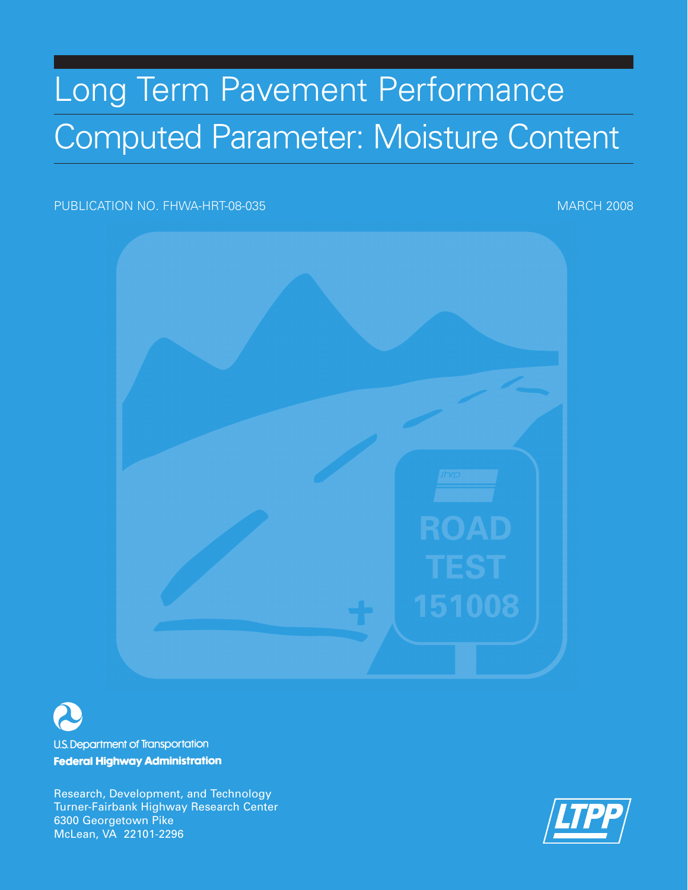# Long Term Pavement Performance Computed Parameter: Moisture Content

## PUBLICATION NO. FHWA-HRT-08-035 MARCH 2008





**U.S. Department of Transportation Federal Highway Administration** 

Research, Development, and Technology Turner-Fairbank Highway Research Center 6300 Georgetown Pike McLean, VA 22101-2296

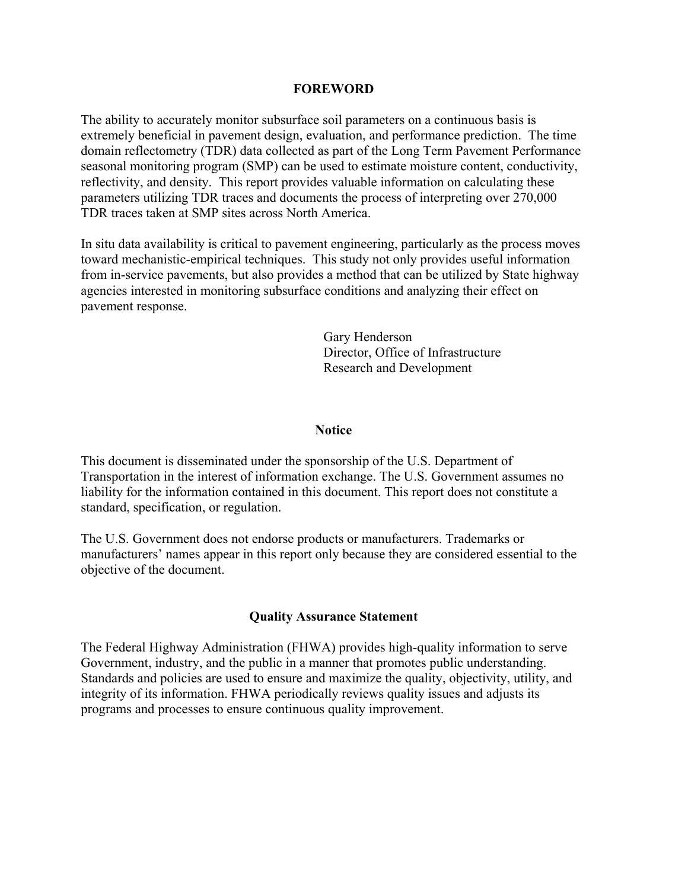#### **FOREWORD**

The ability to accurately monitor subsurface soil parameters on a continuous basis is extremely beneficial in pavement design, evaluation, and performance prediction. The time domain reflectometry (TDR) data collected as part of the Long Term Pavement Performance seasonal monitoring program (SMP) can be used to estimate moisture content, conductivity, reflectivity, and density. This report provides valuable information on calculating these parameters utilizing TDR traces and documents the process of interpreting over 270,000 TDR traces taken at SMP sites across North America.

In situ data availability is critical to pavement engineering, particularly as the process moves toward mechanistic-empirical techniques. This study not only provides useful information from in-service pavements, but also provides a method that can be utilized by State highway agencies interested in monitoring subsurface conditions and analyzing their effect on pavement response.

> Gary Henderson Director, Office of Infrastructure Research and Development

#### **Notice**

This document is disseminated under the sponsorship of the U.S. Department of Transportation in the interest of information exchange. The U.S. Government assumes no liability for the information contained in this document. This report does not constitute a standard, specification, or regulation.

The U.S. Government does not endorse products or manufacturers. Trademarks or manufacturers' names appear in this report only because they are considered essential to the objective of the document.

#### **Quality Assurance Statement**

The Federal Highway Administration (FHWA) provides high-quality information to serve Government, industry, and the public in a manner that promotes public understanding. Standards and policies are used to ensure and maximize the quality, objectivity, utility, and integrity of its information. FHWA periodically reviews quality issues and adjusts its programs and processes to ensure continuous quality improvement.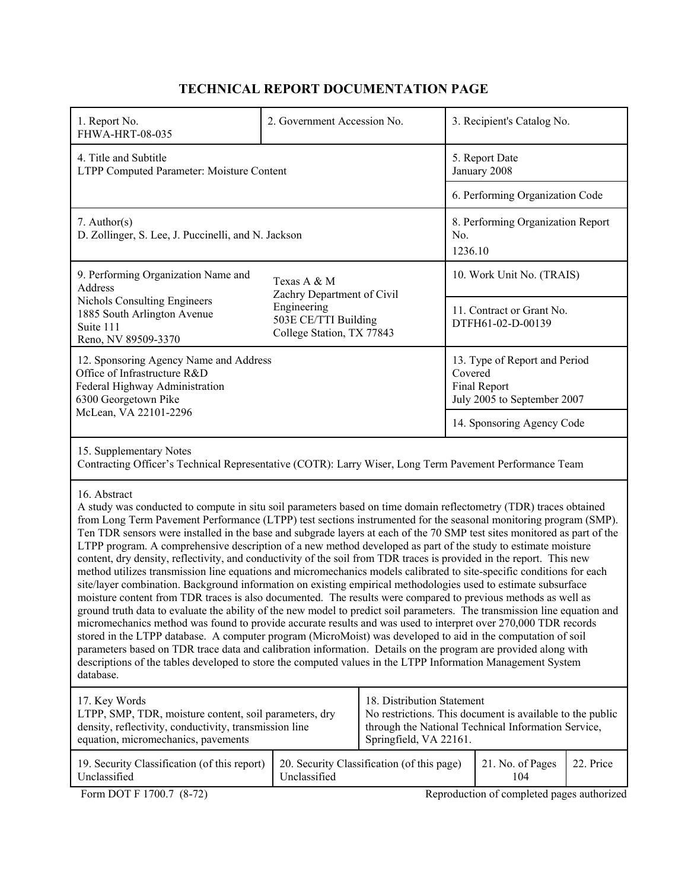# **TECHNICAL REPORT DOCUMENTATION PAGE**

| 1. Report No.<br>FHWA-HRT-08-035                                                                                                                                                                                                                                                                                                                                                                                                                                                                                                                                                                                                                                                                                                                                                                                                                                                                                                                                                                                                                                                                                                                                                                                                                                                                                                                                                                                                                                                                                                                                                                    | 2. Government Accession No. |                                            |                                                                                         | 3. Recipient's Catalog No.                                            |           |
|-----------------------------------------------------------------------------------------------------------------------------------------------------------------------------------------------------------------------------------------------------------------------------------------------------------------------------------------------------------------------------------------------------------------------------------------------------------------------------------------------------------------------------------------------------------------------------------------------------------------------------------------------------------------------------------------------------------------------------------------------------------------------------------------------------------------------------------------------------------------------------------------------------------------------------------------------------------------------------------------------------------------------------------------------------------------------------------------------------------------------------------------------------------------------------------------------------------------------------------------------------------------------------------------------------------------------------------------------------------------------------------------------------------------------------------------------------------------------------------------------------------------------------------------------------------------------------------------------------|-----------------------------|--------------------------------------------|-----------------------------------------------------------------------------------------|-----------------------------------------------------------------------|-----------|
| 4. Title and Subtitle<br>LTPP Computed Parameter: Moisture Content                                                                                                                                                                                                                                                                                                                                                                                                                                                                                                                                                                                                                                                                                                                                                                                                                                                                                                                                                                                                                                                                                                                                                                                                                                                                                                                                                                                                                                                                                                                                  |                             |                                            | 5. Report Date<br>January 2008                                                          |                                                                       |           |
|                                                                                                                                                                                                                                                                                                                                                                                                                                                                                                                                                                                                                                                                                                                                                                                                                                                                                                                                                                                                                                                                                                                                                                                                                                                                                                                                                                                                                                                                                                                                                                                                     |                             | 6. Performing Organization Code            |                                                                                         |                                                                       |           |
| $7.$ Author(s)<br>D. Zollinger, S. Lee, J. Puccinelli, and N. Jackson                                                                                                                                                                                                                                                                                                                                                                                                                                                                                                                                                                                                                                                                                                                                                                                                                                                                                                                                                                                                                                                                                                                                                                                                                                                                                                                                                                                                                                                                                                                               |                             |                                            | No.<br>1236.10                                                                          | 8. Performing Organization Report                                     |           |
| 9. Performing Organization Name and<br>Address                                                                                                                                                                                                                                                                                                                                                                                                                                                                                                                                                                                                                                                                                                                                                                                                                                                                                                                                                                                                                                                                                                                                                                                                                                                                                                                                                                                                                                                                                                                                                      | Texas A & M                 |                                            |                                                                                         | 10. Work Unit No. (TRAIS)                                             |           |
| Zachry Department of Civil<br>Nichols Consulting Engineers<br>Engineering<br>1885 South Arlington Avenue<br>503E CE/TTI Building<br>Suite 111<br>College Station, TX 77843<br>Reno, NV 89509-3370                                                                                                                                                                                                                                                                                                                                                                                                                                                                                                                                                                                                                                                                                                                                                                                                                                                                                                                                                                                                                                                                                                                                                                                                                                                                                                                                                                                                   |                             |                                            | 11. Contract or Grant No.<br>DTFH61-02-D-00139                                          |                                                                       |           |
| 12. Sponsoring Agency Name and Address<br>Office of Infrastructure R&D<br>Federal Highway Administration<br>6300 Georgetown Pike                                                                                                                                                                                                                                                                                                                                                                                                                                                                                                                                                                                                                                                                                                                                                                                                                                                                                                                                                                                                                                                                                                                                                                                                                                                                                                                                                                                                                                                                    |                             |                                            | 13. Type of Report and Period<br>Covered<br>Final Report<br>July 2005 to September 2007 |                                                                       |           |
| McLean, VA 22101-2296                                                                                                                                                                                                                                                                                                                                                                                                                                                                                                                                                                                                                                                                                                                                                                                                                                                                                                                                                                                                                                                                                                                                                                                                                                                                                                                                                                                                                                                                                                                                                                               |                             |                                            | 14. Sponsoring Agency Code                                                              |                                                                       |           |
| 15. Supplementary Notes<br>Contracting Officer's Technical Representative (COTR): Larry Wiser, Long Term Pavement Performance Team                                                                                                                                                                                                                                                                                                                                                                                                                                                                                                                                                                                                                                                                                                                                                                                                                                                                                                                                                                                                                                                                                                                                                                                                                                                                                                                                                                                                                                                                  |                             |                                            |                                                                                         |                                                                       |           |
| 16. Abstract<br>A study was conducted to compute in situ soil parameters based on time domain reflectometry (TDR) traces obtained<br>from Long Term Pavement Performance (LTPP) test sections instrumented for the seasonal monitoring program (SMP).<br>Ten TDR sensors were installed in the base and subgrade layers at each of the 70 SMP test sites monitored as part of the<br>LTPP program. A comprehensive description of a new method developed as part of the study to estimate moisture<br>content, dry density, reflectivity, and conductivity of the soil from TDR traces is provided in the report. This new<br>method utilizes transmission line equations and micromechanics models calibrated to site-specific conditions for each<br>site/layer combination. Background information on existing empirical methodologies used to estimate subsurface<br>moisture content from TDR traces is also documented. The results were compared to previous methods as well as<br>ground truth data to evaluate the ability of the new model to predict soil parameters. The transmission line equation and<br>micromechanics method was found to provide accurate results and was used to interpret over 270,000 TDR records<br>stored in the LTPP database. A computer program (MicroMoist) was developed to aid in the computation of soil<br>parameters based on TDR trace data and calibration information. Details on the program are provided along with<br>descriptions of the tables developed to store the computed values in the LTPP Information Management System<br>database. |                             |                                            |                                                                                         |                                                                       |           |
| 18. Distribution Statement<br>17. Key Words<br>No restrictions. This document is available to the public<br>LTPP, SMP, TDR, moisture content, soil parameters, dry<br>density, reflectivity, conductivity, transmission line<br>through the National Technical Information Service,<br>equation, micromechanics, pavements<br>Springfield, VA 22161.                                                                                                                                                                                                                                                                                                                                                                                                                                                                                                                                                                                                                                                                                                                                                                                                                                                                                                                                                                                                                                                                                                                                                                                                                                                |                             |                                            |                                                                                         |                                                                       |           |
| 19. Security Classification (of this report)<br>Unclassified<br>Form DOT F 1700.7 (8-72)                                                                                                                                                                                                                                                                                                                                                                                                                                                                                                                                                                                                                                                                                                                                                                                                                                                                                                                                                                                                                                                                                                                                                                                                                                                                                                                                                                                                                                                                                                            | Unclassified                | 20. Security Classification (of this page) |                                                                                         | 21. No. of Pages<br>104<br>Reproduction of completed pages authorized | 22. Price |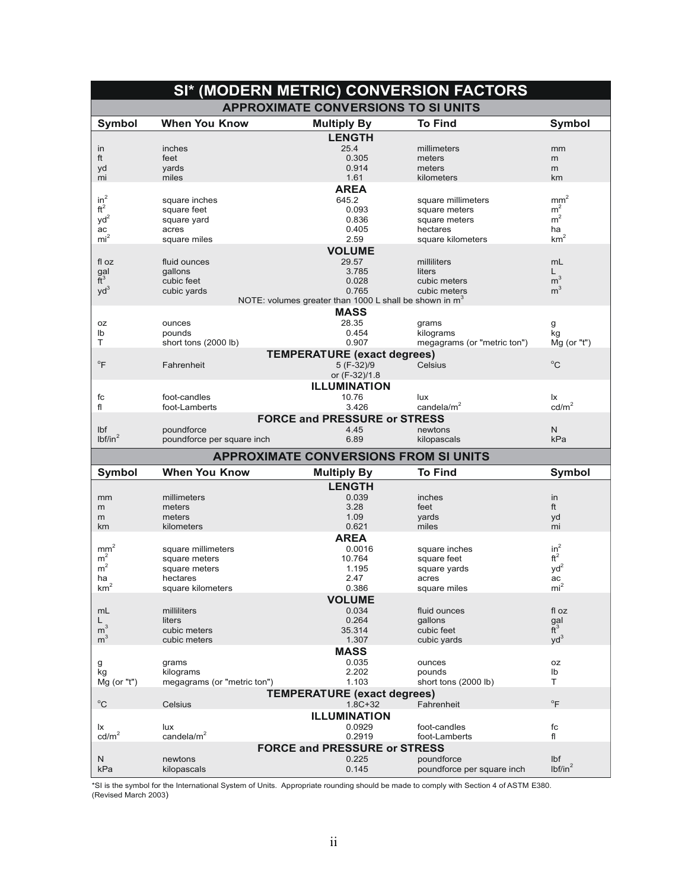|                     |                                     | SI* (MODERN METRIC) CONVERSION FACTORS                   |                                          |                            |
|---------------------|-------------------------------------|----------------------------------------------------------|------------------------------------------|----------------------------|
|                     |                                     | <b>APPROXIMATE CONVERSIONS TO SI UNITS</b>               |                                          |                            |
| <b>Symbol</b>       | <b>When You Know</b>                | <b>Multiply By</b>                                       | <b>To Find</b>                           | <b>Symbol</b>              |
|                     |                                     | <b>LENGTH</b>                                            |                                          |                            |
| in                  | inches                              | 25.4                                                     | millimeters                              | mm                         |
| ft                  | feet                                | 0.305                                                    | meters                                   | m                          |
| yd                  | yards                               | 0.914                                                    | meters                                   | m                          |
| mi                  | miles                               | 1.61                                                     | kilometers                               | km                         |
|                     |                                     | <b>AREA</b>                                              |                                          |                            |
| $in^2$              | square inches                       | 645.2                                                    | square millimeters                       | $\text{mm}^2$              |
| $\mathrm{ft}^2$     | square feet                         | 0.093                                                    | square meters                            | m <sup>2</sup>             |
| $yd^2$              | square yard                         | 0.836                                                    | square meters                            | m <sup>2</sup>             |
| ac                  | acres                               | 0.405                                                    | hectares                                 | ha                         |
| mi <sup>2</sup>     | square miles                        | 2.59                                                     | square kilometers                        | $\mbox{km}^2$              |
|                     |                                     | <b>VOLUME</b>                                            |                                          |                            |
| fl oz               | fluid ounces                        | 29.57                                                    | milliliters                              | mL                         |
| $\frac{gal}{ft^3}$  | gallons                             | 3.785                                                    | liters                                   | L.                         |
|                     | cubic feet                          | 0.028                                                    | cubic meters                             | m <sup>3</sup>             |
| $yd^3$              | cubic yards                         | 0.765                                                    | cubic meters                             | m <sup>3</sup>             |
|                     |                                     | NOTE: volumes greater than 1000 L shall be shown in $m3$ |                                          |                            |
|                     |                                     | <b>MASS</b>                                              |                                          |                            |
| 0Z                  | ounces                              | 28.35                                                    | grams                                    | g                          |
| lb                  | pounds                              | 0.454                                                    | kilograms                                | kg                         |
| Τ                   | short tons (2000 lb)                | 0.907                                                    | megagrams (or "metric ton")              | Mg (or "t")                |
|                     |                                     | <b>TEMPERATURE (exact degrees)</b>                       |                                          |                            |
| $\mathrm{P}$        | Fahrenheit                          | 5 (F-32)/9                                               | Celsius                                  | $^{\circ}$ C               |
|                     |                                     | or (F-32)/1.8                                            |                                          |                            |
|                     |                                     | <b>ILLUMINATION</b>                                      |                                          |                            |
| fc                  | foot-candles                        | 10.76                                                    | lux                                      | lx                         |
| fl                  | foot-Lamberts                       | 3.426                                                    | candela/ $m2$                            | cd/m <sup>2</sup>          |
|                     |                                     | <b>FORCE and PRESSURE or STRESS</b>                      |                                          |                            |
| Ibf                 | poundforce                          | 4.45                                                     | newtons                                  | Ν                          |
| lbf/in <sup>2</sup> | poundforce per square inch          | 6.89                                                     | kilopascals                              | kPa                        |
|                     |                                     | <b>APPROXIMATE CONVERSIONS FROM SI UNITS</b>             |                                          |                            |
|                     |                                     |                                                          |                                          |                            |
| <b>Symbol</b>       | <b>When You Know</b>                | <b>Multiply By</b>                                       | <b>To Find</b>                           | <b>Symbol</b>              |
|                     |                                     | <b>LENGTH</b>                                            |                                          |                            |
| mm                  | millimeters                         | 0.039                                                    | inches                                   | in                         |
| m<br>m              | meters<br>meters                    | 3.28<br>1.09                                             | feet<br>vards                            | ft                         |
| km                  | kilometers                          | 0.621                                                    | miles                                    | yd<br>mi                   |
|                     |                                     | <b>AREA</b>                                              |                                          |                            |
| mm <sup>2</sup>     |                                     | 0.0016                                                   | square inches                            | $in^2$                     |
| m <sup>2</sup>      | square millimeters<br>square meters | 10.764                                                   | square feet                              | $\mathrm{ft}^2$            |
| m <sup>2</sup>      | square meters                       | 1.195                                                    | square yards                             | $yd^2$                     |
| ha                  | hectares                            | 2.47                                                     | acres                                    | ac                         |
| km                  | square kilometers                   | 0.386                                                    | square miles                             | mı                         |
|                     |                                     | <b>VOLUME</b>                                            |                                          |                            |
| mL                  | milliliters                         | 0.034                                                    | fluid ounces                             | fl oz                      |
| L.                  | liters                              | 0.264                                                    | qallons                                  |                            |
| $\bar{m}^3$         | cubic meters                        | 35.314                                                   | cubic feet                               | $\frac{gal}{ft^3}$         |
| m <sup>3</sup>      | cubic meters                        | 1.307                                                    | cubic yards                              | $yd^3$                     |
|                     |                                     | <b>MASS</b>                                              |                                          |                            |
| g                   | grams                               | 0.035                                                    | ounces                                   | 0Z                         |
| kg                  | kilograms                           | 2.202                                                    | pounds                                   | lb                         |
| Mg (or "t")         | megagrams (or "metric ton")         | 1.103                                                    | short tons (2000 lb)                     | T.                         |
|                     |                                     | <b>TEMPERATURE (exact degrees)</b>                       |                                          |                            |
| $^{\circ}$ C        | Celsius                             | $1.8C + 32$                                              | Fahrenheit                               | $\mathrm{P}$               |
|                     |                                     | <b>ILLUMINATION</b>                                      |                                          |                            |
| lx                  | lux                                 | 0.0929                                                   | foot-candles                             | fc                         |
| cd/m <sup>2</sup>   | candela/ $m2$                       | 0.2919                                                   | foot-Lamberts                            | fl                         |
|                     |                                     |                                                          |                                          |                            |
|                     |                                     |                                                          |                                          |                            |
|                     |                                     | <b>FORCE and PRESSURE or STRESS</b>                      |                                          |                            |
| N<br>kPa            | newtons<br>kilopascals              | 0.225<br>0.145                                           | poundforce<br>poundforce per square inch | Ibf<br>lbf/in <sup>2</sup> |

\*SI is the symbol for the International System of Units. Appropriate rounding should be made to comply with Section 4 of ASTM E380.<br>(Revised March 2003)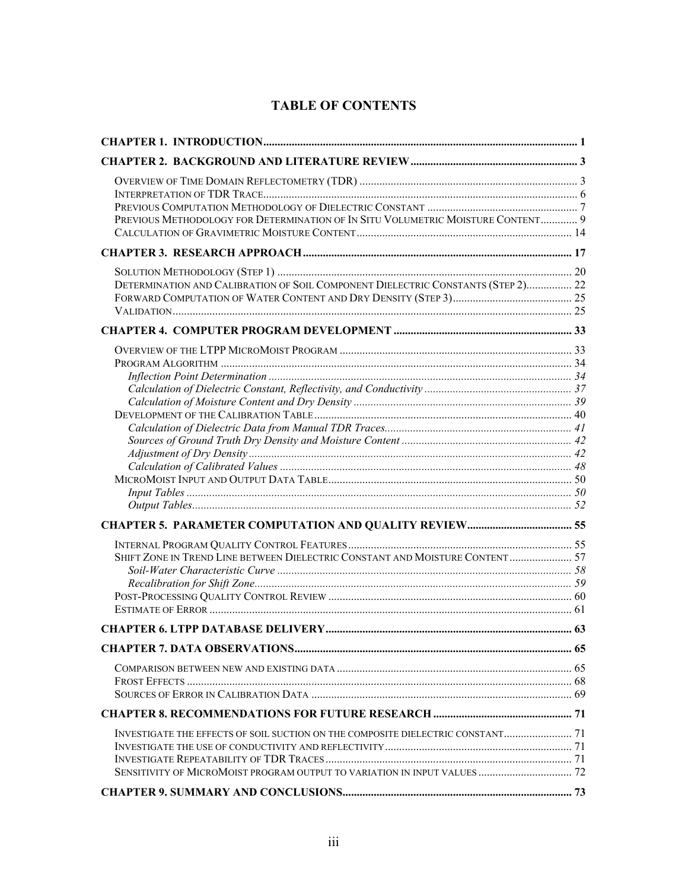# **TABLE OF CONTENTS**

| PREVIOUS METHODOLOGY FOR DETERMINATION OF IN SITU VOLUMETRIC MOISTURE CONTENT 9                                                                              |  |
|--------------------------------------------------------------------------------------------------------------------------------------------------------------|--|
|                                                                                                                                                              |  |
| DETERMINATION AND CALIBRATION OF SOIL COMPONENT DIELECTRIC CONSTANTS (STEP 2) 22                                                                             |  |
|                                                                                                                                                              |  |
| SHIFT ZONE IN TREND LINE BETWEEN DIELECTRIC CONSTANT AND MOISTURE CONTENT 57                                                                                 |  |
|                                                                                                                                                              |  |
|                                                                                                                                                              |  |
|                                                                                                                                                              |  |
|                                                                                                                                                              |  |
| INVESTIGATE THE EFFECTS OF SOIL SUCTION ON THE COMPOSITE DIELECTRIC CONSTANT 71<br>SENSITIVITY OF MICROMOIST PROGRAM OUTPUT TO VARIATION IN INPUT VALUES  72 |  |
|                                                                                                                                                              |  |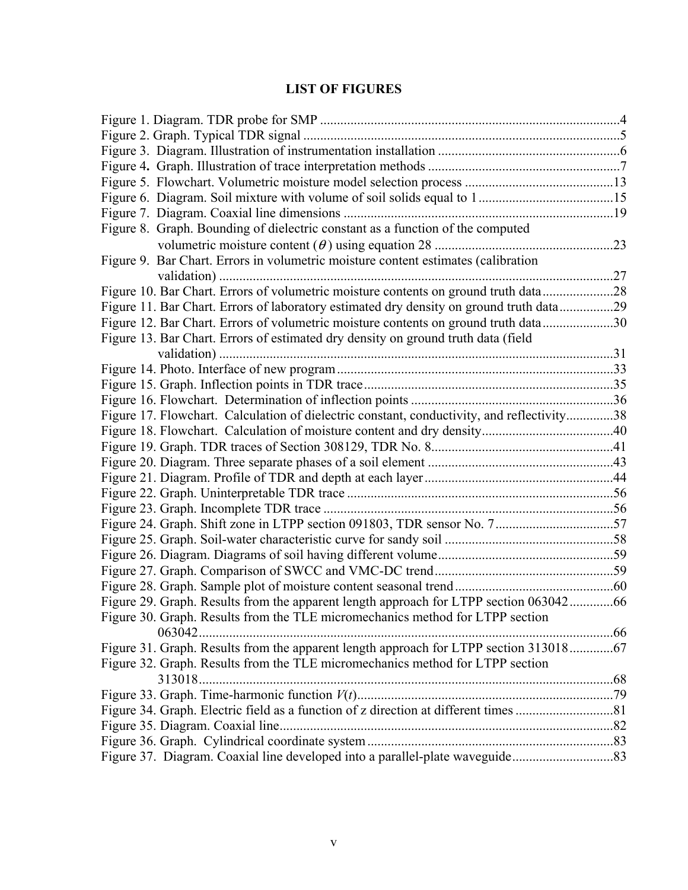# **LIST OF FIGURES**

| Figure 8. Graph. Bounding of dielectric constant as a function of the computed             |  |
|--------------------------------------------------------------------------------------------|--|
|                                                                                            |  |
| Figure 9. Bar Chart. Errors in volumetric moisture content estimates (calibration          |  |
|                                                                                            |  |
| Figure 10. Bar Chart. Errors of volumetric moisture contents on ground truth data28        |  |
| Figure 11. Bar Chart. Errors of laboratory estimated dry density on ground truth data29    |  |
| Figure 12. Bar Chart. Errors of volumetric moisture contents on ground truth data30        |  |
| Figure 13. Bar Chart. Errors of estimated dry density on ground truth data (field          |  |
|                                                                                            |  |
|                                                                                            |  |
|                                                                                            |  |
|                                                                                            |  |
| Figure 17. Flowchart. Calculation of dielectric constant, conductivity, and reflectivity38 |  |
|                                                                                            |  |
|                                                                                            |  |
|                                                                                            |  |
|                                                                                            |  |
|                                                                                            |  |
|                                                                                            |  |
|                                                                                            |  |
|                                                                                            |  |
|                                                                                            |  |
|                                                                                            |  |
|                                                                                            |  |
| Figure 29. Graph. Results from the apparent length approach for LTPP section 06304266      |  |
| Figure 30. Graph. Results from the TLE micromechanics method for LTPP section              |  |
| 063042                                                                                     |  |
| Figure 31. Graph. Results from the apparent length approach for LTPP section 31301867      |  |
| Figure 32. Graph. Results from the TLE micromechanics method for LTPP section              |  |
|                                                                                            |  |
|                                                                                            |  |
|                                                                                            |  |
|                                                                                            |  |
|                                                                                            |  |
| Figure 37. Diagram. Coaxial line developed into a parallel-plate waveguide83               |  |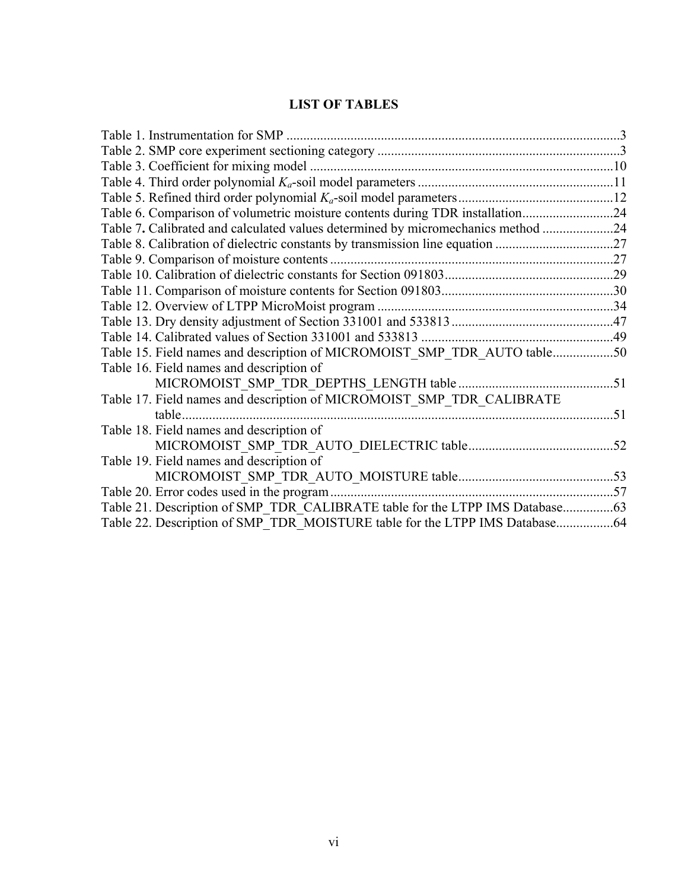# **LIST OF TABLES**

| Table 6. Comparison of volumetric moisture contents during TDR installation24    |     |
|----------------------------------------------------------------------------------|-----|
| Table 7. Calibrated and calculated values determined by micromechanics method 24 |     |
| Table 8. Calibration of dielectric constants by transmission line equation 27    |     |
|                                                                                  |     |
|                                                                                  |     |
|                                                                                  |     |
|                                                                                  |     |
|                                                                                  |     |
|                                                                                  |     |
| Table 15. Field names and description of MICROMOIST_SMP_TDR_AUTO table50         |     |
| Table 16. Field names and description of                                         |     |
|                                                                                  |     |
| Table 17. Field names and description of MICROMOIST SMP TDR CALIBRATE            |     |
| table.                                                                           | -51 |
| Table 18. Field names and description of                                         |     |
|                                                                                  |     |
| Table 19. Field names and description of                                         |     |
|                                                                                  |     |
|                                                                                  |     |
| Table 21. Description of SMP TDR CALIBRATE table for the LTPP IMS Database63     |     |
|                                                                                  |     |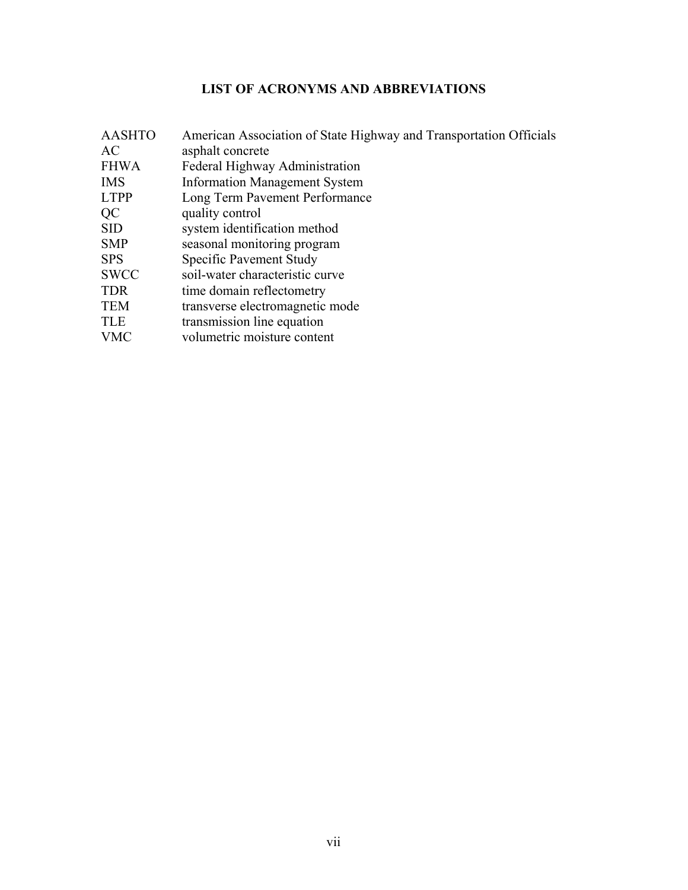# **LIST OF ACRONYMS AND ABBREVIATIONS**

| American Association of State Highway and Transportation Officials |
|--------------------------------------------------------------------|
| asphalt concrete                                                   |
| Federal Highway Administration                                     |
| <b>Information Management System</b>                               |
| Long Term Pavement Performance                                     |
| quality control                                                    |
| system identification method                                       |
| seasonal monitoring program                                        |
| Specific Pavement Study                                            |
| soil-water characteristic curve                                    |
| time domain reflectometry                                          |
| transverse electromagnetic mode                                    |
| transmission line equation                                         |
| volumetric moisture content                                        |
|                                                                    |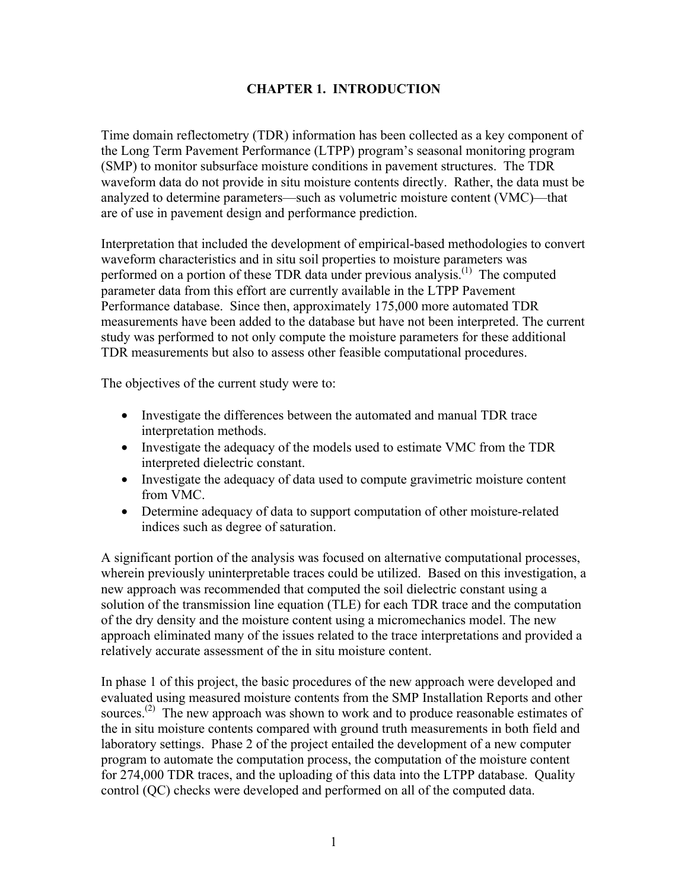## **CHAPTER 1. INTRODUCTION**

Time domain reflectometry (TDR) information has been collected as a key component of the Long Term Pavement Performance (LTPP) program's seasonal monitoring program (SMP) to monitor subsurface moisture conditions in pavement structures. The TDR waveform data do not provide in situ moisture contents directly. Rather, the data must be analyzed to determine parameters—such as volumetric moisture content (VMC)—that are of use in pavement design and performance prediction.

Interpretation that included the development of empirical-based methodologies to convert waveform characteristics and in situ soil properties to moisture parameters was performed on a portion of these TDR data under previous analysis.<sup>(1)</sup> The computed parameter data from this effort are currently available in the LTPP Pavement Performance database. Since then, approximately 175,000 more automated TDR measurements have been added to the database but have not been interpreted. The current study was performed to not only compute the moisture parameters for these additional TDR measurements but also to assess other feasible computational procedures.

The objectives of the current study were to:

- Investigate the differences between the automated and manual TDR trace interpretation methods.
- Investigate the adequacy of the models used to estimate VMC from the TDR interpreted dielectric constant.
- Investigate the adequacy of data used to compute gravimetric moisture content from VMC.
- Determine adequacy of data to support computation of other moisture-related indices such as degree of saturation.

A significant portion of the analysis was focused on alternative computational processes, wherein previously uninterpretable traces could be utilized. Based on this investigation, a new approach was recommended that computed the soil dielectric constant using a solution of the transmission line equation (TLE) for each TDR trace and the computation of the dry density and the moisture content using a micromechanics model. The new approach eliminated many of the issues related to the trace interpretations and provided a relatively accurate assessment of the in situ moisture content.

In phase 1 of this project, the basic procedures of the new approach were developed and evaluated using measured moisture contents from the SMP Installation Reports and other sources.<sup> $(2)$ </sup> The new approach was shown to work and to produce reasonable estimates of the in situ moisture contents compared with ground truth measurements in both field and laboratory settings. Phase 2 of the project entailed the development of a new computer program to automate the computation process, the computation of the moisture content for 274,000 TDR traces, and the uploading of this data into the LTPP database. Quality control (QC) checks were developed and performed on all of the computed data.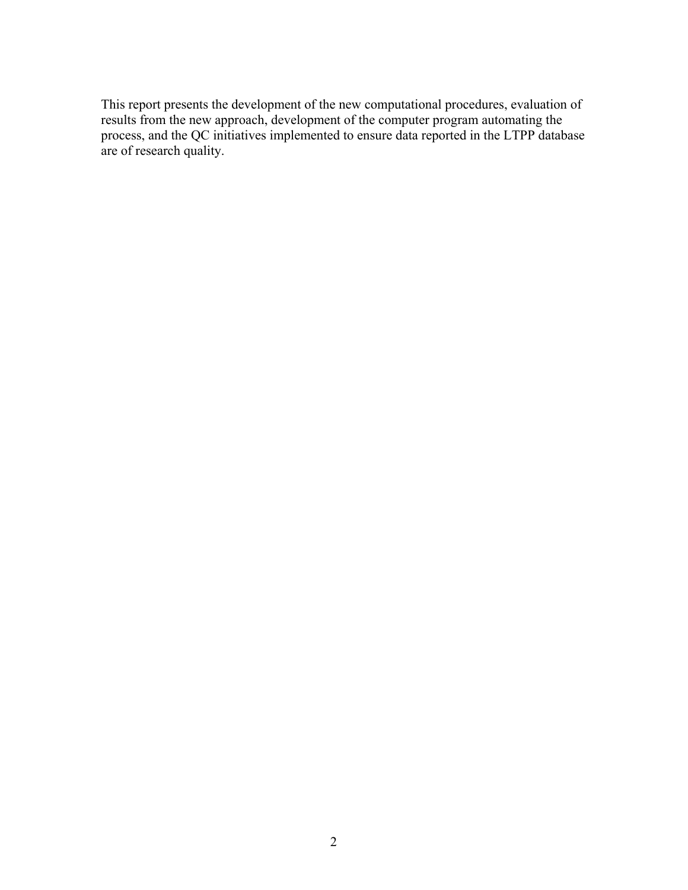This report presents the development of the new computational procedures, evaluation of results from the new approach, development of the computer program automating the process, and the QC initiatives implemented to ensure data reported in the LTPP database are of research quality.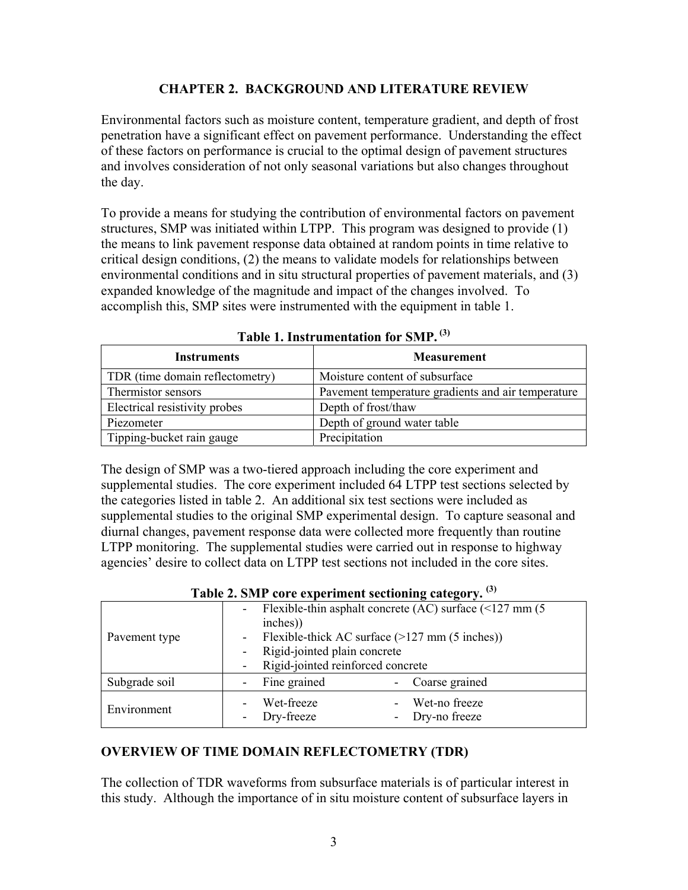## **CHAPTER 2. BACKGROUND AND LITERATURE REVIEW**

Environmental factors such as moisture content, temperature gradient, and depth of frost penetration have a significant effect on pavement performance. Understanding the effect of these factors on performance is crucial to the optimal design of pavement structures and involves consideration of not only seasonal variations but also changes throughout the day.

To provide a means for studying the contribution of environmental factors on pavement structures, SMP was initiated within LTPP. This program was designed to provide (1) the means to link pavement response data obtained at random points in time relative to critical design conditions, (2) the means to validate models for relationships between environmental conditions and in situ structural properties of pavement materials, and (3) expanded knowledge of the magnitude and impact of the changes involved. To accomplish this, SMP sites were instrumented with the equipment in table 1.

| <b>Instruments</b>              | <b>Measurement</b>                                 |  |  |  |
|---------------------------------|----------------------------------------------------|--|--|--|
| TDR (time domain reflectometry) | Moisture content of subsurface                     |  |  |  |
| Thermistor sensors              | Pavement temperature gradients and air temperature |  |  |  |
| Electrical resistivity probes   | Depth of frost/thaw                                |  |  |  |
| Piezometer                      | Depth of ground water table                        |  |  |  |
| Tipping-bucket rain gauge       | Precipitation                                      |  |  |  |

**Table 1. Instrumentation for SMP. (3)**

The design of SMP was a two-tiered approach including the core experiment and supplemental studies. The core experiment included 64 LTPP test sections selected by the categories listed in table 2. An additional six test sections were included as supplemental studies to the original SMP experimental design. To capture seasonal and diurnal changes, pavement response data were collected more frequently than routine LTPP monitoring. The supplemental studies were carried out in response to highway agencies' desire to collect data on LTPP test sections not included in the core sites.

| Table 2. Sivil core experiment secubiling category. |                                                                  |  |  |
|-----------------------------------------------------|------------------------------------------------------------------|--|--|
|                                                     | Flexible-thin asphalt concrete (AC) surface $($ 127 mm $(5)$     |  |  |
| inches))                                            |                                                                  |  |  |
|                                                     | Flexible-thick AC surface $(>127 \text{ mm} (5 \text{ inches}))$ |  |  |
|                                                     | Rigid-jointed plain concrete                                     |  |  |
| Rigid-jointed reinforced concrete                   |                                                                  |  |  |
| Fine grained                                        | Coarse grained                                                   |  |  |
| Wet-freeze                                          | Wet-no freeze                                                    |  |  |
| Dry-freeze                                          | Dry-no freeze                                                    |  |  |
|                                                     |                                                                  |  |  |

|  |  | Table 2. SMP core experiment sectioning category. <sup>(3)</sup> |  |
|--|--|------------------------------------------------------------------|--|
|--|--|------------------------------------------------------------------|--|

## **OVERVIEW OF TIME DOMAIN REFLECTOMETRY (TDR)**

The collection of TDR waveforms from subsurface materials is of particular interest in this study. Although the importance of in situ moisture content of subsurface layers in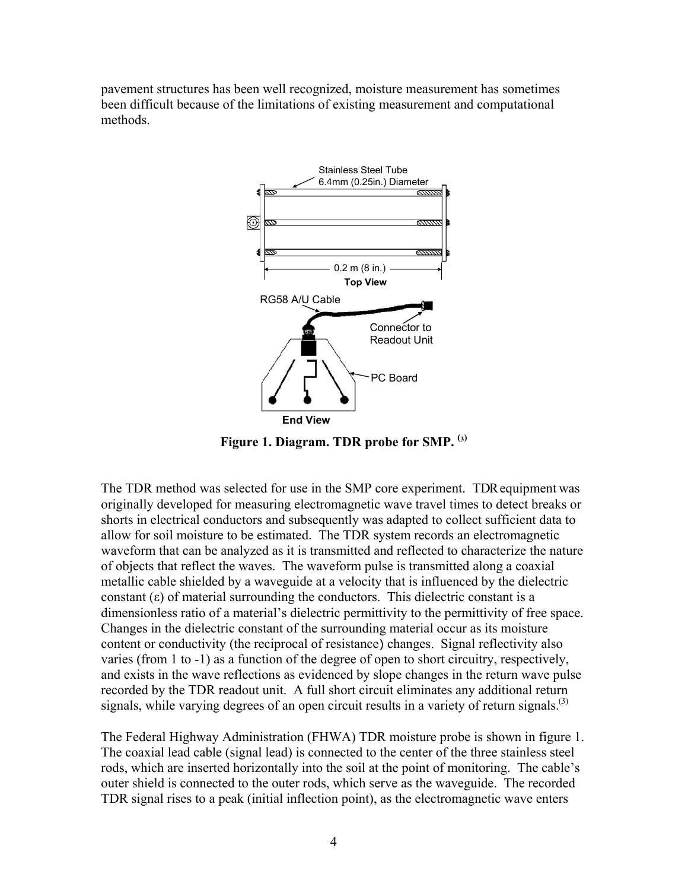pavement structures has been well recognized, moisture measurement has sometimes been difficult because of the limitations of existing measurement and computational methods.



**Figure 1. Diagram. TDR probe for SMP. (3)**

The TDR method was selected for use in the SMP core experiment. TDR equipment was originally developed for measuring electromagnetic wave travel times to detect breaks or shorts in electrical conductors and subsequently was adapted to collect sufficient data to allow for soil moisture to be estimated. The TDR system records an electromagnetic waveform that can be analyzed as it is transmitted and reflected to characterize the nature of objects that reflect the waves. The waveform pulse is transmitted along a coaxial metallic cable shielded by a waveguide at a velocity that is influenced by the dielectric constant  $(\epsilon)$  of material surrounding the conductors. This dielectric constant is a dimensionless ratio of a material's dielectric permittivity to the permittivity of free space. Changes in the dielectric constant of the surrounding material occur as its moisture content or conductivity (the reciprocal of resistance) changes. Signal reflectivity also varies (from 1 to -1) as a function of the degree of open to short circuitry, respectively, and exists in the wave reflections as evidenced by slope changes in the return wave pulse recorded by the TDR readout unit. A full short circuit eliminates any additional return signals, while varying degrees of an open circuit results in a variety of return signals.<sup>(3)</sup>

The Federal Highway Administration (FHWA) TDR moisture probe is shown in figure 1. The coaxial lead cable (signal lead) is connected to the center of the three stainless steel rods, which are inserted horizontally into the soil at the point of monitoring. The cable's outer shield is connected to the outer rods, which serve as the waveguide. The recorded TDR signal rises to a peak (initial inflection point), as the electromagnetic wave enters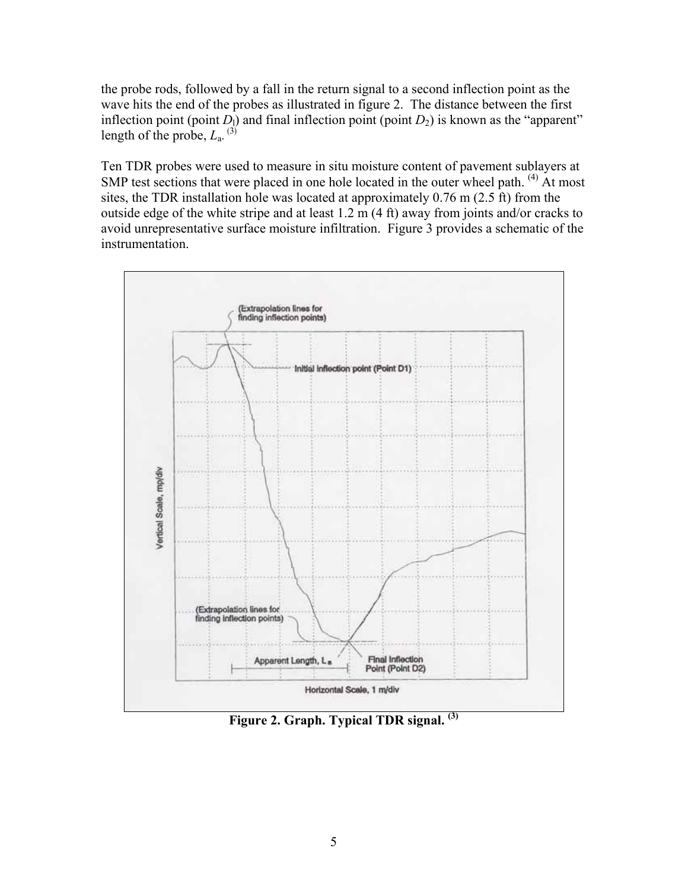the probe rods, followed by a fall in the return signal to a second inflection point as the wave hits the end of the probes as illustrated in figure 2. The distance between the first inflection point (point  $D_1$ ) and final inflection point (point  $D_2$ ) is known as the "apparent" length of the probe,  $L_a$ . (3)

Ten TDR probes were used to measure in situ moisture content of pavement sublayers at SMP test sections that were placed in one hole located in the outer wheel path. <sup>(4)</sup> At most sites, the TDR installation hole was located at approximately 0.76 m (2.5 ft) from the outside edge of the white stripe and at least 1.2 m (4 ft) away from joints and/or cracks to avoid unrepresentative surface moisture infiltration. Figure 3 provides a schematic of the instrumentation.



**Figure 2. Graph. Typical TDR signal. (3)**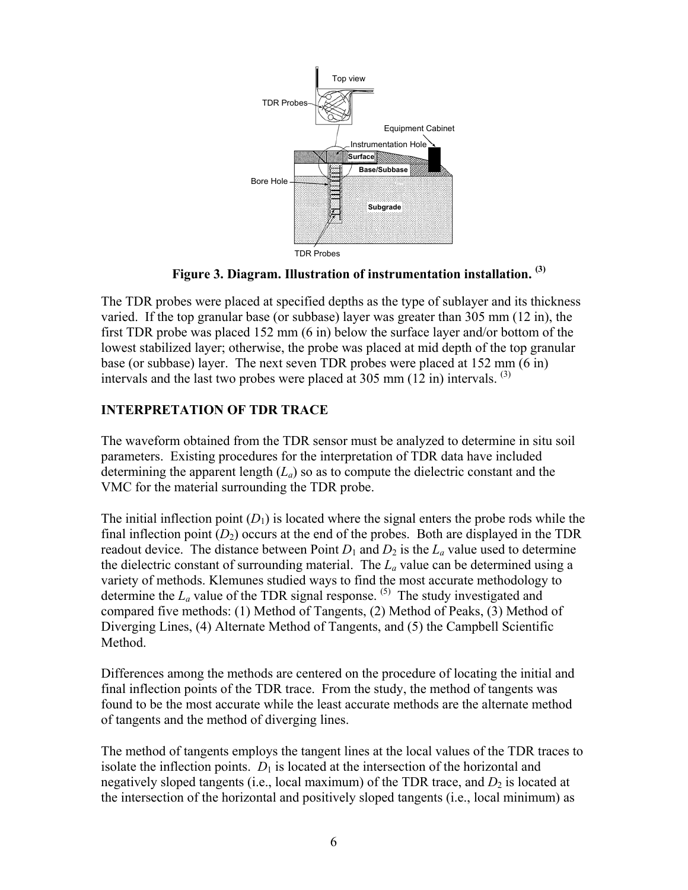

**Figure 3. Diagram. Illustration of instrumentation installation. (3)** 

The TDR probes were placed at specified depths as the type of sublayer and its thickness varied. If the top granular base (or subbase) layer was greater than 305 mm (12 in), the first TDR probe was placed 152 mm (6 in) below the surface layer and/or bottom of the lowest stabilized layer; otherwise, the probe was placed at mid depth of the top granular base (or subbase) layer. The next seven TDR probes were placed at 152 mm (6 in) intervals and the last two probes were placed at 305 mm  $(12 \text{ in})$  intervals. <sup>(3)</sup>

# **INTERPRETATION OF TDR TRACE**

The waveform obtained from the TDR sensor must be analyzed to determine in situ soil parameters. Existing procedures for the interpretation of TDR data have included determining the apparent length  $(L_a)$  so as to compute the dielectric constant and the VMC for the material surrounding the TDR probe.

The initial inflection point  $(D_1)$  is located where the signal enters the probe rods while the final inflection point  $(D_2)$  occurs at the end of the probes. Both are displayed in the TDR readout device. The distance between Point  $D_1$  and  $D_2$  is the  $L_a$  value used to determine the dielectric constant of surrounding material. The  $L_a$  value can be determined using a variety of methods. Klemunes studied ways to find the most accurate methodology to determine the  $L_a$  value of the TDR signal response. <sup>(5)</sup> The study investigated and compared five methods: (1) Method of Tangents, (2) Method of Peaks, (3) Method of Diverging Lines, (4) Alternate Method of Tangents, and (5) the Campbell Scientific Method.

Differences among the methods are centered on the procedure of locating the initial and final inflection points of the TDR trace. From the study, the method of tangents was found to be the most accurate while the least accurate methods are the alternate method of tangents and the method of diverging lines.

The method of tangents employs the tangent lines at the local values of the TDR traces to isolate the inflection points.  $D_1$  is located at the intersection of the horizontal and negatively sloped tangents (i.e., local maximum) of the TDR trace, and  $D_2$  is located at the intersection of the horizontal and positively sloped tangents (i.e., local minimum) as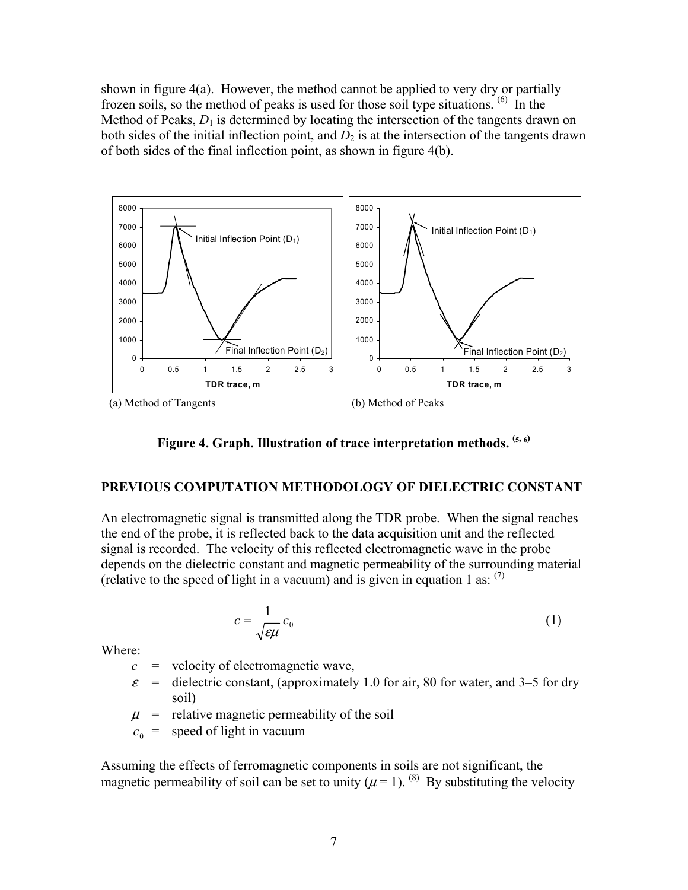shown in figure  $4(a)$ . However, the method cannot be applied to very dry or partially frozen soils, so the method of peaks is used for those soil type situations. (6) In the Method of Peaks,  $D_1$  is determined by locating the intersection of the tangents drawn on both sides of the initial inflection point, and  $D_2$  is at the intersection of the tangents drawn of both sides of the final inflection point, as shown in figure 4(b).



**Figure 4. Graph. Illustration of trace interpretation methods. (5, 6)**

#### **PREVIOUS COMPUTATION METHODOLOGY OF DIELECTRIC CONSTANT**

An electromagnetic signal is transmitted along the TDR probe. When the signal reaches the end of the probe, it is reflected back to the data acquisition unit and the reflected signal is recorded. The velocity of this reflected electromagnetic wave in the probe depends on the dielectric constant and magnetic permeability of the surrounding material (relative to the speed of light in a vacuum) and is given in equation 1 as:  $(7)$ 

$$
c = \frac{1}{\sqrt{\varepsilon\mu}} c_0 \tag{1}
$$

Where:

- $c =$  velocity of electromagnetic wave,
- $\varepsilon$  = dielectric constant, (approximately 1.0 for air, 80 for water, and 3–5 for dry soil)
- $\mu$  = relative magnetic permeability of the soil
- $c_0$  = speed of light in vacuum

Assuming the effects of ferromagnetic components in soils are not significant, the magnetic permeability of soil can be set to unity ( $\mu$  = 1). <sup>(8)</sup> By substituting the velocity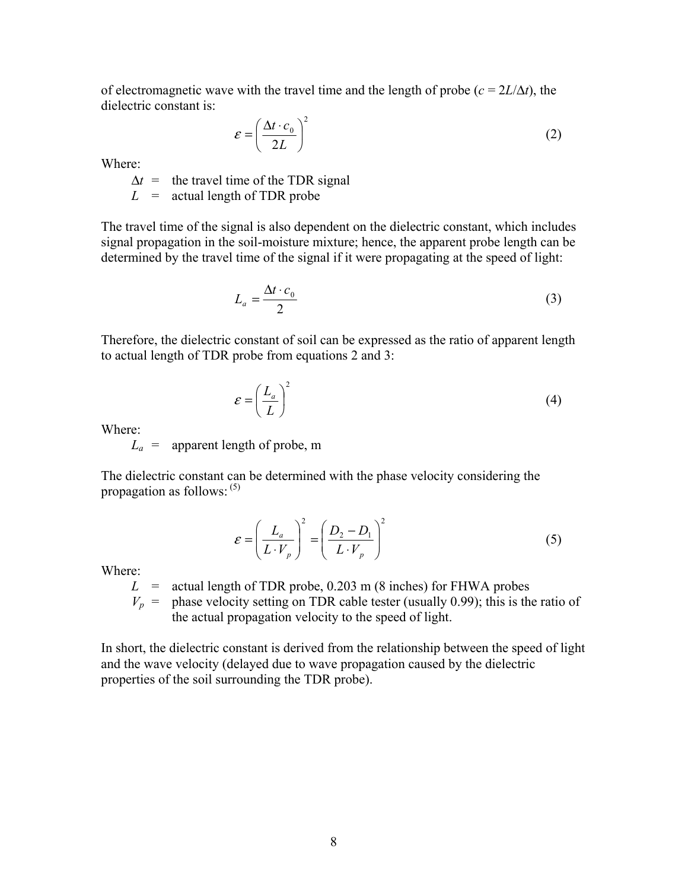of electromagnetic wave with the travel time and the length of probe  $(c = 2L/\Delta t)$ , the dielectric constant is:

$$
\varepsilon = \left(\frac{\Delta t \cdot c_0}{2L}\right)^2 \tag{2}
$$

Where:

 $\Delta t$  = the travel time of the TDR signal

 $L = \text{actual length of TDR probe}$ 

The travel time of the signal is also dependent on the dielectric constant, which includes signal propagation in the soil-moisture mixture; hence, the apparent probe length can be determined by the travel time of the signal if it were propagating at the speed of light:

$$
L_a = \frac{\Delta t \cdot c_0}{2} \tag{3}
$$

Therefore, the dielectric constant of soil can be expressed as the ratio of apparent length to actual length of TDR probe from equations 2 and 3:

$$
\varepsilon = \left(\frac{L_a}{L}\right)^2\tag{4}
$$

Where:

 $L_a$  = apparent length of probe, m

The dielectric constant can be determined with the phase velocity considering the propagation as follows:  $(5)$ 

$$
\varepsilon = \left(\frac{L_a}{L \cdot V_p}\right)^2 = \left(\frac{D_2 - D_1}{L \cdot V_p}\right)^2\tag{5}
$$

Where:

 $L =$  actual length of TDR probe, 0.203 m (8 inches) for FHWA probes

 $V_p$  = phase velocity setting on TDR cable tester (usually 0.99); this is the ratio of the actual propagation velocity to the speed of light.

In short, the dielectric constant is derived from the relationship between the speed of light and the wave velocity (delayed due to wave propagation caused by the dielectric properties of the soil surrounding the TDR probe).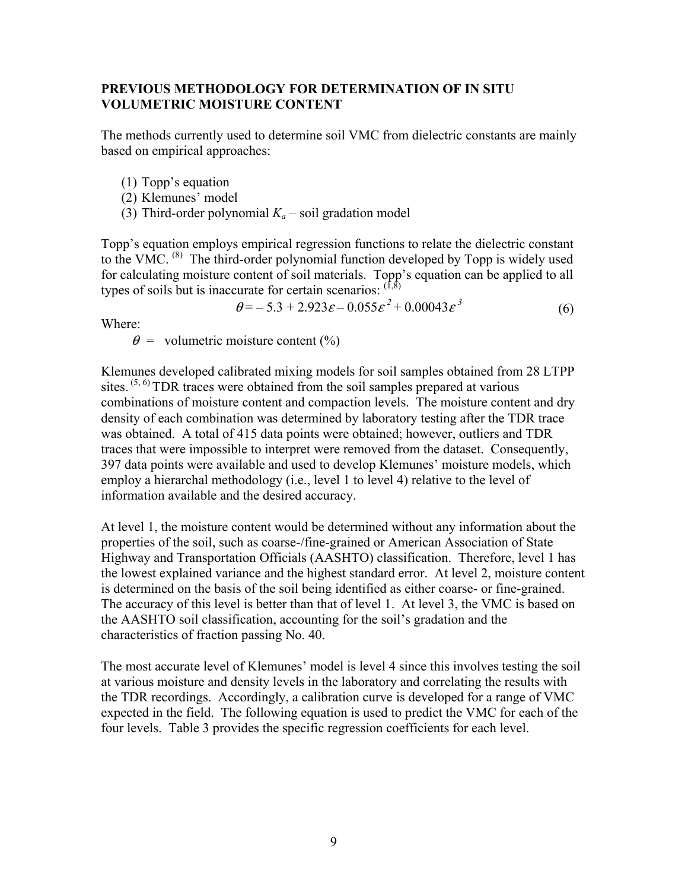## **PREVIOUS METHODOLOGY FOR DETERMINATION OF IN SITU VOLUMETRIC MOISTURE CONTENT**

The methods currently used to determine soil VMC from dielectric constants are mainly based on empirical approaches:

(1) Topp's equation

- (2) Klemunes' model
- (3) Third-order polynomial  $K_a$  soil gradation model

Topp's equation employs empirical regression functions to relate the dielectric constant to the VMC. <sup>(8)</sup> The third-order polynomial function developed by Topp is widely used for calculating moisture content of soil materials. Topp's equation can be applied to all types of soils but is inaccurate for certain scenarios:  $(1,8)$ 

$$
\theta = -5.3 + 2.923 \varepsilon - 0.055 \varepsilon^{2} + 0.00043 \varepsilon^{3}
$$
 (6)

Where:

 $\theta$  = volumetric moisture content (%)

Klemunes developed calibrated mixing models for soil samples obtained from 28 LTPP sites.  $(5, 6)$  TDR traces were obtained from the soil samples prepared at various combinations of moisture content and compaction levels. The moisture content and dry density of each combination was determined by laboratory testing after the TDR trace was obtained. A total of 415 data points were obtained; however, outliers and TDR traces that were impossible to interpret were removed from the dataset. Consequently, 397 data points were available and used to develop Klemunes' moisture models, which employ a hierarchal methodology (i.e., level 1 to level 4) relative to the level of information available and the desired accuracy.

At level 1, the moisture content would be determined without any information about the properties of the soil, such as coarse-/fine-grained or American Association of State Highway and Transportation Officials (AASHTO) classification. Therefore, level 1 has the lowest explained variance and the highest standard error. At level 2, moisture content is determined on the basis of the soil being identified as either coarse- or fine-grained. The accuracy of this level is better than that of level 1. At level 3, the VMC is based on the AASHTO soil classification, accounting for the soil's gradation and the characteristics of fraction passing No. 40.

The most accurate level of Klemunes' model is level 4 since this involves testing the soil at various moisture and density levels in the laboratory and correlating the results with the TDR recordings. Accordingly, a calibration curve is developed for a range of VMC expected in the field. The following equation is used to predict the VMC for each of the four levels. Table 3 provides the specific regression coefficients for each level.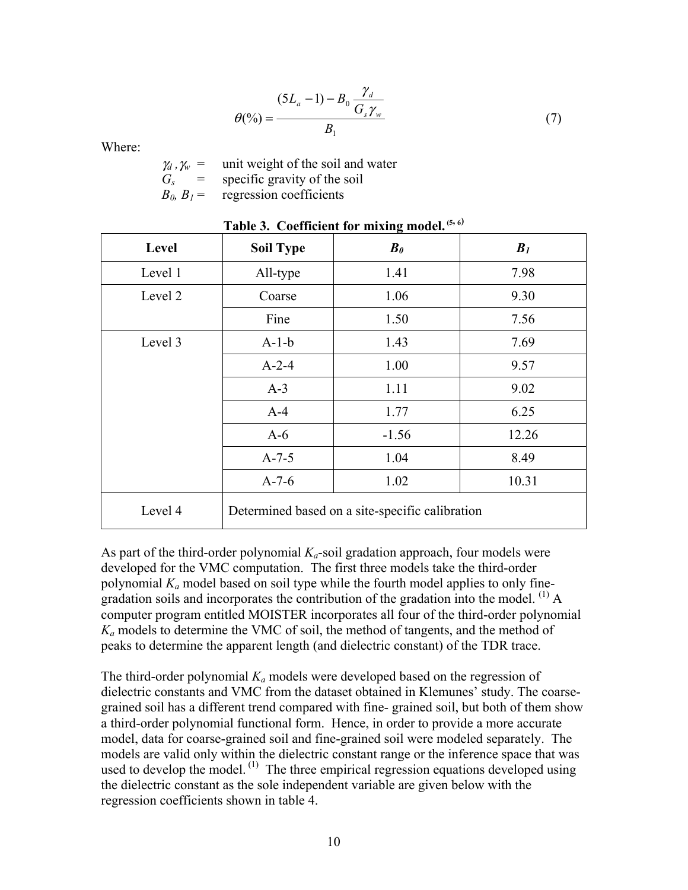$$
\theta(\%) = \frac{(5L_a - 1) - B_0 \frac{\gamma_d}{G_s \gamma_w}}{B_1} \tag{7}
$$

Where:

 $\gamma_d$ ,  $\gamma_w$  = unit weight of the soil and water  $G_s$  = specific gravity of the soil<br> $B_0, B_1$  = regression coefficients regression coefficients

| Level   | <b>Soil Type</b> | $B_{\theta}$                                    | B <sub>I</sub> |
|---------|------------------|-------------------------------------------------|----------------|
| Level 1 | All-type         | 1.41                                            | 7.98           |
| Level 2 | Coarse           | 1.06                                            | 9.30           |
|         | Fine             | 1.50                                            | 7.56           |
| Level 3 | $A-1-b$          | 1.43                                            | 7.69           |
|         | $A-2-4$          | 1.00                                            | 9.57           |
|         | $A-3$            | 1.11                                            | 9.02           |
|         | $A-4$            | 1.77                                            | 6.25           |
|         | $A-6$            | $-1.56$                                         | 12.26          |
|         | $A-7-5$          | 1.04                                            | 8.49           |
|         | $A-7-6$          | 1.02                                            | 10.31          |
| Level 4 |                  | Determined based on a site-specific calibration |                |

## **Table 3. Coefficient for mixing model. (5, 6)**

As part of the third-order polynomial  $K_a$ -soil gradation approach, four models were developed for the VMC computation. The first three models take the third-order polynomial *Ka* model based on soil type while the fourth model applies to only finegradation soils and incorporates the contribution of the gradation into the model.  $^{(1)}$  A computer program entitled MOISTER incorporates all four of the third-order polynomial *Ka* models to determine the VMC of soil, the method of tangents, and the method of peaks to determine the apparent length (and dielectric constant) of the TDR trace.

The third-order polynomial  $K_a$  models were developed based on the regression of dielectric constants and VMC from the dataset obtained in Klemunes' study. The coarsegrained soil has a different trend compared with fine- grained soil, but both of them show a third-order polynomial functional form. Hence, in order to provide a more accurate model, data for coarse-grained soil and fine-grained soil were modeled separately. The models are valid only within the dielectric constant range or the inference space that was used to develop the model.<sup>(1)</sup> The three empirical regression equations developed using the dielectric constant as the sole independent variable are given below with the regression coefficients shown in table 4.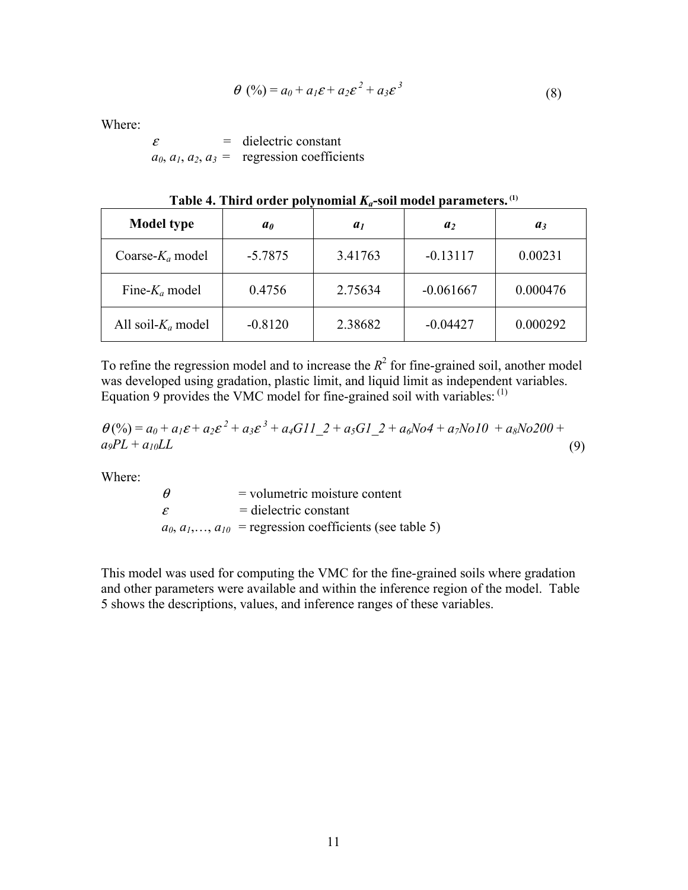$$
\theta\left(\frac{\%}{\theta}\right) = a_0 + a_1 \varepsilon + a_2 \varepsilon^2 + a_3 \varepsilon^3 \tag{8}
$$

Where:

 $\varepsilon$  = dielectric constant  $a_0, a_1, a_2, a_3$  = regression coefficients

| <b>Model type</b>     | a <sub>0</sub> | a <sub>1</sub> | a <sub>2</sub> | $a_3$    |
|-----------------------|----------------|----------------|----------------|----------|
| Coarse- $K_a$ model   | $-5.7875$      | 3.41763        | $-0.13117$     | 0.00231  |
| Fine- $K_a$ model     | 0.4756         | 2.75634        | $-0.061667$    | 0.000476 |
| All soil- $K_a$ model | $-0.8120$      | 2.38682        | $-0.04427$     | 0.000292 |

Table 4. Third order polynomial  $K_a$ -soil model parameters.<sup>(1)</sup>

To refine the regression model and to increase the  $R^2$  for fine-grained soil, another model was developed using gradation, plastic limit, and liquid limit as independent variables. Equation 9 provides the VMC model for fine-grained soil with variables:  $<sup>(1)</sup>$ </sup>

$$
\theta(\%) = a_0 + a_1 \varepsilon + a_2 \varepsilon^2 + a_3 \varepsilon^3 + a_4 G I I_2 + a_5 G I_2 + a_6 N o 4 + a_7 N o 10 + a_8 N o 200 + a_9 PL + a_{10} LL
$$
\n(9)

Where:

 $\theta$  = volumetric moisture content  $\varepsilon$  = dielectric constant  $a_0, a_1, \ldots, a_{10}$  = regression coefficients (see table 5)

This model was used for computing the VMC for the fine-grained soils where gradation and other parameters were available and within the inference region of the model. Table 5 shows the descriptions, values, and inference ranges of these variables.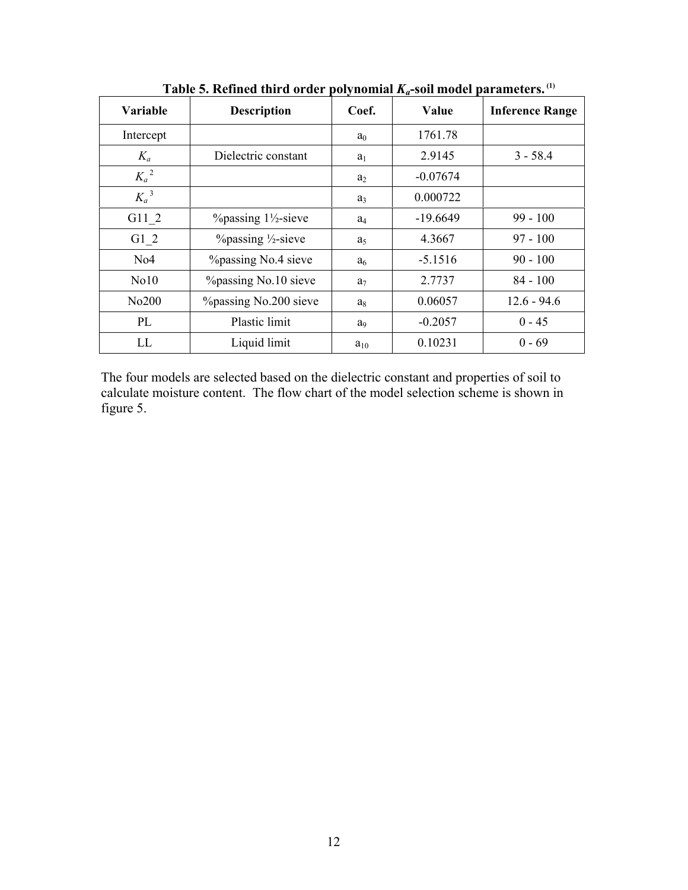| Variable          | <b>Description</b>                                | Coef.          | Value      | <b>Inference Range</b> |
|-------------------|---------------------------------------------------|----------------|------------|------------------------|
| Intercept         |                                                   | a <sub>0</sub> | 1761.78    |                        |
| $K_a$             | Dielectric constant                               | $a_1$          | 2.9145     | $3 - 58.4$             |
| $K_a{}^2$         |                                                   | $a_2$          | $-0.07674$ |                        |
| $K_a{}^3$         |                                                   | $a_3$          | 0.000722   |                        |
| G11 2             | $\%$ passing 1 <sup>1</sup> / <sub>2</sub> -sieve | $a_4$          | $-19.6649$ | $99 - 100$             |
| G1 2              | $\%$ passing $\frac{1}{2}$ -sieve                 | a <sub>5</sub> | 4.3667     | $97 - 100$             |
| No4               | <i>Y</i> <sub>opassing</sub> No.4 sieve           | a <sub>6</sub> | $-5.1516$  | $90 - 100$             |
| N <sub>0</sub> 10 | %passing No.10 sieve                              | a <sub>7</sub> | 2.7737     | $84 - 100$             |
| No200             | %passing No.200 sieve                             | $a_8$          | 0.06057    | $12.6 - 94.6$          |
| PL                | Plastic limit                                     | a <sub>9</sub> | $-0.2057$  | $0 - 45$               |
| LL                | Liquid limit                                      | $a_{10}$       | 0.10231    | $0 - 69$               |

Table 5. Refined third order polynomial  $K_a$ -soil model parameters.<sup>(1)</sup>

The four models are selected based on the dielectric constant and properties of soil to calculate moisture content. The flow chart of the model selection scheme is shown in figure 5.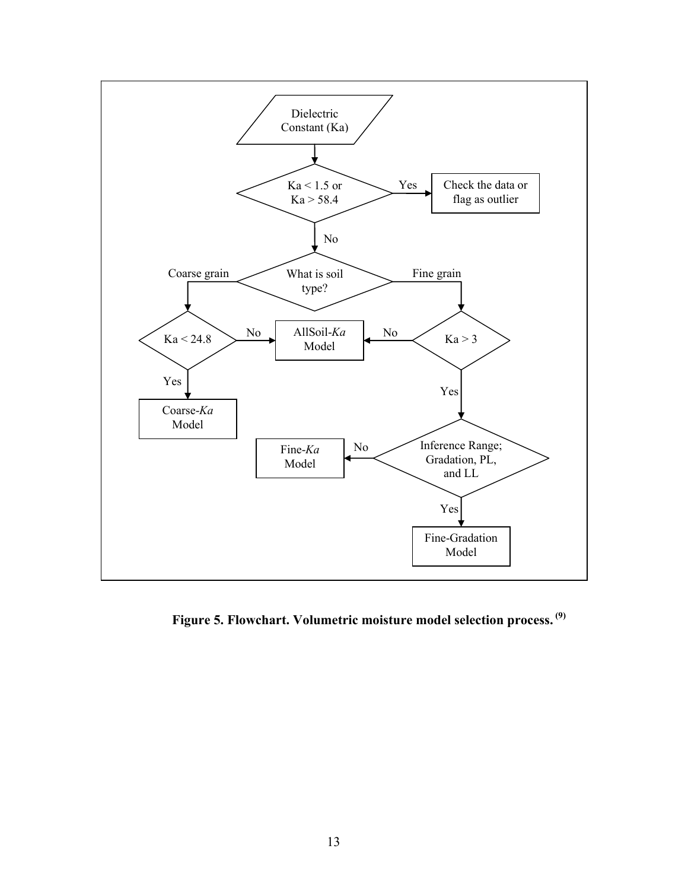

**Figure 5. Flowchart. Volumetric moisture model selection process. (9)**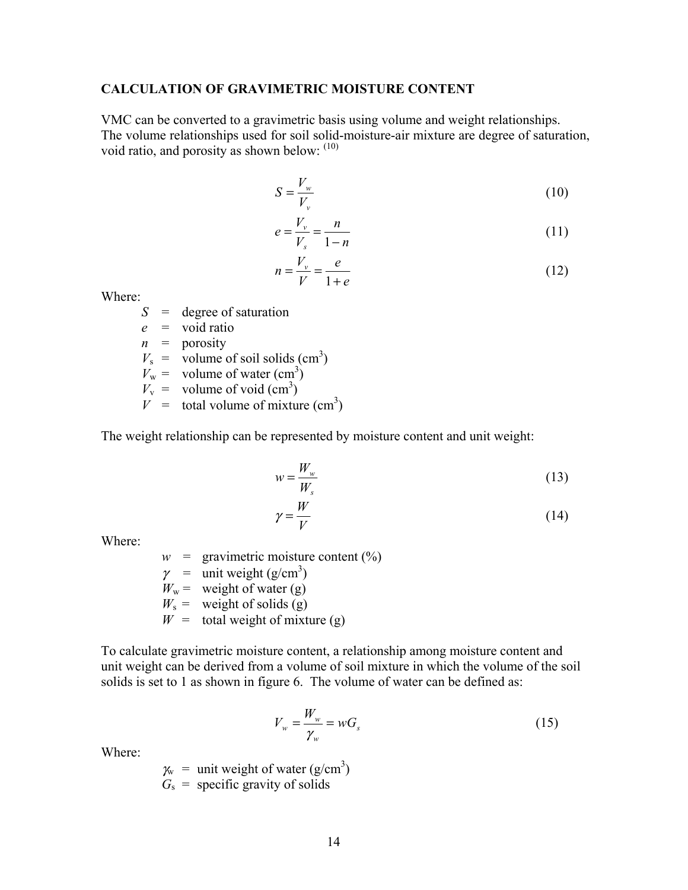#### **CALCULATION OF GRAVIMETRIC MOISTURE CONTENT**

VMC can be converted to a gravimetric basis using volume and weight relationships. The volume relationships used for soil solid-moisture-air mixture are degree of saturation, void ratio, and porosity as shown below:  $(10)$ 

$$
S = \frac{V_w}{V_v} \tag{10}
$$

$$
e = \frac{V_v}{V_s} = \frac{n}{1 - n}
$$
\n(11)

$$
n = \frac{V_v}{V} = \frac{e}{1+e} \tag{12}
$$

Where:

*S* = degree of saturation

$$
e =
$$
 void ratio

 $n =$  porosity

 $V_s$  = volume of soil solids (cm<sup>3</sup>)

 $V_w$  = volume of water (cm<sup>3</sup>)

 $V_v$  = volume of void  $(cm^3)$ 

 $V =$  total volume of mixture (cm<sup>3</sup>)

The weight relationship can be represented by moisture content and unit weight:

$$
w = \frac{W_w}{W_s} \tag{13}
$$

$$
\gamma = \frac{W}{V} \tag{14}
$$

Where:

 $w =$  gravimetric moisture content  $(\%)$  $\gamma$  = unit weight (g/cm<sup>3</sup>)  $W_w$  = weight of water (g)  $W_s$  = weight of solids (g)  $W =$  total weight of mixture (g)

To calculate gravimetric moisture content, a relationship among moisture content and unit weight can be derived from a volume of soil mixture in which the volume of the soil solids is set to 1 as shown in figure 6. The volume of water can be defined as:

$$
V_w = \frac{W_w}{\gamma_w} = wG_s \tag{15}
$$

Where:

 $\chi$ <sup>w</sup> = unit weight of water (g/cm<sup>3</sup>)

 $G<sub>s</sub>$  = specific gravity of solids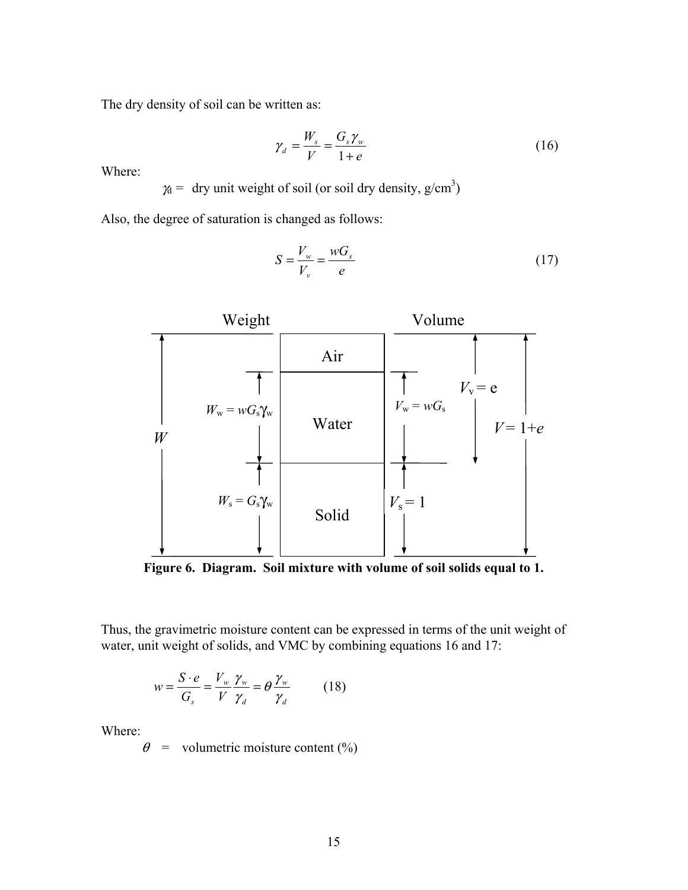The dry density of soil can be written as:

$$
\gamma_d = \frac{W_s}{V} = \frac{G_s \gamma_w}{1 + e} \tag{16}
$$

Where:

 $\gamma_d$  = dry unit weight of soil (or soil dry density, g/cm<sup>3</sup>)

Also, the degree of saturation is changed as follows:

$$
S = \frac{V_w}{V_v} = \frac{wG_s}{e} \tag{17}
$$



**Figure 6. Diagram. Soil mixture with volume of soil solids equal to 1.** 

Thus, the gravimetric moisture content can be expressed in terms of the unit weight of water, unit weight of solids, and VMC by combining equations 16 and 17:

$$
w = \frac{S \cdot e}{G_s} = \frac{V_w}{V} \frac{\gamma_w}{\gamma_d} = \theta \frac{\gamma_w}{\gamma_d} \tag{18}
$$

Where:

 $\theta$  = volumetric moisture content (%)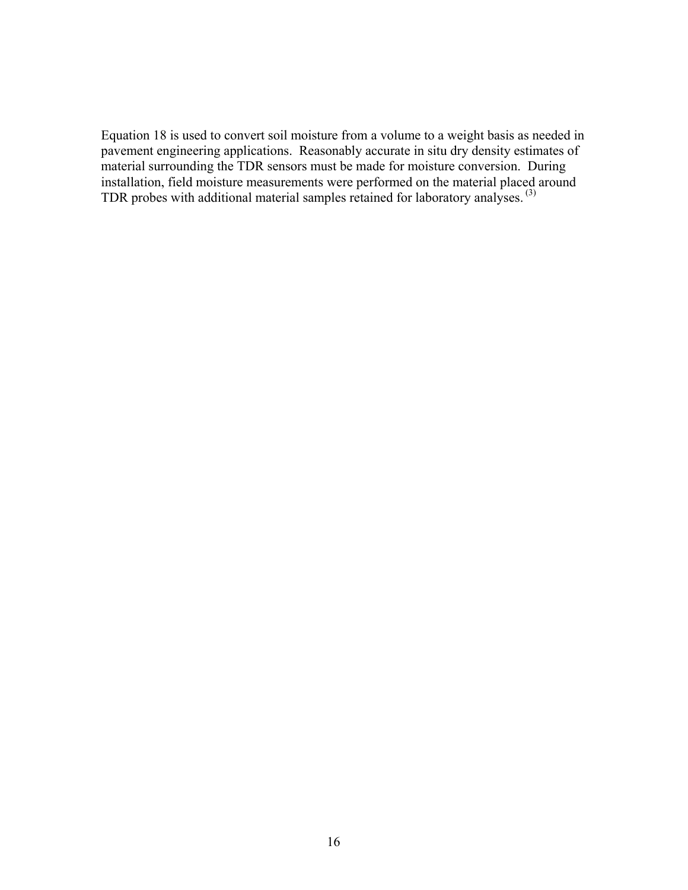Equation 18 is used to convert soil moisture from a volume to a weight basis as needed in pavement engineering applications. Reasonably accurate in situ dry density estimates of material surrounding the TDR sensors must be made for moisture conversion. During installation, field moisture measurements were performed on the material placed around TDR probes with additional material samples retained for laboratory analyses. (3)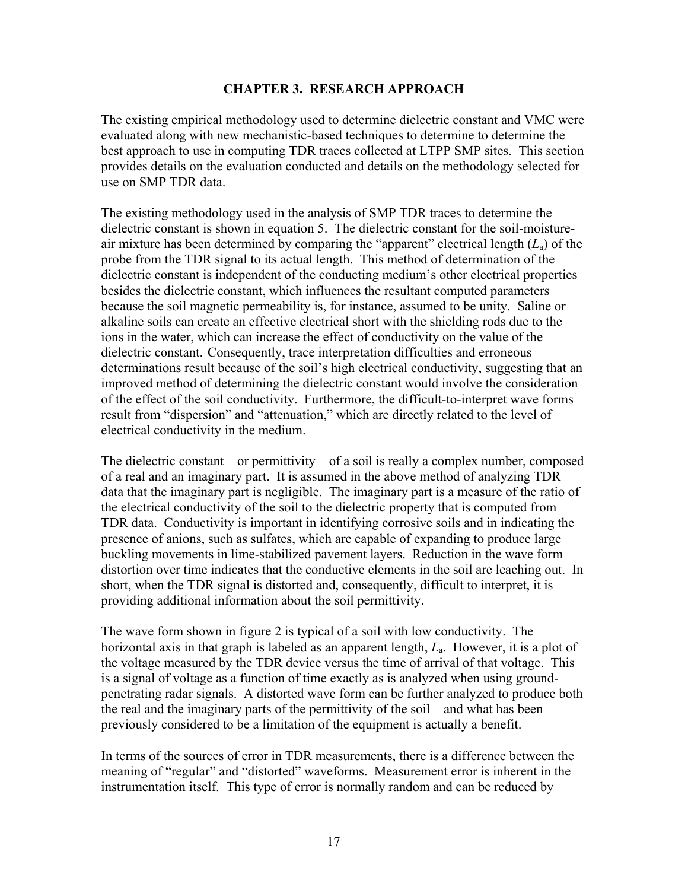## **CHAPTER 3. RESEARCH APPROACH**

The existing empirical methodology used to determine dielectric constant and VMC were evaluated along with new mechanistic-based techniques to determine to determine the best approach to use in computing TDR traces collected at LTPP SMP sites. This section provides details on the evaluation conducted and details on the methodology selected for use on SMP TDR data.

The existing methodology used in the analysis of SMP TDR traces to determine the dielectric constant is shown in equation 5. The dielectric constant for the soil-moistureair mixture has been determined by comparing the "apparent" electrical length (*L*a) of the probe from the TDR signal to its actual length. This method of determination of the dielectric constant is independent of the conducting medium's other electrical properties besides the dielectric constant, which influences the resultant computed parameters because the soil magnetic permeability is, for instance, assumed to be unity. Saline or alkaline soils can create an effective electrical short with the shielding rods due to the ions in the water, which can increase the effect of conductivity on the value of the dielectric constant. Consequently, trace interpretation difficulties and erroneous determinations result because of the soil's high electrical conductivity, suggesting that an improved method of determining the dielectric constant would involve the consideration of the effect of the soil conductivity. Furthermore, the difficult-to-interpret wave forms result from "dispersion" and "attenuation," which are directly related to the level of electrical conductivity in the medium.

The dielectric constant—or permittivity—of a soil is really a complex number, composed of a real and an imaginary part. It is assumed in the above method of analyzing TDR data that the imaginary part is negligible. The imaginary part is a measure of the ratio of the electrical conductivity of the soil to the dielectric property that is computed from TDR data. Conductivity is important in identifying corrosive soils and in indicating the presence of anions, such as sulfates, which are capable of expanding to produce large buckling movements in lime-stabilized pavement layers. Reduction in the wave form distortion over time indicates that the conductive elements in the soil are leaching out. In short, when the TDR signal is distorted and, consequently, difficult to interpret, it is providing additional information about the soil permittivity.

The wave form shown in figure 2 is typical of a soil with low conductivity. The horizontal axis in that graph is labeled as an apparent length, *L*a. However, it is a plot of the voltage measured by the TDR device versus the time of arrival of that voltage. This is a signal of voltage as a function of time exactly as is analyzed when using groundpenetrating radar signals. A distorted wave form can be further analyzed to produce both the real and the imaginary parts of the permittivity of the soil—and what has been previously considered to be a limitation of the equipment is actually a benefit.

In terms of the sources of error in TDR measurements, there is a difference between the meaning of "regular" and "distorted" waveforms. Measurement error is inherent in the instrumentation itself. This type of error is normally random and can be reduced by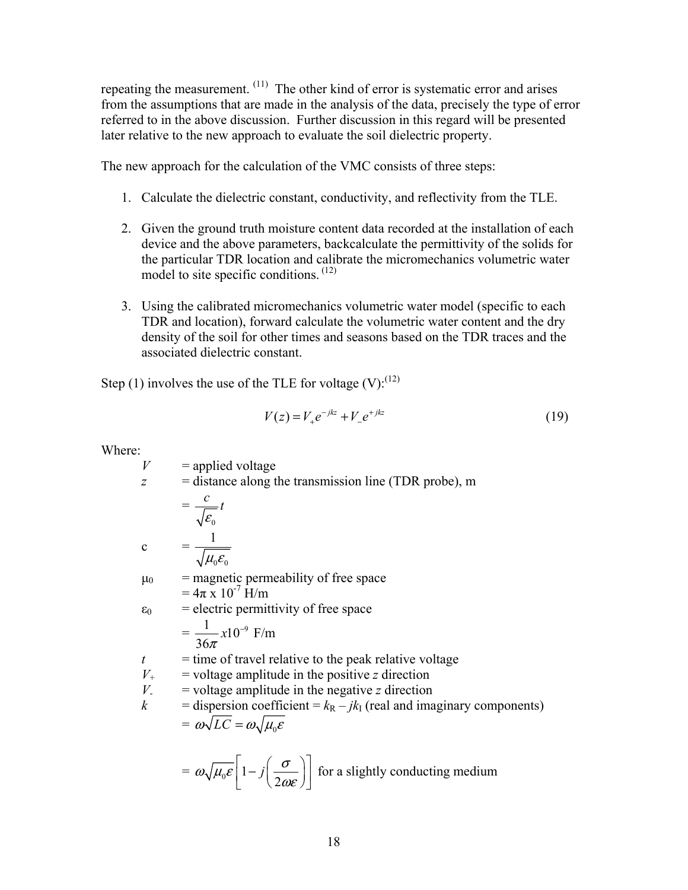repeating the measurement. (11) The other kind of error is systematic error and arises from the assumptions that are made in the analysis of the data, precisely the type of error referred to in the above discussion. Further discussion in this regard will be presented later relative to the new approach to evaluate the soil dielectric property.

The new approach for the calculation of the VMC consists of three steps:

- 1. Calculate the dielectric constant, conductivity, and reflectivity from the TLE.
- 2. Given the ground truth moisture content data recorded at the installation of each device and the above parameters, backcalculate the permittivity of the solids for the particular TDR location and calibrate the micromechanics volumetric water model to site specific conditions.<sup>(12)</sup>
- 3. Using the calibrated micromechanics volumetric water model (specific to each TDR and location), forward calculate the volumetric water content and the dry density of the soil for other times and seasons based on the TDR traces and the associated dielectric constant.

Step (1) involves the use of the TLE for voltage  $(V)$ :<sup>(12)</sup>

$$
V(z) = V_{+}e^{-jkz} + V_{-}e^{+jkz}
$$
 (19)

Where:

 $V =$ applied voltage *z* = distance along the transmission line (TDR probe), m  $\gamma_{\rm eff} = \gamma_{\rm eff} =$ 0 *c t* ε  $c =$  $_{0}$  $\mathbf{c}_0$ 1  $\mu_{\scriptscriptstyle 0}\varepsilon_{\scriptscriptstyle 0}$  $\mu_0$  = magnetic permeability of free space  $= 4\pi x 10^{-7}$  H/m  $\varepsilon_0$  = electric permittivity of free space  $=\frac{1}{2.5}x10^{-9}$ 36  $-\frac{x10^{-9}}{\pi}$  F/m  $t =$  time of travel relative to the peak relative voltage  $V_{+}$  = voltage amplitude in the positive *z* direction *V*<sub>-</sub> = voltage amplitude in the negative *z* direction<br>  $k$  = dispersion coefficient =  $k_B - jk_I$  (real and ima = dispersion coefficient =  $k_R - jk_I$  (real and imaginary components)  $=\omega\sqrt{LC}=\omega\sqrt{\mu_0\mathcal{E}}$  $= \omega \sqrt{\mu_0 \varepsilon} \left[ 1 - j \left( \frac{\sigma}{2 \omega \varepsilon} \right) \right]$  for a slightly conducting medium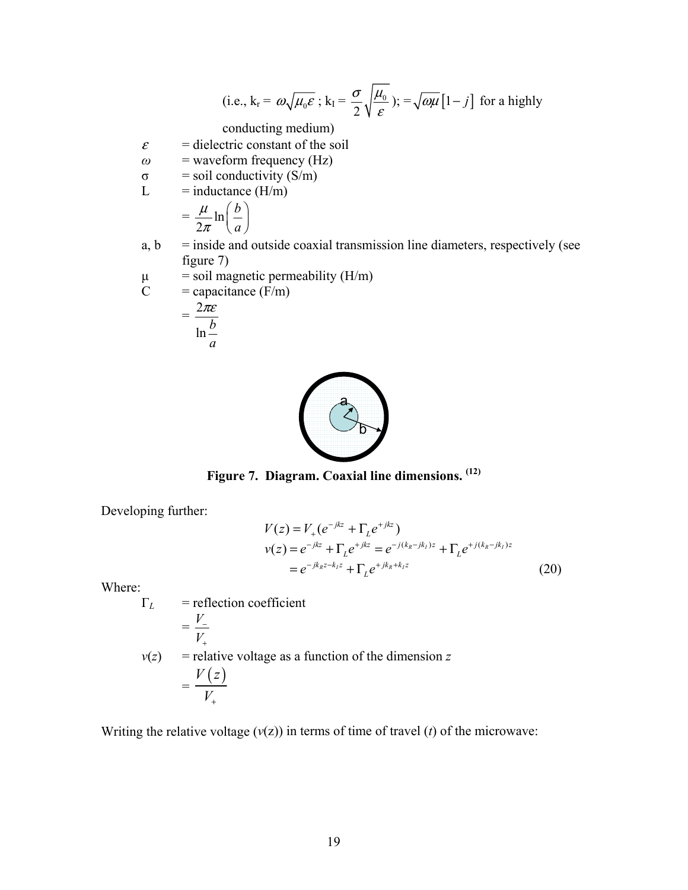(i.e., 
$$
k_r = \omega \sqrt{\mu_0 \varepsilon}
$$
;  $k_I = \frac{\sigma}{2} \sqrt{\frac{\mu_0}{\varepsilon}}$ );  $= \sqrt{\omega \mu} [1 - j]$  for a highly

conducting medium)

- $\varepsilon$  = dielectric constant of the soil
- $\omega$  = waveform frequency (Hz)
- $σ = soil conductivity (S/m)$
- $L = \text{inductance (H/m)}$  $\left( \cdot \right)$

$$
= \frac{\mu}{2\pi} \ln\left(\frac{b}{a}\right)
$$

- $a, b$  = inside and outside coaxial transmission line diameters, respectively (see figure 7)
- $μ$  = soil magnetic permeability (H/m)<br>
C = capacitance (F/m)

$$
C = capacitance (F/m)
$$

$$
= \frac{2\pi\varepsilon}{\ln\frac{b}{2}}
$$





**Figure 7. Diagram. Coaxial line dimensions. (12)** 

Developing further:

$$
V(z) = V_{+}(e^{-jkz} + \Gamma_{L}e^{+jkz})
$$
  
\n
$$
v(z) = e^{-jkz} + \Gamma_{L}e^{+jkz} = e^{-j(k_R-jk_L)z} + \Gamma_{L}e^{+j(k_R-jk_L)z}
$$
  
\n
$$
= e^{-jk_Rz-k_Lz} + \Gamma_{L}e^{+jk_R+k_Lz}
$$
\n(20)

Where:

$$
\Gamma_L = \text{reflection coefficient}
$$
\n
$$
= \frac{V_-}{V_+}
$$
\n
$$
v(z) = \text{relative voltage as a function of the dimension } z
$$
\n
$$
= \frac{V(z)}{V_+}
$$

Writing the relative voltage  $(v(z))$  in terms of time of travel  $(t)$  of the microwave: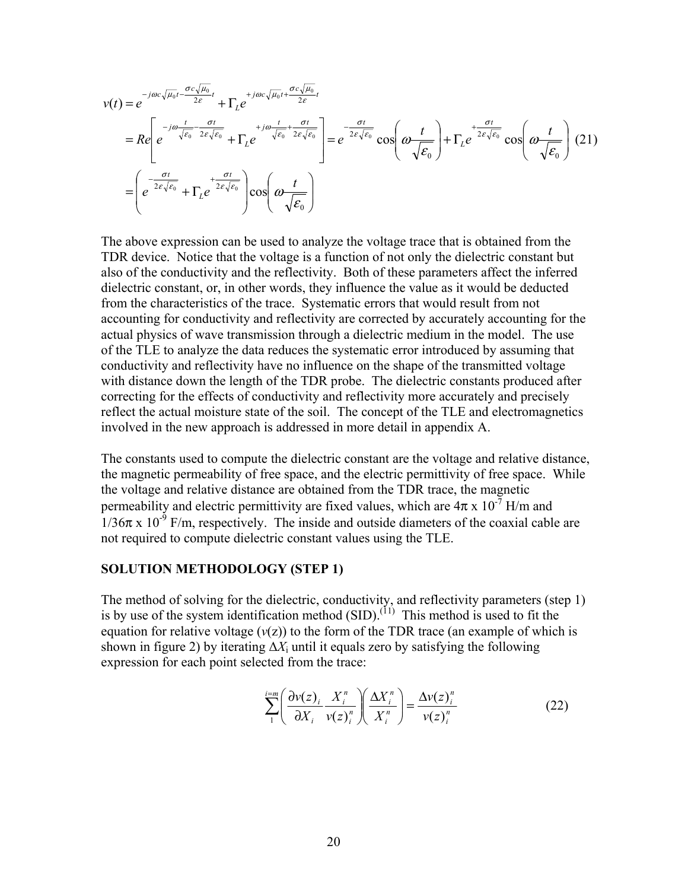$$
v(t) = e^{-j\omega c \sqrt{\mu_0}t - \frac{\sigma c \sqrt{\mu_0}}{2\varepsilon}} + \Gamma_L e^{+j\omega c \sqrt{\mu_0}t + \frac{\sigma c \sqrt{\mu_0}}{2\varepsilon}t}
$$
  
\n
$$
= Re \left[ e^{-j\omega \frac{t}{\sqrt{\varepsilon_0}} - \frac{\sigma t}{2\varepsilon \sqrt{\varepsilon_0}}} + \Gamma_L e^{+j\omega \frac{t}{\sqrt{\varepsilon_0}} + \frac{\sigma t}{2\varepsilon \sqrt{\varepsilon_0}}} \right] = e^{-\frac{\sigma t}{2\varepsilon \sqrt{\varepsilon_0}}} cos \left( \omega \frac{t}{\sqrt{\varepsilon_0}} \right) + \Gamma_L e^{+ \frac{\sigma t}{2\varepsilon \sqrt{\varepsilon_0}}} cos \left( \omega \frac{t}{\sqrt{\varepsilon_0}} \right)
$$
(21)

The above expression can be used to analyze the voltage trace that is obtained from the TDR device. Notice that the voltage is a function of not only the dielectric constant but also of the conductivity and the reflectivity. Both of these parameters affect the inferred dielectric constant, or, in other words, they influence the value as it would be deducted from the characteristics of the trace. Systematic errors that would result from not accounting for conductivity and reflectivity are corrected by accurately accounting for the actual physics of wave transmission through a dielectric medium in the model. The use of the TLE to analyze the data reduces the systematic error introduced by assuming that conductivity and reflectivity have no influence on the shape of the transmitted voltage with distance down the length of the TDR probe. The dielectric constants produced after correcting for the effects of conductivity and reflectivity more accurately and precisely reflect the actual moisture state of the soil. The concept of the TLE and electromagnetics involved in the new approach is addressed in more detail in appendix A.

The constants used to compute the dielectric constant are the voltage and relative distance, the magnetic permeability of free space, and the electric permittivity of free space. While the voltage and relative distance are obtained from the TDR trace, the magnetic permeability and electric permittivity are fixed values, which are  $4\pi \times 10^{-7}$  H/m and  $1/36\pi$  x  $10^{-9}$  F/m, respectively. The inside and outside diameters of the coaxial cable are not required to compute dielectric constant values using the TLE.

#### **SOLUTION METHODOLOGY (STEP 1)**

The method of solving for the dielectric, conductivity, and reflectivity parameters (step 1) is by use of the system identification method  $(SID)$ .<sup>(11)</sup> This method is used to fit the equation for relative voltage  $(v(z))$  to the form of the TDR trace (an example of which is shown in figure 2) by iterating  $\Delta X_i$  until it equals zero by satisfying the following expression for each point selected from the trace:

$$
\sum_{1}^{i=m} \left( \frac{\partial v(z)_i}{\partial X_i} \frac{X_i^n}{v(z)_i^n} \right) \left( \frac{\Delta X_i^n}{X_i^n} \right) = \frac{\Delta v(z)_i^n}{v(z)_i^n}
$$
(22)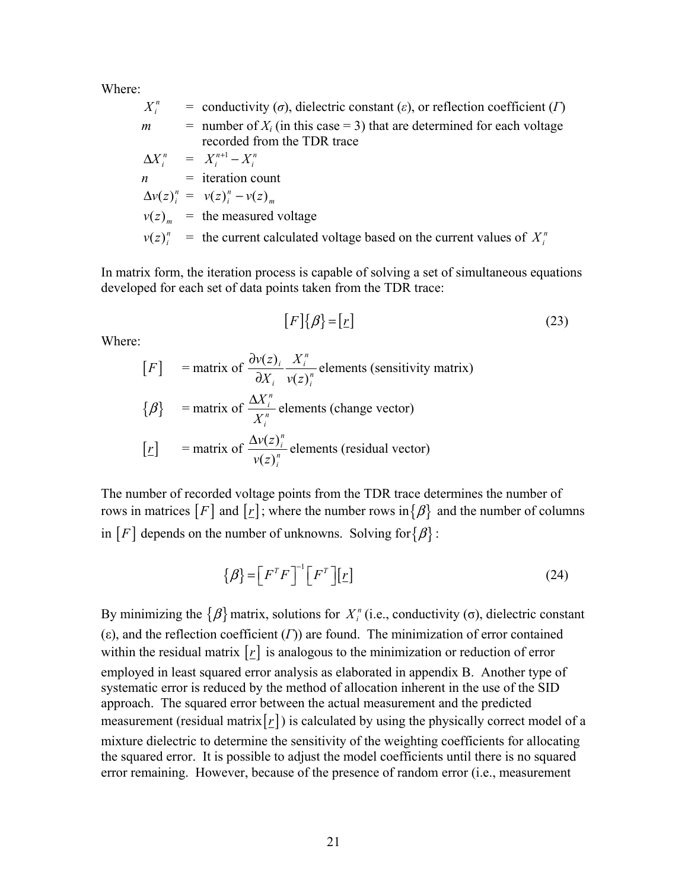Where:

$$
X_i^n = \text{conductivity } (\sigma), \text{ dielectric constant } (\varepsilon), \text{ or reflection coefficient } (I)
$$
\n
$$
m = \text{number of } X_i \text{ (in this case = 3) that are determined for each voltage}
$$
\n
$$
\Delta X_i^n = X_i^{n+1} - X_i^n
$$
\n
$$
n = \text{iteration count}
$$
\n
$$
\Delta v(z)_i^n = v(z)_i^n - v(z)_m
$$
\n
$$
v(z)_m^n = \text{the measured voltage}
$$
\n
$$
v(z)_i^n = \text{the current calculated voltage based on the current values of } X_i^n
$$

In matrix form, the iteration process is capable of solving a set of simultaneous equations developed for each set of data points taken from the TDR trace:

$$
[F]\{\beta\} = [\underline{r}] \tag{23}
$$

Where:

\n- $$
[F]
$$
 = matrix of  $\frac{\partial v(z)_i}{\partial X_i} \frac{X_i^n}{v(z)_i^n}$  elements (sensitivity matrix)
\n- $\{\beta\}$  = matrix of  $\frac{\Delta X_i^n}{X_i^n}$  elements (change vector)
\n- $[r]$  = matrix of  $\frac{\Delta v(z)_i^n}{v(z)_i^n}$  elements (residual vector)
\n

The number of recorded voltage points from the TDR trace determines the number of rows in matrices  $[F]$  and  $[r]$ ; where the number rows in  $\{\beta\}$  and the number of columns in  $[F]$  depends on the number of unknowns. Solving for  $\{\beta\}$ :

$$
\{\beta\} = \left[F^T F\right]^{-1} \left[F^T\right] \left[\underline{r}\right]
$$
\n(24)

By minimizing the  $\{\beta\}$  matrix, solutions for *X<sub>i</sub>*<sup>n</sup> (i.e., conductivity (σ), dielectric constant (ε), and the reflection coefficient (*Γ*)) are found. The minimization of error contained within the residual matrix  $[r]$  is analogous to the minimization or reduction of error employed in least squared error analysis as elaborated in appendix B. Another type of systematic error is reduced by the method of allocation inherent in the use of the SID approach. The squared error between the actual measurement and the predicted measurement (residual matrix $[r]$ ) is calculated by using the physically correct model of a mixture dielectric to determine the sensitivity of the weighting coefficients for allocating the squared error. It is possible to adjust the model coefficients until there is no squared error remaining. However, because of the presence of random error (i.e., measurement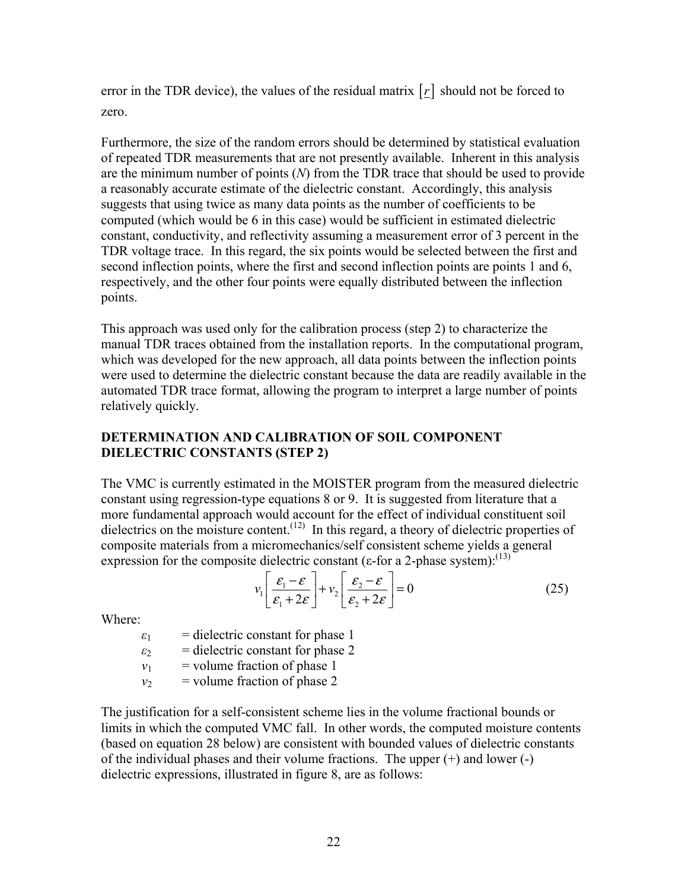error in the TDR device), the values of the residual matrix  $[r]$  should not be forced to zero.

Furthermore, the size of the random errors should be determined by statistical evaluation of repeated TDR measurements that are not presently available. Inherent in this analysis are the minimum number of points (*N*) from the TDR trace that should be used to provide a reasonably accurate estimate of the dielectric constant. Accordingly, this analysis suggests that using twice as many data points as the number of coefficients to be computed (which would be 6 in this case) would be sufficient in estimated dielectric constant, conductivity, and reflectivity assuming a measurement error of 3 percent in the TDR voltage trace. In this regard, the six points would be selected between the first and second inflection points, where the first and second inflection points are points 1 and 6, respectively, and the other four points were equally distributed between the inflection points.

This approach was used only for the calibration process (step 2) to characterize the manual TDR traces obtained from the installation reports. In the computational program, which was developed for the new approach, all data points between the inflection points were used to determine the dielectric constant because the data are readily available in the automated TDR trace format, allowing the program to interpret a large number of points relatively quickly.

### **DETERMINATION AND CALIBRATION OF SOIL COMPONENT DIELECTRIC CONSTANTS (STEP 2)**

The VMC is currently estimated in the MOISTER program from the measured dielectric constant using regression-type equations 8 or 9. It is suggested from literature that a more fundamental approach would account for the effect of individual constituent soil dielectrics on the moisture content.<sup>(12)</sup> In this regard, a theory of dielectric properties of composite materials from a micromechanics/self consistent scheme yields a general expression for the composite dielectric constant ( $\varepsilon$ -for a 2-phase system):<sup>(13)</sup>

$$
v_1 \left[ \frac{\varepsilon_1 - \varepsilon}{\varepsilon_1 + 2\varepsilon} \right] + v_2 \left[ \frac{\varepsilon_2 - \varepsilon}{\varepsilon_2 + 2\varepsilon} \right] = 0 \tag{25}
$$

Where:

 $\varepsilon_1$  = dielectric constant for phase 1

- $\varepsilon_2$  = dielectric constant for phase 2
- $v_1$  = volume fraction of phase 1
- $v_2$  = volume fraction of phase 2

The justification for a self-consistent scheme lies in the volume fractional bounds or limits in which the computed VMC fall. In other words, the computed moisture contents (based on equation 28 below) are consistent with bounded values of dielectric constants of the individual phases and their volume fractions. The upper (+) and lower (-) dielectric expressions, illustrated in figure 8, are as follows: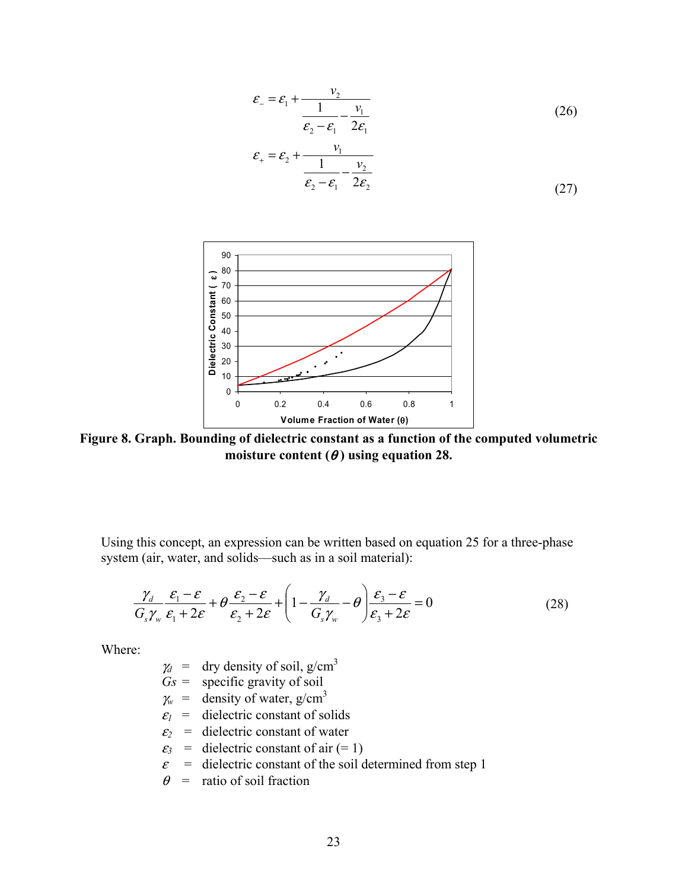$$
\varepsilon_{-} = \varepsilon_{1} + \frac{v_{2}}{\frac{1}{\varepsilon_{2} - \varepsilon_{1}} - \frac{v_{1}}{2\varepsilon_{1}}}
$$
(26)

$$
\varepsilon_{+} = \varepsilon_{2} + \frac{v_{1}}{\frac{1}{\varepsilon_{2} - \varepsilon_{1}} - \frac{v_{2}}{2\varepsilon_{2}}}
$$
\n(27)



**Figure 8. Graph. Bounding of dielectric constant as a function of the computed volumetric**  moisture content  $(\theta)$  using equation 28.

Using this concept, an expression can be written based on equation 25 for a three-phase system (air, water, and solids—such as in a soil material):

$$
\frac{\gamma_d}{G_s\gamma_w}\frac{\varepsilon_1-\varepsilon}{\varepsilon_1+2\varepsilon}+\theta\frac{\varepsilon_2-\varepsilon}{\varepsilon_2+2\varepsilon}+\left(1-\frac{\gamma_d}{G_s\gamma_w}-\theta\right)\frac{\varepsilon_3-\varepsilon}{\varepsilon_3+2\varepsilon}=0
$$
\n(28)

Where:

- $\gamma_d$  = dry density of soil, g/cm<sup>3</sup>
- $Gs =$  specific gravity of soil
- $\chi$ <sup>*w*</sup> = density of water, g/cm<sup>3</sup>
- $\varepsilon_1$  = dielectric constant of solids
- $\varepsilon_2$  = dielectric constant of water
- $\varepsilon_3$  = dielectric constant of air (= 1)
- $\varepsilon$  = dielectric constant of the soil determined from step 1
- $\theta$  = ratio of soil fraction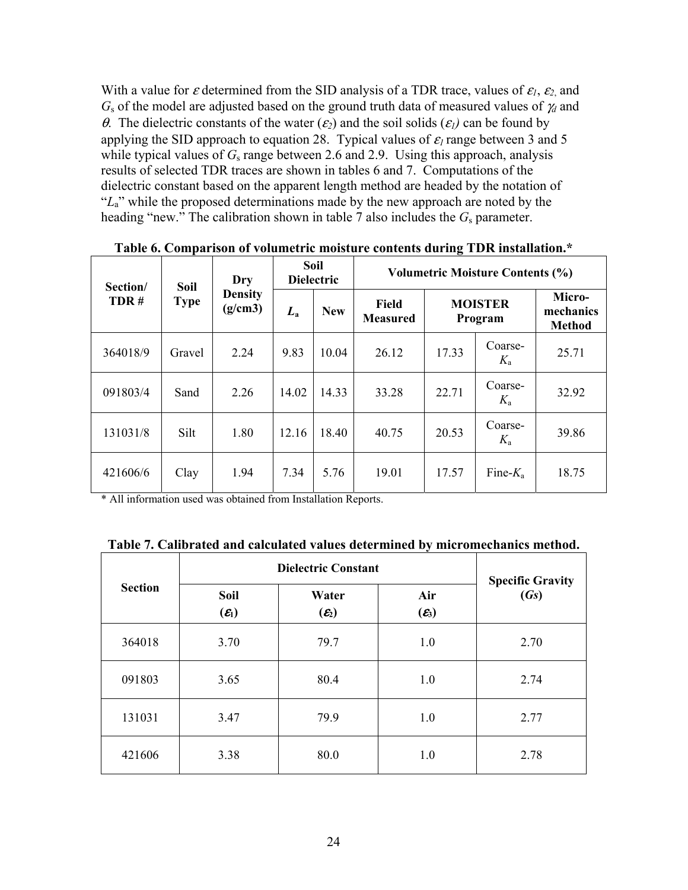With a value for  $\varepsilon$  determined from the SID analysis of a TDR trace, values of  $\varepsilon_1$ ,  $\varepsilon_2$ , and *G*s of the model are adjusted based on the ground truth data of measured values of <sup>γ</sup>*d* and <sup>θ</sup>. The dielectric constants of the water (<sup>ε</sup>*2*) and the soil solids (ε*1)* can be found by applying the SID approach to equation 28. Typical values of  $\varepsilon_l$  range between 3 and 5 while typical values of  $G_s$  range between 2.6 and 2.9. Using this approach, analysis results of selected TDR traces are shown in tables 6 and 7. Computations of the dielectric constant based on the apparent length method are headed by the notation of "L<sub>a</sub>" while the proposed determinations made by the new approach are noted by the heading "new." The calibration shown in table 7 also includes the *G*s parameter.

| Section/<br>TDR# | Soil<br><b>Type</b> | Dry<br><b>Density</b><br>(g/cm3) | Soil<br><b>Dielectric</b> |            | <b>Volumetric Moisture Contents (%)</b> |                           |                    |                                      |
|------------------|---------------------|----------------------------------|---------------------------|------------|-----------------------------------------|---------------------------|--------------------|--------------------------------------|
|                  |                     |                                  | $L_{\rm a}$               | <b>New</b> | Field<br><b>Measured</b>                | <b>MOISTER</b><br>Program |                    | Micro-<br>mechanics<br><b>Method</b> |
| 364018/9         | Gravel              | 2.24                             | 9.83                      | 10.04      | 26.12                                   | 17.33                     | Coarse-<br>$K_{a}$ | 25.71                                |
| 091803/4         | Sand                | 2.26                             | 14.02                     | 14.33      | 33.28                                   | 22.71                     | Coarse-<br>$K_{a}$ | 32.92                                |
| 131031/8         | Silt                | 1.80                             | 12.16                     | 18.40      | 40.75                                   | 20.53                     | Coarse-<br>$K_{a}$ | 39.86                                |
| 421606/6         | Clay                | 1.94                             | 7.34                      | 5.76       | 19.01                                   | 17.57                     | Fine- $K_a$        | 18.75                                |

**Table 6. Comparison of volumetric moisture contents during TDR installation.\*** 

\* All information used was obtained from Installation Reports.

|  |  |  | Table 7. Calibrated and calculated values determined by micromechanics method. |
|--|--|--|--------------------------------------------------------------------------------|
|  |  |  |                                                                                |

| <b>Section</b> | <b>Dielectric Constant</b>       | <b>Specific Gravity</b>    |                          |      |
|----------------|----------------------------------|----------------------------|--------------------------|------|
|                | <b>Soil</b><br>$(\mathcal{E}_1)$ | Water<br>$(\mathcal{E}_2)$ | Air<br>$(\mathcal{E}_3)$ | (Gs) |
| 364018         | 3.70                             | 79.7                       | 1.0                      | 2.70 |
| 091803         | 3.65                             | 80.4                       | 1.0                      | 2.74 |
| 131031         | 3.47                             | 79.9                       | 1.0                      | 2.77 |
| 421606         | 3.38                             | 80.0                       | 1.0                      | 2.78 |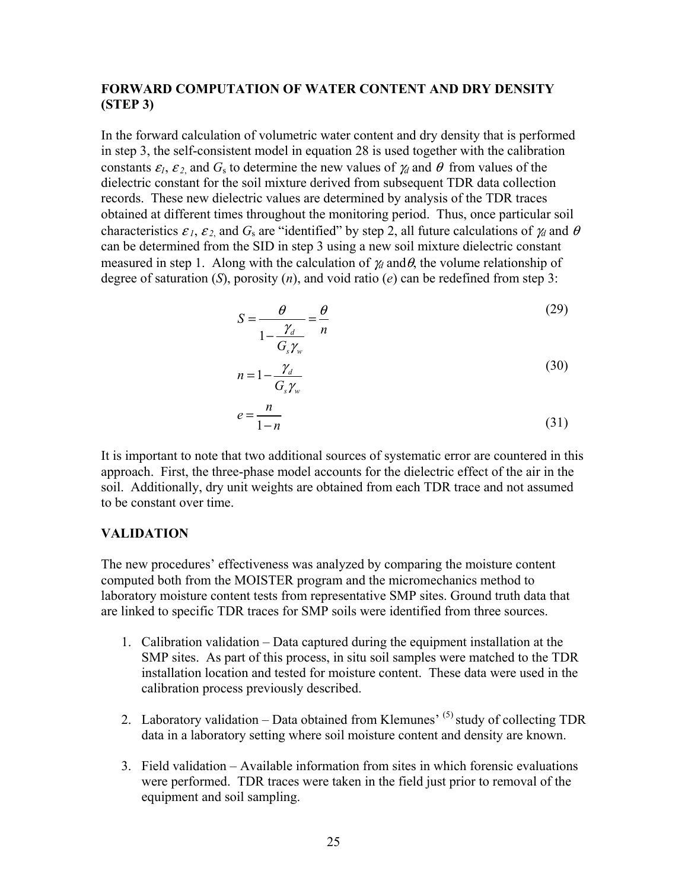## **FORWARD COMPUTATION OF WATER CONTENT AND DRY DENSITY (STEP 3)**

In the forward calculation of volumetric water content and dry density that is performed in step 3, the self-consistent model in equation 28 is used together with the calibration constants  $\varepsilon_1$ ,  $\varepsilon_2$  and  $G_s$  to determine the new values of  $\gamma_d$  and  $\theta$  from values of the dielectric constant for the soil mixture derived from subsequent TDR data collection records. These new dielectric values are determined by analysis of the TDR traces obtained at different times throughout the monitoring period. Thus, once particular soil characteristics  $\varepsilon_1$ ,  $\varepsilon_2$  and  $G_s$  are "identified" by step 2, all future calculations of  $\gamma_d$  and  $\theta$ can be determined from the SID in step 3 using a new soil mixture dielectric constant measured in step 1. Along with the calculation of  $\gamma_d$  and  $\theta$ , the volume relationship of degree of saturation (*S*), porosity (*n*), and void ratio (*e*) can be redefined from step 3:

$$
S = \frac{\theta}{1 - \frac{\gamma_d}{G_s \gamma_w}} = \frac{\theta}{n}
$$
(29)  

$$
n = 1 - \frac{\gamma_d}{G_s \gamma_w}
$$
(30)

$$
e = \frac{n}{1 - n} \tag{31}
$$

It is important to note that two additional sources of systematic error are countered in this approach. First, the three-phase model accounts for the dielectric effect of the air in the soil. Additionally, dry unit weights are obtained from each TDR trace and not assumed to be constant over time.

#### **VALIDATION**

The new procedures' effectiveness was analyzed by comparing the moisture content computed both from the MOISTER program and the micromechanics method to laboratory moisture content tests from representative SMP sites. Ground truth data that are linked to specific TDR traces for SMP soils were identified from three sources.

- 1. Calibration validation Data captured during the equipment installation at the SMP sites. As part of this process, in situ soil samples were matched to the TDR installation location and tested for moisture content. These data were used in the calibration process previously described.
- 2. Laboratory validation Data obtained from Klemunes<sup> $(5)$ </sup> study of collecting TDR data in a laboratory setting where soil moisture content and density are known.
- 3. Field validation Available information from sites in which forensic evaluations were performed. TDR traces were taken in the field just prior to removal of the equipment and soil sampling.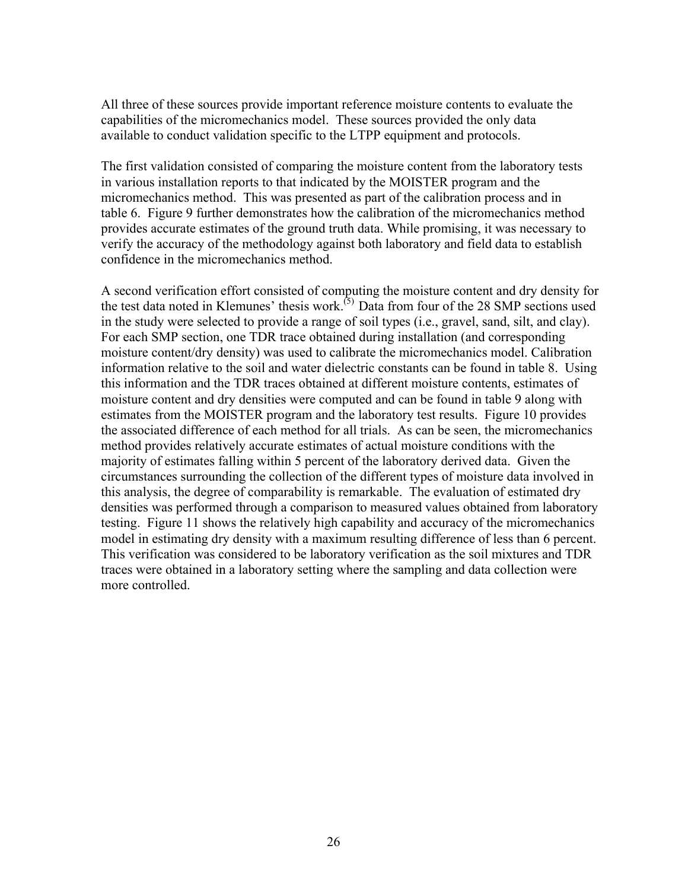All three of these sources provide important reference moisture contents to evaluate the capabilities of the micromechanics model. These sources provided the only data available to conduct validation specific to the LTPP equipment and protocols.

The first validation consisted of comparing the moisture content from the laboratory tests in various installation reports to that indicated by the MOISTER program and the micromechanics method. This was presented as part of the calibration process and in table 6. Figure 9 further demonstrates how the calibration of the micromechanics method provides accurate estimates of the ground truth data. While promising, it was necessary to verify the accuracy of the methodology against both laboratory and field data to establish confidence in the micromechanics method.

A second verification effort consisted of computing the moisture content and dry density for the test data noted in Klemunes' thesis work.<sup>(5)</sup> Data from four of the 28 SMP sections used in the study were selected to provide a range of soil types (i.e., gravel, sand, silt, and clay). For each SMP section, one TDR trace obtained during installation (and corresponding moisture content/dry density) was used to calibrate the micromechanics model. Calibration information relative to the soil and water dielectric constants can be found in table 8. Using this information and the TDR traces obtained at different moisture contents, estimates of moisture content and dry densities were computed and can be found in table 9 along with estimates from the MOISTER program and the laboratory test results. Figure 10 provides the associated difference of each method for all trials. As can be seen, the micromechanics method provides relatively accurate estimates of actual moisture conditions with the majority of estimates falling within 5 percent of the laboratory derived data. Given the circumstances surrounding the collection of the different types of moisture data involved in this analysis, the degree of comparability is remarkable. The evaluation of estimated dry densities was performed through a comparison to measured values obtained from laboratory testing. Figure 11 shows the relatively high capability and accuracy of the micromechanics model in estimating dry density with a maximum resulting difference of less than 6 percent. This verification was considered to be laboratory verification as the soil mixtures and TDR traces were obtained in a laboratory setting where the sampling and data collection were more controlled.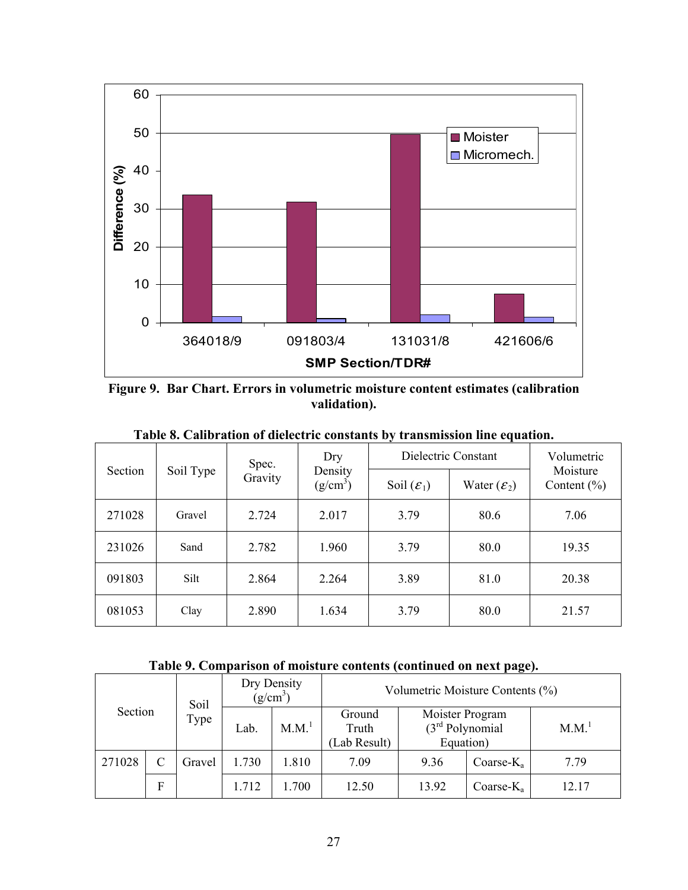

**Figure 9. Bar Chart. Errors in volumetric moisture content estimates (calibration validation).** 

|         |           | Spec.   | Dry                   | Dielectric Constant    | Volumetric              |                             |
|---------|-----------|---------|-----------------------|------------------------|-------------------------|-----------------------------|
| Section | Soil Type | Gravity | Density<br>$(g/cm^3)$ | Soil $(\mathcal{E}_1)$ | Water $(\mathcal{E}_2)$ | Moisture<br>Content $(\% )$ |
| 271028  | Gravel    | 2.724   | 2.017                 | 3.79                   | 80.6                    | 7.06                        |
| 231026  | Sand      | 2.782   | 1.960                 | 3.79                   | 80.0                    | 19.35                       |
| 091803  | Silt      | 2.864   | 2.264                 | 3.89                   | 81.0                    | 20.38                       |
| 081053  | Clay      | 2.890   | 1.634                 | 3.79                   | 80.0                    | 21.57                       |

**Table 8. Calibration of dielectric constants by transmission line equation.** 

**Table 9. Comparison of moisture contents (continued on next page).** 

|         |   | Soil   |       | Dry Density<br>$(g/cm^3)$ |                                 | Volumetric Moisture Contents (%)                  |               |                   |
|---------|---|--------|-------|---------------------------|---------------------------------|---------------------------------------------------|---------------|-------------------|
| Section |   | Type   | Lab.  | M.M. <sup>1</sup>         | Ground<br>Truth<br>(Lab Result) | Moister Program<br>$(3rd$ Polynomial<br>Equation) |               | M.M. <sup>1</sup> |
| 271028  |   | Gravel | 1.730 | 1.810                     | 7.09                            | 9.36                                              | Coarse- $K_a$ | 7.79              |
|         | F |        | 1.712 | .700                      | 12.50                           | 13.92                                             | Coarse- $K_a$ | 12.17             |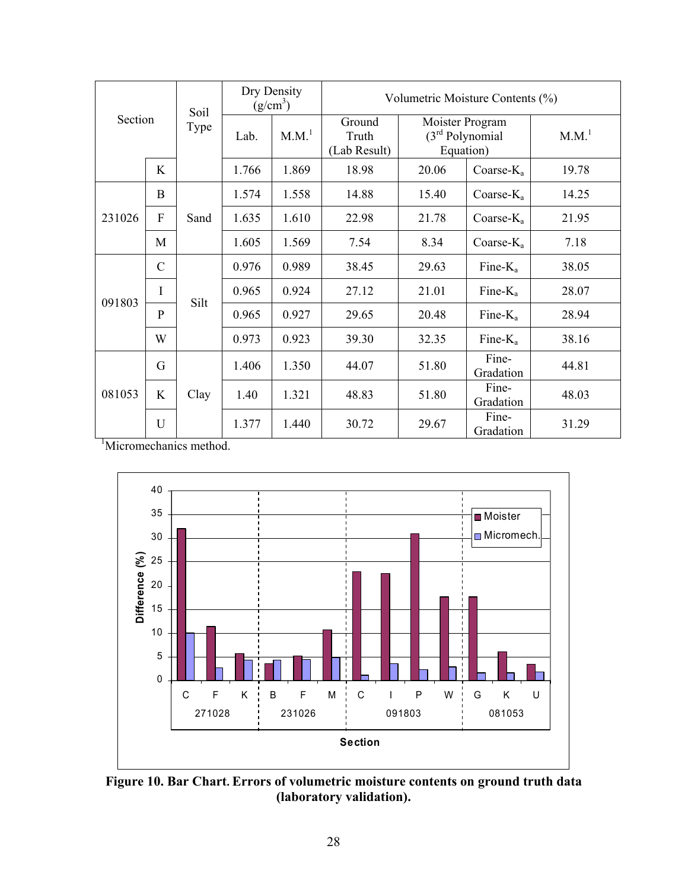|        |                | Soil |                                          | Dry Density<br>$(g/cm^3)$ | Volumetric Moisture Contents (%) |       |                                                   |       |  |  |
|--------|----------------|------|------------------------------------------|---------------------------|----------------------------------|-------|---------------------------------------------------|-------|--|--|
|        | <b>Section</b> |      | Lab.                                     | M.M. <sup>1</sup>         | Ground<br>Truth<br>(Lab Result)  |       | Moister Program<br>$(3rd$ Polynomial<br>Equation) |       |  |  |
|        | K              |      | 1.766                                    | 1.869                     | 18.98                            | 20.06 | Coarse- $K_a$                                     | 19.78 |  |  |
|        | B              |      | 1.574                                    | 1.558                     | 14.88                            | 15.40 | Coarse- $K_a$                                     | 14.25 |  |  |
| 231026 | F              | Sand | 1.635                                    | 1.610                     | 22.98                            | 21.78 | Coarse- $K_a$                                     | 21.95 |  |  |
|        | M              |      | 1.605                                    | 1.569                     | 7.54                             | 8.34  | Coarse- $K_a$                                     | 7.18  |  |  |
|        | $\mathcal{C}$  |      | 0.976                                    | 0.989                     | 38.45                            | 29.63 | Fine- $K_a$                                       | 38.05 |  |  |
| 091803 | I              | Silt | 0.965                                    | 0.924                     | 27.12                            | 21.01 | Fine- $K_a$                                       | 28.07 |  |  |
|        | $\mathbf{P}$   |      | 0.965                                    | 0.927                     | 29.65                            | 20.48 | Fine- $K_a$                                       | 28.94 |  |  |
|        | W              |      | 0.973                                    | 0.923                     | 39.30                            | 32.35 | Fine- $K_a$                                       | 38.16 |  |  |
|        | G              |      | 1.406                                    | 1.350                     | 44.07                            | 51.80 | Fine-<br>Gradation                                | 44.81 |  |  |
| 081053 | K              | Clay | Fine-<br>1.321<br>48.83<br>51.80<br>1.40 |                           | Gradation                        | 48.03 |                                                   |       |  |  |
|        | U              |      | 1.377                                    | 1.440                     | 30.72                            | 29.67 | Fine-<br>Gradation                                | 31.29 |  |  |

<sup>1</sup>Micromechanics method.



**Figure 10. Bar Chart. Errors of volumetric moisture contents on ground truth data (laboratory validation).**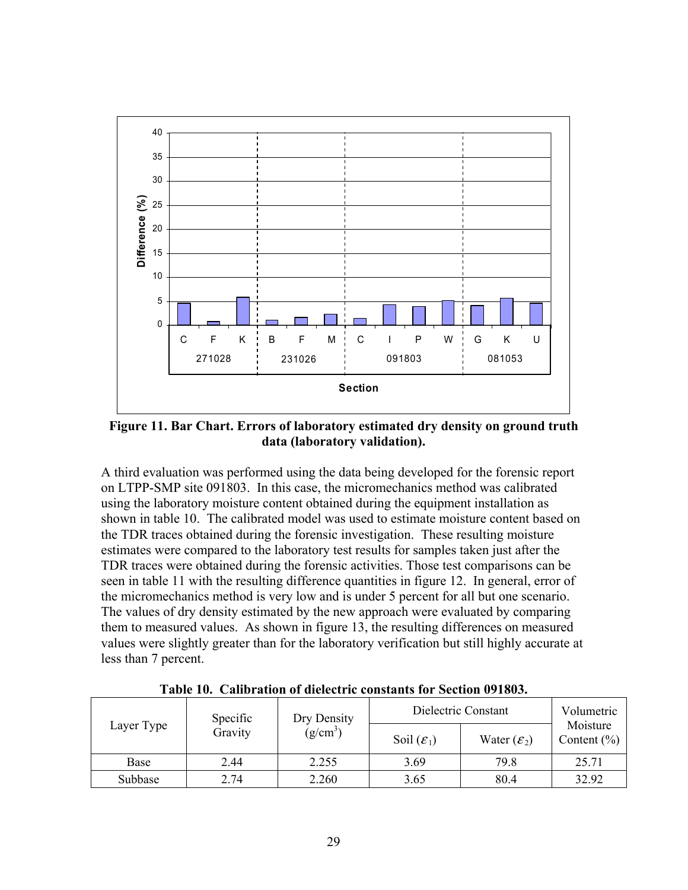

**Figure 11. Bar Chart. Errors of laboratory estimated dry density on ground truth data (laboratory validation).** 

A third evaluation was performed using the data being developed for the forensic report on LTPP-SMP site 091803. In this case, the micromechanics method was calibrated using the laboratory moisture content obtained during the equipment installation as shown in table 10. The calibrated model was used to estimate moisture content based on the TDR traces obtained during the forensic investigation. These resulting moisture estimates were compared to the laboratory test results for samples taken just after the TDR traces were obtained during the forensic activities. Those test comparisons can be seen in table 11 with the resulting difference quantities in figure 12. In general, error of the micromechanics method is very low and is under 5 percent for all but one scenario. The values of dry density estimated by the new approach were evaluated by comparing them to measured values. As shown in figure 13, the resulting differences on measured values were slightly greater than for the laboratory verification but still highly accurate at less than 7 percent.

**Table 10. Calibration of dielectric constants for Section 091803.** 

|            | Specific | Dry Density | Dielectric Constant    | Volumetric              |                             |
|------------|----------|-------------|------------------------|-------------------------|-----------------------------|
| Layer Type | Gravity  | $(g/cm^3)$  | Soil $(\mathcal{E}_1)$ | Water $(\mathcal{E}_2)$ | Moisture<br>Content $(\% )$ |
| Base       | 2.44     | 2.255       | 3.69                   | 79.8                    | 25.71                       |
| Subbase    | 2.74     | 2.260       | 3.65                   | 80.4                    | 32.92                       |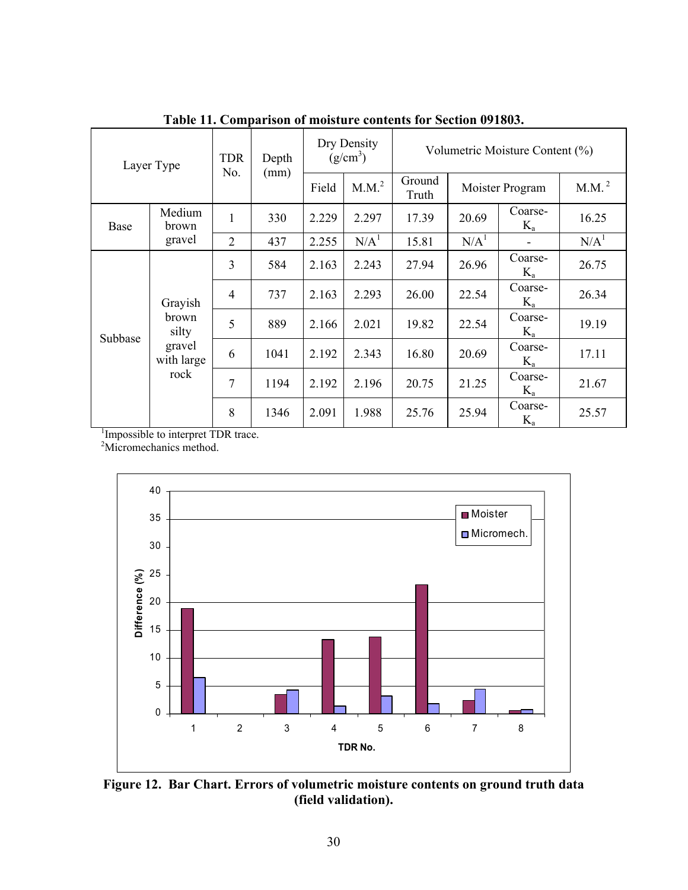| Layer Type |                              | <b>TDR</b><br>No. | Depth | Dry Density<br>$(g/cm^3)$ |                   | Volumetric Moisture Content (%) |                  |                    |                   |  |
|------------|------------------------------|-------------------|-------|---------------------------|-------------------|---------------------------------|------------------|--------------------|-------------------|--|
|            |                              |                   | (mm)  | Field                     | M.M. <sup>2</sup> | Ground<br>Truth                 | Moister Program  |                    | M.M. <sup>2</sup> |  |
| Base       | Medium<br>brown              | 1                 | 330   | 2.229                     | 2.297             | 17.39                           | 20.69            | Coarse-<br>$K_a$   | 16.25             |  |
|            | gravel                       | $\overline{2}$    | 437   | 2.255                     | N/A <sup>1</sup>  | 15.81                           | N/A <sup>1</sup> |                    | N/A <sup>1</sup>  |  |
|            |                              | 3                 | 584   | 2.163                     | 2.243             | 27.94                           | 26.96            | Coarse-<br>$K_a$   | 26.75             |  |
|            | Grayish                      | $\overline{4}$    | 737   | 2.163                     | 2.293             | 26.00                           | 22.54            | Coarse-<br>$K_a$   | 26.34             |  |
| Subbase    | brown<br>silty               | 5                 | 889   | 2.166                     | 2.021             | 19.82                           | 22.54            | Coarse-<br>$K_{a}$ | 19.19             |  |
|            | gravel<br>with large<br>rock | 6                 | 1041  | 2.192                     | 2.343             | 16.80                           | 20.69            | Coarse-<br>$K_a$   | 17.11             |  |
|            |                              | 7                 | 1194  | 2.192                     | 2.196             | 20.75                           | 21.25            | Coarse-<br>$K_a$   | 21.67             |  |
|            |                              | 8                 | 1346  | 2.091                     | 1.988             | 25.76                           | 25.94            | Coarse-<br>$K_a$   | 25.57             |  |

**Table 11. Comparison of moisture contents for Section 091803.** 

<sup>1</sup>Impossible to interpret TDR trace.

<sup>2</sup>Micromechanics method.



**Figure 12. Bar Chart. Errors of volumetric moisture contents on ground truth data (field validation).**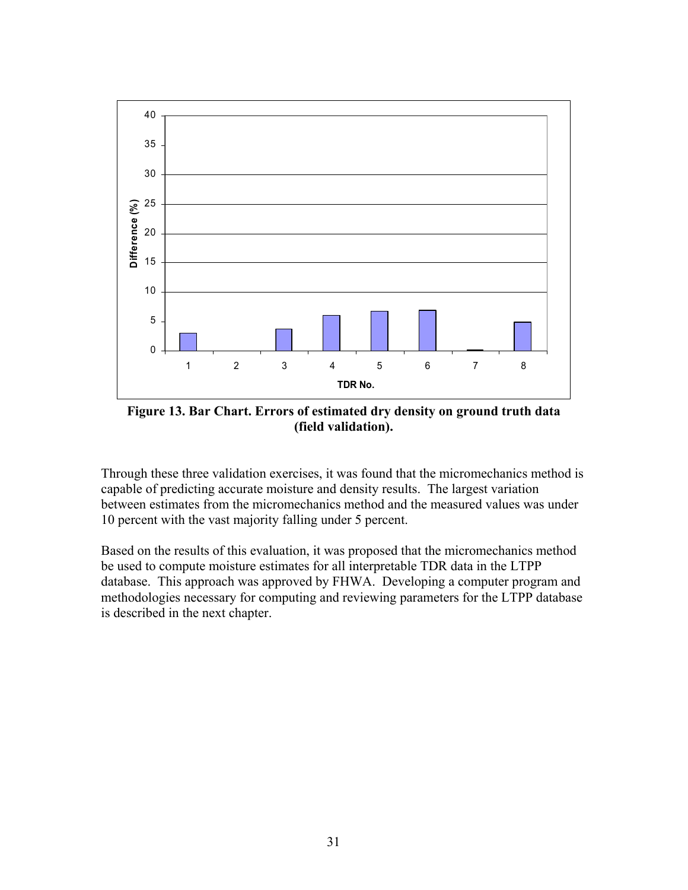

**Figure 13. Bar Chart. Errors of estimated dry density on ground truth data (field validation).** 

Through these three validation exercises, it was found that the micromechanics method is capable of predicting accurate moisture and density results. The largest variation between estimates from the micromechanics method and the measured values was under 10 percent with the vast majority falling under 5 percent.

Based on the results of this evaluation, it was proposed that the micromechanics method be used to compute moisture estimates for all interpretable TDR data in the LTPP database. This approach was approved by FHWA. Developing a computer program and methodologies necessary for computing and reviewing parameters for the LTPP database is described in the next chapter.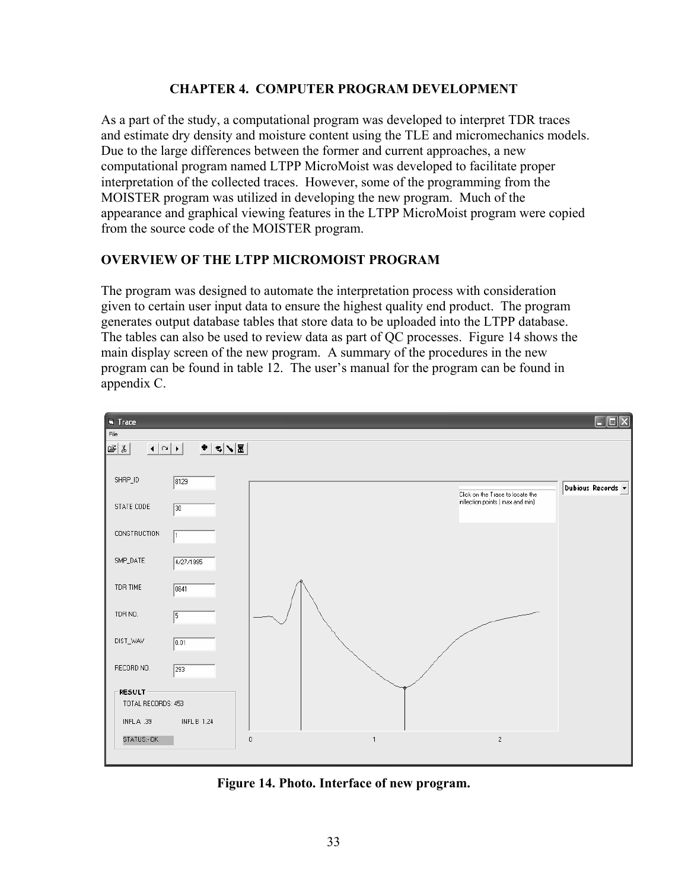#### **CHAPTER 4. COMPUTER PROGRAM DEVELOPMENT**

As a part of the study, a computational program was developed to interpret TDR traces and estimate dry density and moisture content using the TLE and micromechanics models. Due to the large differences between the former and current approaches, a new computational program named LTPP MicroMoist was developed to facilitate proper interpretation of the collected traces. However, some of the programming from the MOISTER program was utilized in developing the new program. Much of the appearance and graphical viewing features in the LTPP MicroMoist program were copied from the source code of the MOISTER program.

### **OVERVIEW OF THE LTPP MICROMOIST PROGRAM**

The program was designed to automate the interpretation process with consideration given to certain user input data to ensure the highest quality end product. The program generates output database tables that store data to be uploaded into the LTPP database. The tables can also be used to review data as part of QC processes. Figure 14 shows the main display screen of the new program. A summary of the procedures in the new program can be found in table 12. The user's manual for the program can be found in appendix C.



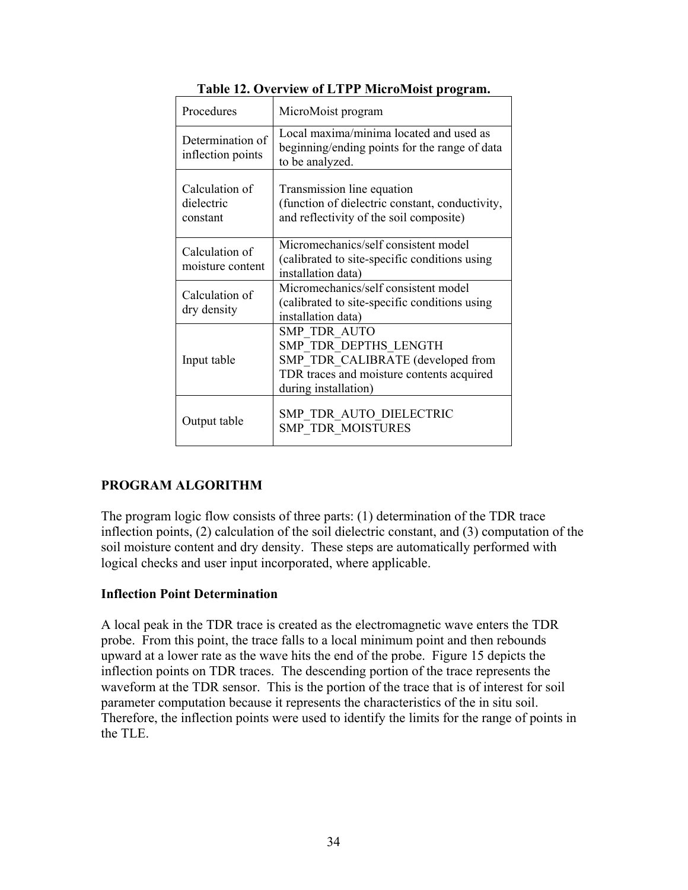| Procedures                               | MicroMoist program                                                                                                                                     |
|------------------------------------------|--------------------------------------------------------------------------------------------------------------------------------------------------------|
| Determination of<br>inflection points    | Local maxima/minima located and used as<br>beginning/ending points for the range of data<br>to be analyzed.                                            |
| Calculation of<br>dielectric<br>constant | Transmission line equation<br>(function of dielectric constant, conductivity,<br>and reflectivity of the soil composite)                               |
| Calculation of<br>moisture content       | Micromechanics/self consistent model<br>(calibrated to site-specific conditions using<br>installation data)                                            |
| Calculation of<br>dry density            | Micromechanics/self consistent model<br>(calibrated to site-specific conditions using<br>installation data)                                            |
| Input table                              | <b>SMP TDR AUTO</b><br>SMP TDR DEPTHS LENGTH<br>SMP TDR CALIBRATE (developed from<br>TDR traces and moisture contents acquired<br>during installation) |
| Output table                             | SMP TDR AUTO DIELECTRIC<br>SMP TDR MOISTURES                                                                                                           |

**Table 12. Overview of LTPP MicroMoist program.** 

# **PROGRAM ALGORITHM**

The program logic flow consists of three parts: (1) determination of the TDR trace inflection points, (2) calculation of the soil dielectric constant, and (3) computation of the soil moisture content and dry density. These steps are automatically performed with logical checks and user input incorporated, where applicable.

### **Inflection Point Determination**

A local peak in the TDR trace is created as the electromagnetic wave enters the TDR probe. From this point, the trace falls to a local minimum point and then rebounds upward at a lower rate as the wave hits the end of the probe. Figure 15 depicts the inflection points on TDR traces. The descending portion of the trace represents the waveform at the TDR sensor. This is the portion of the trace that is of interest for soil parameter computation because it represents the characteristics of the in situ soil. Therefore, the inflection points were used to identify the limits for the range of points in the TLE.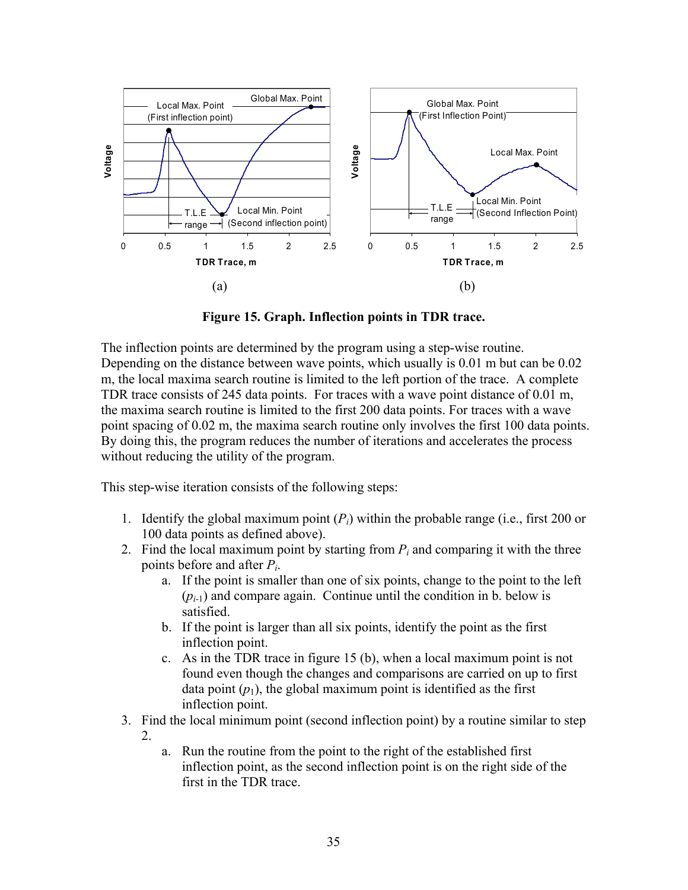

**Figure 15. Graph. Inflection points in TDR trace.** 

The inflection points are determined by the program using a step-wise routine. Depending on the distance between wave points, which usually is 0.01 m but can be 0.02 m, the local maxima search routine is limited to the left portion of the trace. A complete TDR trace consists of 245 data points. For traces with a wave point distance of 0.01 m, the maxima search routine is limited to the first 200 data points. For traces with a wave point spacing of 0.02 m, the maxima search routine only involves the first 100 data points. By doing this, the program reduces the number of iterations and accelerates the process without reducing the utility of the program.

This step-wise iteration consists of the following steps:

- 1. Identify the global maximum point  $(P_i)$  within the probable range (i.e., first 200 or 100 data points as defined above).
- 2. Find the local maximum point by starting from  $P_i$  and comparing it with the three points before and after *Pi*.
	- a. If the point is smaller than one of six points, change to the point to the left  $(p<sub>i-1</sub>)$  and compare again. Continue until the condition in b. below is satisfied.
	- b. If the point is larger than all six points, identify the point as the first inflection point.
	- c. As in the TDR trace in figure 15 (b), when a local maximum point is not found even though the changes and comparisons are carried on up to first data point  $(p_1)$ , the global maximum point is identified as the first inflection point.
- 3. Find the local minimum point (second inflection point) by a routine similar to step 2.
	- a. Run the routine from the point to the right of the established first inflection point, as the second inflection point is on the right side of the first in the TDR trace.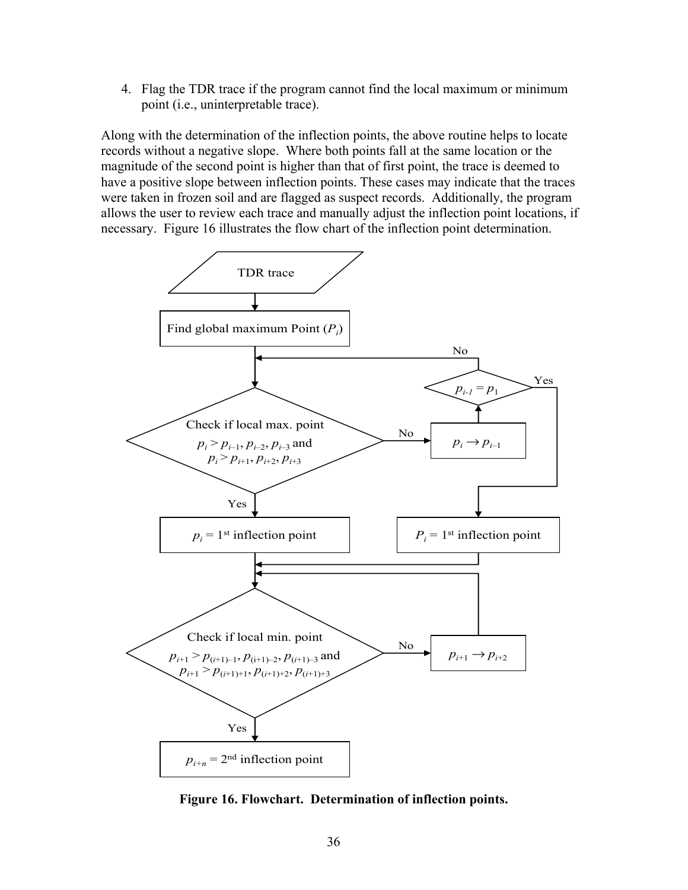4. Flag the TDR trace if the program cannot find the local maximum or minimum point (i.e., uninterpretable trace).

Along with the determination of the inflection points, the above routine helps to locate records without a negative slope. Where both points fall at the same location or the magnitude of the second point is higher than that of first point, the trace is deemed to have a positive slope between inflection points. These cases may indicate that the traces were taken in frozen soil and are flagged as suspect records. Additionally, the program allows the user to review each trace and manually adjust the inflection point locations, if necessary. Figure 16 illustrates the flow chart of the inflection point determination.



**Figure 16. Flowchart. Determination of inflection points.**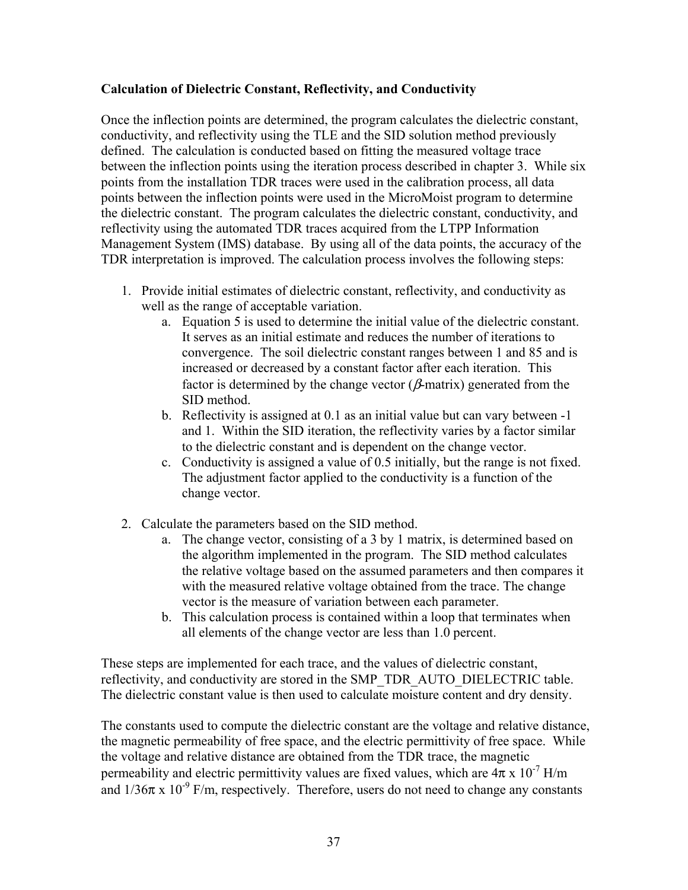### **Calculation of Dielectric Constant, Reflectivity, and Conductivity**

Once the inflection points are determined, the program calculates the dielectric constant, conductivity, and reflectivity using the TLE and the SID solution method previously defined. The calculation is conducted based on fitting the measured voltage trace between the inflection points using the iteration process described in chapter 3. While six points from the installation TDR traces were used in the calibration process, all data points between the inflection points were used in the MicroMoist program to determine the dielectric constant. The program calculates the dielectric constant, conductivity, and reflectivity using the automated TDR traces acquired from the LTPP Information Management System (IMS) database. By using all of the data points, the accuracy of the TDR interpretation is improved. The calculation process involves the following steps:

- 1. Provide initial estimates of dielectric constant, reflectivity, and conductivity as well as the range of acceptable variation.
	- a. Equation 5 is used to determine the initial value of the dielectric constant. It serves as an initial estimate and reduces the number of iterations to convergence. The soil dielectric constant ranges between 1 and 85 and is increased or decreased by a constant factor after each iteration. This factor is determined by the change vector ( $\beta$ -matrix) generated from the SID method.
	- b. Reflectivity is assigned at 0.1 as an initial value but can vary between -1 and 1. Within the SID iteration, the reflectivity varies by a factor similar to the dielectric constant and is dependent on the change vector.
	- c. Conductivity is assigned a value of 0.5 initially, but the range is not fixed. The adjustment factor applied to the conductivity is a function of the change vector.
- 2. Calculate the parameters based on the SID method.
	- a. The change vector, consisting of a 3 by 1 matrix, is determined based on the algorithm implemented in the program. The SID method calculates the relative voltage based on the assumed parameters and then compares it with the measured relative voltage obtained from the trace. The change vector is the measure of variation between each parameter.
	- b. This calculation process is contained within a loop that terminates when all elements of the change vector are less than 1.0 percent.

These steps are implemented for each trace, and the values of dielectric constant, reflectivity, and conductivity are stored in the SMP\_TDR\_AUTO\_DIELECTRIC table. The dielectric constant value is then used to calculate moisture content and dry density.

The constants used to compute the dielectric constant are the voltage and relative distance, the magnetic permeability of free space, and the electric permittivity of free space. While the voltage and relative distance are obtained from the TDR trace, the magnetic permeability and electric permittivity values are fixed values, which are  $4\pi \times 10^{-7}$  H/m and  $1/36\pi \times 10^{-9}$  F/m, respectively. Therefore, users do not need to change any constants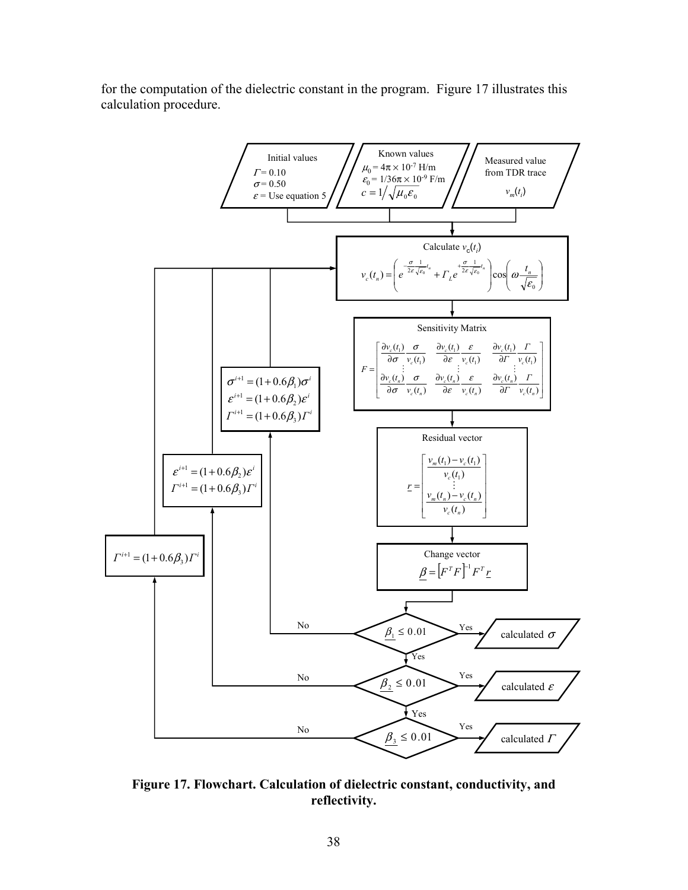for the computation of the dielectric constant in the program. Figure 17 illustrates this calculation procedure.



**Figure 17. Flowchart. Calculation of dielectric constant, conductivity, and reflectivity.**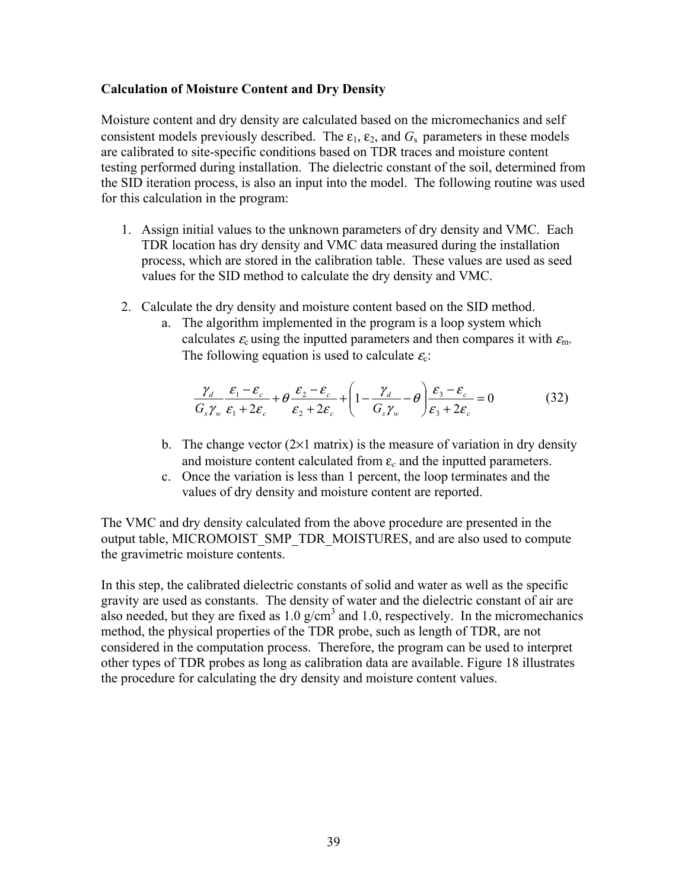#### **Calculation of Moisture Content and Dry Density**

Moisture content and dry density are calculated based on the micromechanics and self consistent models previously described. The  $\varepsilon_1$ ,  $\varepsilon_2$ , and  $G_s$  parameters in these models are calibrated to site-specific conditions based on TDR traces and moisture content testing performed during installation. The dielectric constant of the soil, determined from the SID iteration process, is also an input into the model. The following routine was used for this calculation in the program:

- 1. Assign initial values to the unknown parameters of dry density and VMC. Each TDR location has dry density and VMC data measured during the installation process, which are stored in the calibration table. These values are used as seed values for the SID method to calculate the dry density and VMC.
- 2. Calculate the dry density and moisture content based on the SID method.
	- a. The algorithm implemented in the program is a loop system which calculates  $\varepsilon_c$  using the inputted parameters and then compares it with  $\varepsilon_m$ . The following equation is used to calculate  $\varepsilon_c$ .

$$
\frac{\gamma_d}{G_s\gamma_w}\frac{\varepsilon_1-\varepsilon_c}{\varepsilon_1+2\varepsilon_c}+\theta\frac{\varepsilon_2-\varepsilon_c}{\varepsilon_2+2\varepsilon_c}+\left(1-\frac{\gamma_d}{G_s\gamma_w}-\theta\right)\frac{\varepsilon_3-\varepsilon_c}{\varepsilon_3+2\varepsilon_c}=0
$$
(32)

- b. The change vector  $(2\times1$  matrix) is the measure of variation in dry density and moisture content calculated from  $\varepsilon_c$  and the inputted parameters.
- c. Once the variation is less than 1 percent, the loop terminates and the values of dry density and moisture content are reported.

The VMC and dry density calculated from the above procedure are presented in the output table, MICROMOIST\_SMP\_TDR\_MOISTURES, and are also used to compute the gravimetric moisture contents.

In this step, the calibrated dielectric constants of solid and water as well as the specific gravity are used as constants. The density of water and the dielectric constant of air are also needed, but they are fixed as  $1.0 \text{ g/cm}^3$  and  $1.0$ , respectively. In the micromechanics method, the physical properties of the TDR probe, such as length of TDR, are not considered in the computation process. Therefore, the program can be used to interpret other types of TDR probes as long as calibration data are available. Figure 18 illustrates the procedure for calculating the dry density and moisture content values.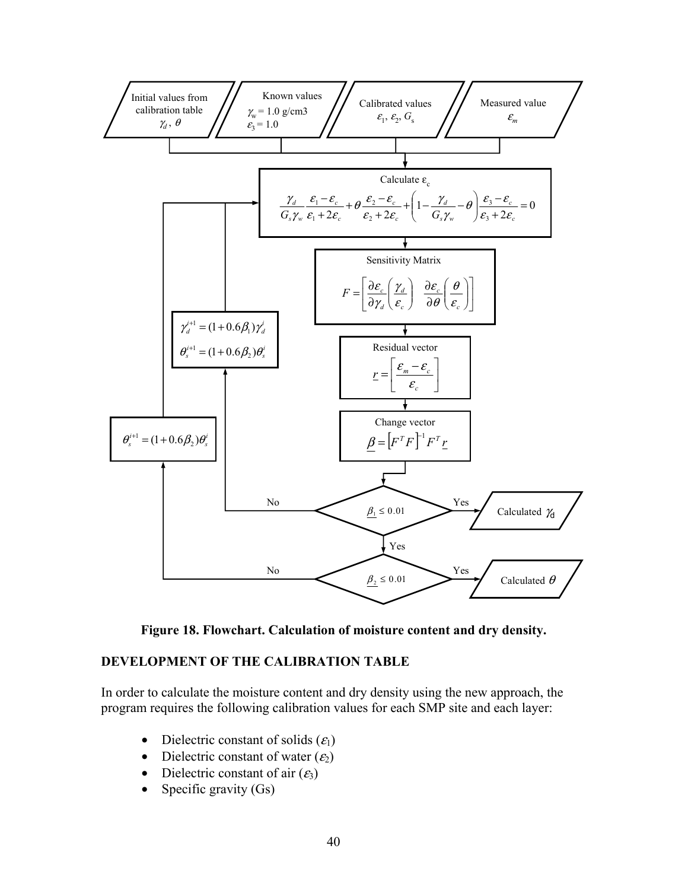

**Figure 18. Flowchart. Calculation of moisture content and dry density.** 

### **DEVELOPMENT OF THE CALIBRATION TABLE**

In order to calculate the moisture content and dry density using the new approach, the program requires the following calibration values for each SMP site and each layer:

- Dielectric constant of solids  $(\varepsilon_1)$
- Dielectric constant of water  $(\varepsilon_2)$
- Dielectric constant of air  $(\varepsilon_3)$
- Specific gravity  $(Gs)$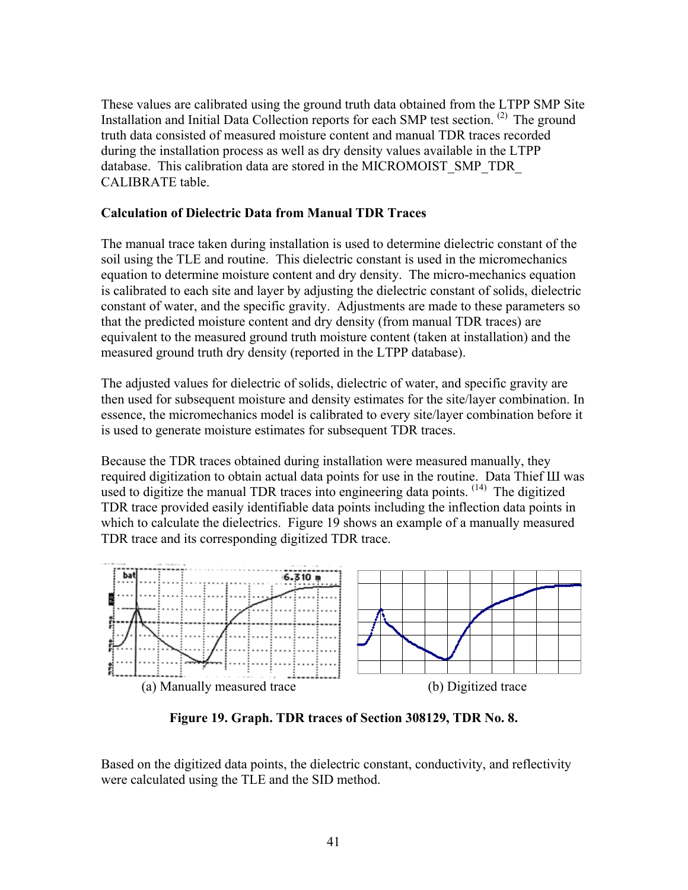These values are calibrated using the ground truth data obtained from the LTPP SMP Site Installation and Initial Data Collection reports for each SMP test section. (2) The ground truth data consisted of measured moisture content and manual TDR traces recorded during the installation process as well as dry density values available in the LTPP database. This calibration data are stored in the MICROMOIST\_SMP\_TDR\_ CALIBRATE table.

#### **Calculation of Dielectric Data from Manual TDR Traces**

The manual trace taken during installation is used to determine dielectric constant of the soil using the TLE and routine. This dielectric constant is used in the micromechanics equation to determine moisture content and dry density. The micro-mechanics equation is calibrated to each site and layer by adjusting the dielectric constant of solids, dielectric constant of water, and the specific gravity. Adjustments are made to these parameters so that the predicted moisture content and dry density (from manual TDR traces) are equivalent to the measured ground truth moisture content (taken at installation) and the measured ground truth dry density (reported in the LTPP database).

The adjusted values for dielectric of solids, dielectric of water, and specific gravity are then used for subsequent moisture and density estimates for the site/layer combination. In essence, the micromechanics model is calibrated to every site/layer combination before it is used to generate moisture estimates for subsequent TDR traces.

Because the TDR traces obtained during installation were measured manually, they required digitization to obtain actual data points for use in the routine. Data Thief Ш was used to digitize the manual TDR traces into engineering data points.  $(14)$  The digitized TDR trace provided easily identifiable data points including the inflection data points in which to calculate the dielectrics. Figure 19 shows an example of a manually measured TDR trace and its corresponding digitized TDR trace.



**Figure 19. Graph. TDR traces of Section 308129, TDR No. 8.** 

Based on the digitized data points, the dielectric constant, conductivity, and reflectivity were calculated using the TLE and the SID method.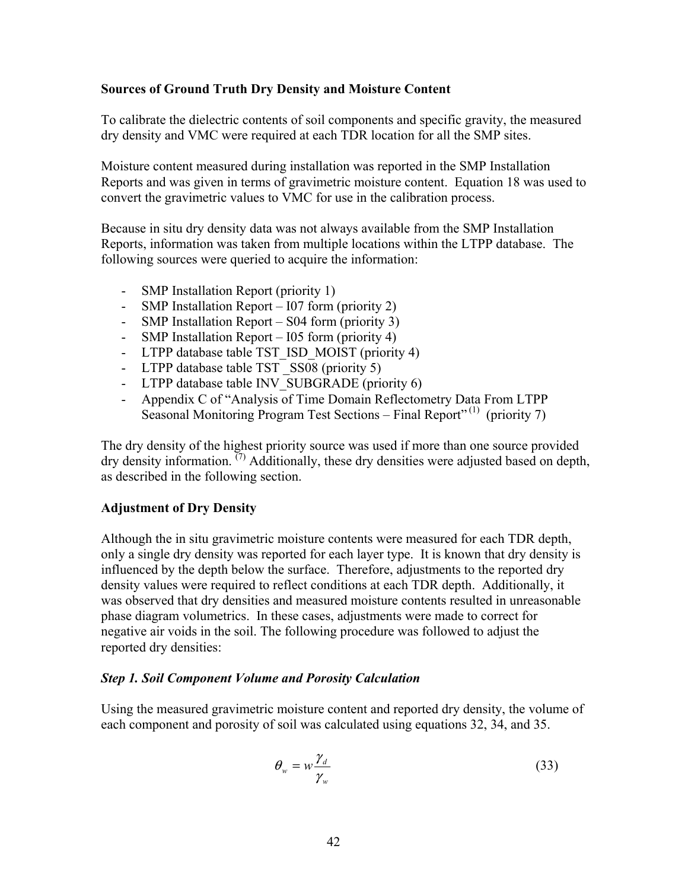#### **Sources of Ground Truth Dry Density and Moisture Content**

To calibrate the dielectric contents of soil components and specific gravity, the measured dry density and VMC were required at each TDR location for all the SMP sites.

Moisture content measured during installation was reported in the SMP Installation Reports and was given in terms of gravimetric moisture content. Equation 18 was used to convert the gravimetric values to VMC for use in the calibration process.

Because in situ dry density data was not always available from the SMP Installation Reports, information was taken from multiple locations within the LTPP database. The following sources were queried to acquire the information:

- SMP Installation Report (priority 1)
- SMP Installation Report I07 form (priority 2)
- SMP Installation Report S04 form (priority 3)
- SMP Installation Report I05 form (priority 4)
- LTPP database table TST\_ISD\_MOIST (priority 4)
- LTPP database table TST SS08 (priority 5)
- LTPP database table INV SUBGRADE (priority 6)
- Appendix C of "Analysis of Time Domain Reflectometry Data From LTPP Seasonal Monitoring Program Test Sections – Final Report<sup> $(1)$ </sup> (priority 7)

The dry density of the highest priority source was used if more than one source provided dry density information.  $^{(7)}$  Additionally, these dry densities were adjusted based on depth, as described in the following section.

#### **Adjustment of Dry Density**

Although the in situ gravimetric moisture contents were measured for each TDR depth, only a single dry density was reported for each layer type. It is known that dry density is influenced by the depth below the surface. Therefore, adjustments to the reported dry density values were required to reflect conditions at each TDR depth. Additionally, it was observed that dry densities and measured moisture contents resulted in unreasonable phase diagram volumetrics. In these cases, adjustments were made to correct for negative air voids in the soil. The following procedure was followed to adjust the reported dry densities:

#### *Step 1. Soil Component Volume and Porosity Calculation*

Using the measured gravimetric moisture content and reported dry density, the volume of each component and porosity of soil was calculated using equations 32, 34, and 35.

$$
\theta_{w} = w \frac{\gamma_{d}}{\gamma_{w}}
$$
\n(33)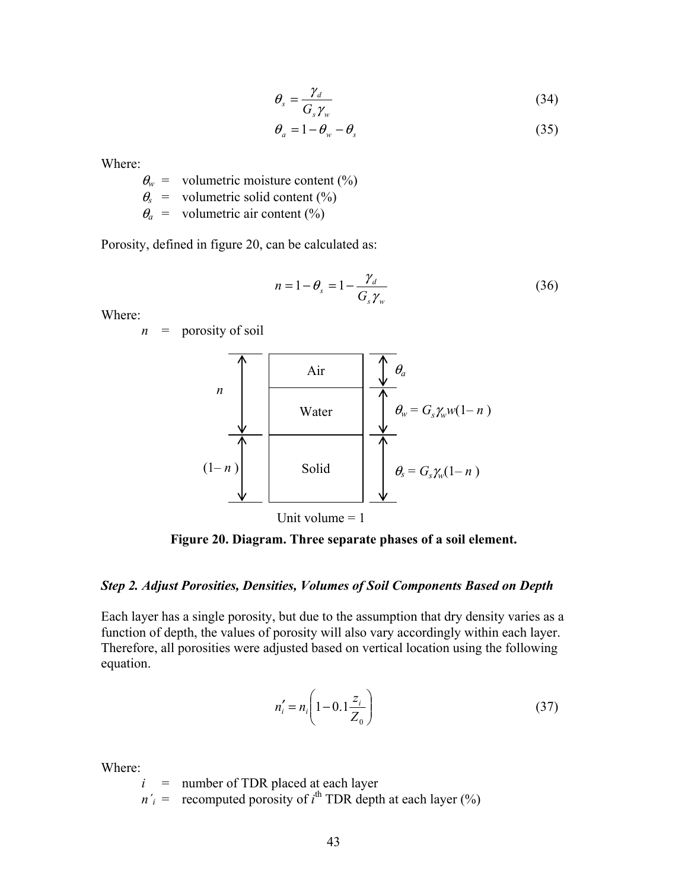$$
\theta_s = \frac{\gamma_d}{G_s \gamma_w} \tag{34}
$$

$$
\theta_a = 1 - \theta_w - \theta_s \tag{35}
$$

Where:

 $\theta_w$  = volumetric moisture content (%)  $\theta_s$  = volumetric solid content (%)  $\theta_a$  = volumetric air content (%)

Porosity, defined in figure 20, can be calculated as:

$$
n = 1 - \theta_s = 1 - \frac{\gamma_d}{G_s \gamma_w} \tag{36}
$$

Where:

 $n =$  porosity of soil



**Figure 20. Diagram. Three separate phases of a soil element.** 

#### *Step 2. Adjust Porosities, Densities, Volumes of Soil Components Based on Depth*

Each layer has a single porosity, but due to the assumption that dry density varies as a function of depth, the values of porosity will also vary accordingly within each layer. Therefore, all porosities were adjusted based on vertical location using the following equation.

$$
n'_{i} = n_{i} \left( 1 - 0.1 \frac{z_{i}}{Z_{0}} \right)
$$
 (37)

Where:

*i* = number of TDR placed at each layer

 $n'_i$  = recomputed porosity of  $i^{\text{th}}$  TDR depth at each layer (%)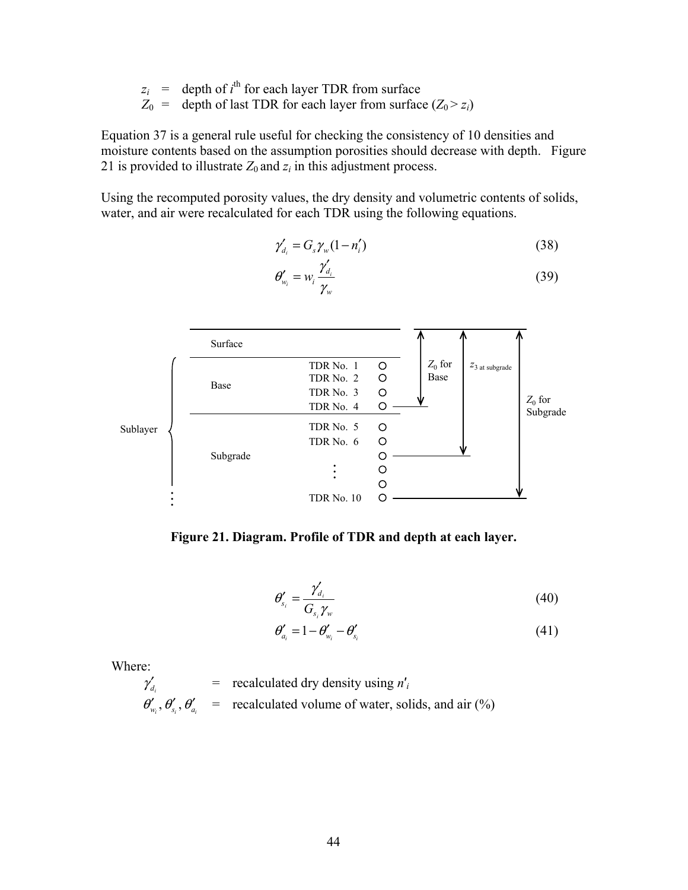$$
z_i
$$
 = depth of  $i^{\text{th}}$  for each layer TDR from surface  
\n $Z_0$  = depth of last TDR for each layer from surface  $(Z_0 > z_i)$ 

Equation 37 is a general rule useful for checking the consistency of 10 densities and moisture contents based on the assumption porosities should decrease with depth. Figure 21 is provided to illustrate  $Z_0$  and  $z_i$  in this adjustment process.

Using the recomputed porosity values, the dry density and volumetric contents of solids, water, and air were recalculated for each TDR using the following equations.

$$
\gamma'_{d_i} = G_s \gamma_w (1 - n'_i) \tag{38}
$$

$$
\theta'_{w_i} = w_i \frac{\gamma'_{d_i}}{\gamma_w} \tag{39}
$$



**Figure 21. Diagram. Profile of TDR and depth at each layer.** 

$$
\theta'_{s_i} = \frac{\gamma'_{d_i}}{G_{s_i}\gamma_w} \tag{40}
$$

$$
\theta'_{a_i} = 1 - \theta'_{w_i} - \theta'_{s_i}
$$
\n<sup>(41)</sup>

Where:

$$
\gamma'_{d_i}
$$
 = recalculated dry density using  $n'_i$   
\n $\theta'_{w_i}, \theta'_{s_i}, \theta'_{a_i}$  = recalculated volume of water, solids, and air (%)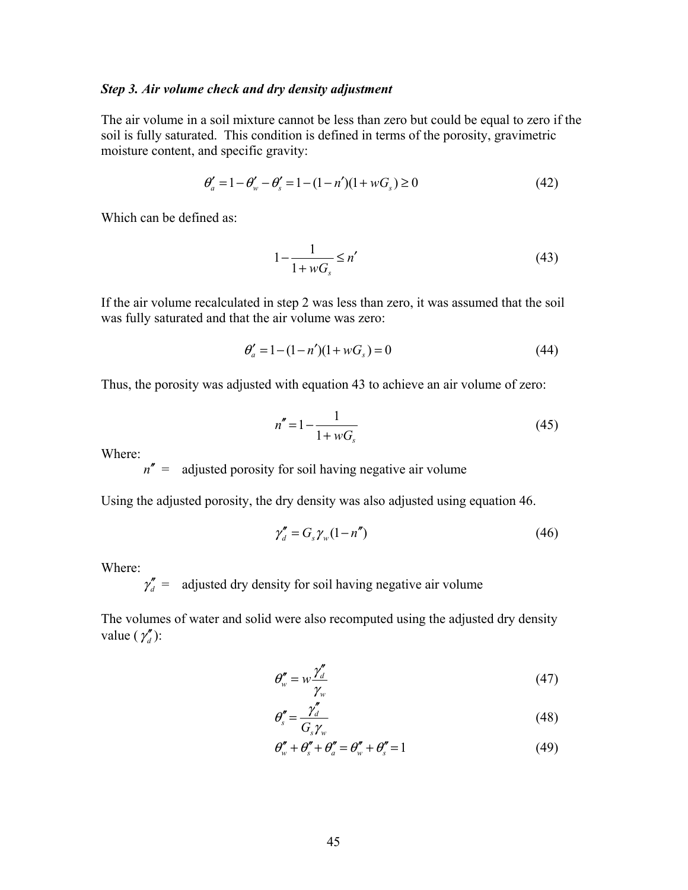#### *Step 3. Air volume check and dry density adjustment*

The air volume in a soil mixture cannot be less than zero but could be equal to zero if the soil is fully saturated. This condition is defined in terms of the porosity, gravimetric moisture content, and specific gravity:

$$
\theta'_a = 1 - \theta'_w - \theta'_s = 1 - (1 - n')(1 + wG_s) \ge 0
$$
\n(42)

Which can be defined as:

$$
1 - \frac{1}{1 + wG_s} \le n' \tag{43}
$$

If the air volume recalculated in step 2 was less than zero, it was assumed that the soil was fully saturated and that the air volume was zero:

$$
\theta'_a = 1 - (1 - n')(1 + wG_s) = 0 \tag{44}
$$

Thus, the porosity was adjusted with equation 43 to achieve an air volume of zero:

$$
n'' = 1 - \frac{1}{1 + wG_s} \tag{45}
$$

Where:

 $n''$  = adjusted porosity for soil having negative air volume

Using the adjusted porosity, the dry density was also adjusted using equation 46.

$$
\gamma''_d = G_s \gamma_w (1 - n'')
$$
\n(46)

Where:

 $\gamma''_d$  = adjusted dry density for soil having negative air volume

The volumes of water and solid were also recomputed using the adjusted dry density value  $(\gamma''_d)$ :

$$
\theta''_w = w \frac{\gamma''_d}{\gamma_w} \tag{47}
$$

$$
\theta_s'' = \frac{\gamma_d''}{G_s \gamma_w} \tag{48}
$$

$$
\theta''_w + \theta''_s + \theta''_a = \theta''_w + \theta''_s = 1 \tag{49}
$$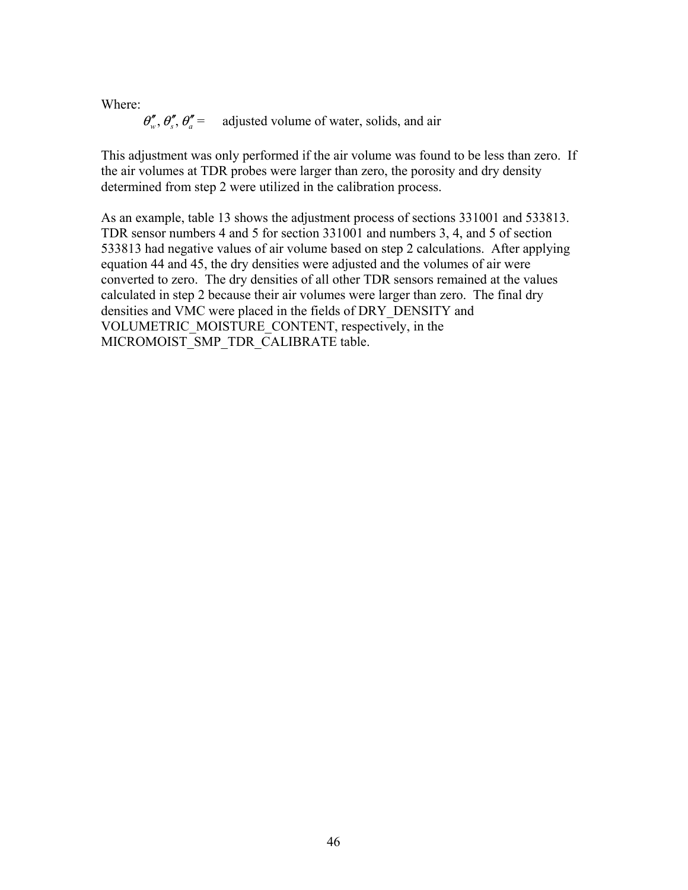Where:

$$
\theta''_w
$$
,  $\theta''_s$ ,  $\theta''_a$  = adjusted volume of water, solids, and air

This adjustment was only performed if the air volume was found to be less than zero. If the air volumes at TDR probes were larger than zero, the porosity and dry density determined from step 2 were utilized in the calibration process.

As an example, table 13 shows the adjustment process of sections 331001 and 533813. TDR sensor numbers 4 and 5 for section 331001 and numbers 3, 4, and 5 of section 533813 had negative values of air volume based on step 2 calculations. After applying equation 44 and 45, the dry densities were adjusted and the volumes of air were converted to zero. The dry densities of all other TDR sensors remained at the values calculated in step 2 because their air volumes were larger than zero. The final dry densities and VMC were placed in the fields of DRY\_DENSITY and VOLUMETRIC\_MOISTURE\_CONTENT, respectively, in the MICROMOIST SMP TDR CALIBRATE table.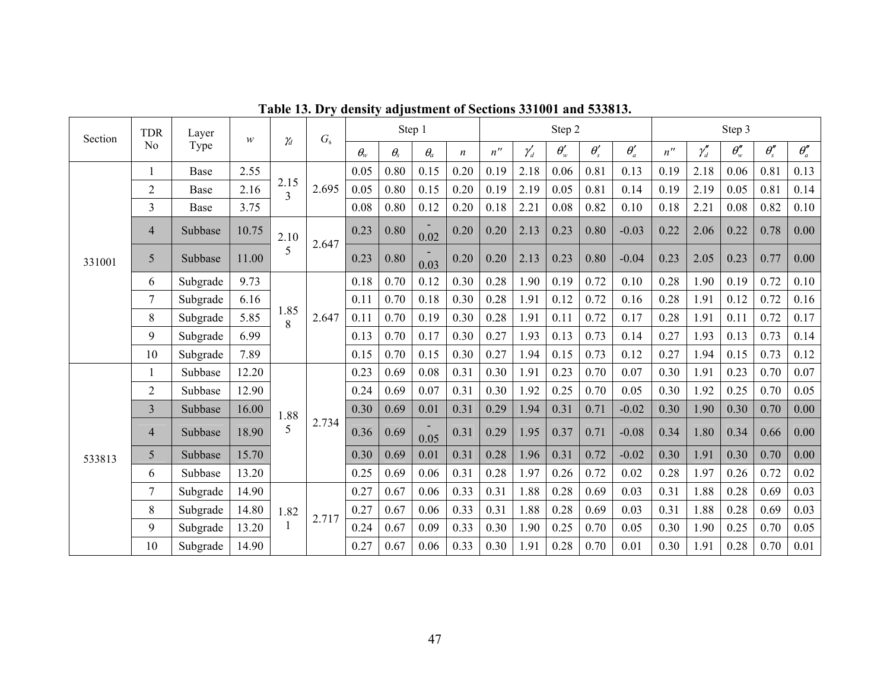| Section | <b>TDR</b>     | Layer       | w     |                        | $G_{\rm s}$ |              |              | Step 1     |                  |                    |             | Step 2      |                   |             |                    |              | Step 3       |                |              |
|---------|----------------|-------------|-------|------------------------|-------------|--------------|--------------|------------|------------------|--------------------|-------------|-------------|-------------------|-------------|--------------------|--------------|--------------|----------------|--------------|
|         | N <sub>o</sub> | Type        |       | $\gamma_d$             |             | $\theta_{w}$ | $\theta_{s}$ | $\theta_a$ | $\boldsymbol{n}$ | $n^{\prime\prime}$ | $\gamma_d'$ | $\theta'_w$ | $\theta_{\rm s}'$ | $\theta_a'$ | $n^{\prime\prime}$ | $\gamma''_d$ | $\theta''_w$ | $\theta''_{s}$ | $\theta''_a$ |
|         |                | <b>Base</b> | 2.55  |                        |             | 0.05         | 0.80         | 0.15       | 0.20             | 0.19               | 2.18        | 0.06        | 0.81              | 0.13        | 0.19               | 2.18         | 0.06         | 0.81           | 0.13         |
|         | $\overline{2}$ | Base        | 2.16  | 2.15<br>$\overline{3}$ | 2.695       | 0.05         | 0.80         | 0.15       | 0.20             | 0.19               | 2.19        | 0.05        | 0.81              | 0.14        | 0.19               | 2.19         | 0.05         | 0.81           | 0.14         |
|         | 3              | Base        | 3.75  |                        |             | 0.08         | 0.80         | 0.12       | 0.20             | 0.18               | 2.21        | 0.08        | 0.82              | 0.10        | 0.18               | 2.21         | 0.08         | 0.82           | 0.10         |
|         | $\overline{4}$ | Subbase     | 10.75 | 2.10                   | 2.647       | 0.23         | 0.80         | 0.02       | 0.20             | 0.20               | 2.13        | 0.23        | 0.80              | $-0.03$     | 0.22               | 2.06         | 0.22         | 0.78           | 0.00         |
| 331001  | 5              | Subbase     | 11.00 | 5                      |             | 0.23         | 0.80         | 0.03       | 0.20             | 0.20               | 2.13        | 0.23        | 0.80              | $-0.04$     | 0.23               | 2.05         | 0.23         | 0.77           | 0.00         |
|         | 6              | Subgrade    | 9.73  |                        |             | 0.18         | 0.70         | 0.12       | 0.30             | 0.28               | 1.90        | 0.19        | 0.72              | 0.10        | 0.28               | 1.90         | 0.19         | 0.72           | 0.10         |
|         | 7              | Subgrade    | 6.16  |                        |             | 0.11         | 0.70         | 0.18       | 0.30             | 0.28               | 1.91        | 0.12        | 0.72              | 0.16        | 0.28               | 1.91         | 0.12         | 0.72           | 0.16         |
|         | 8              | Subgrade    | 5.85  | 1.85<br>8              | 2.647       | 0.11         | 0.70         | 0.19       | 0.30             | 0.28               | 1.91        | 0.11        | 0.72              | 0.17        | 0.28               | 1.91         | 0.11         | 0.72           | 0.17         |
|         | 9              | Subgrade    | 6.99  |                        |             | 0.13         | 0.70         | 0.17       | 0.30             | 0.27               | 1.93        | 0.13        | 0.73              | 0.14        | 0.27               | 1.93         | 0.13         | 0.73           | 0.14         |
|         | 10             | Subgrade    | 7.89  |                        |             | 0.15         | 0.70         | 0.15       | 0.30             | 0.27               | 1.94        | 0.15        | 0.73              | 0.12        | 0.27               | 1.94         | 0.15         | 0.73           | 0.12         |
|         | 1              | Subbase     | 12.20 |                        |             | 0.23         | 0.69         | 0.08       | 0.31             | 0.30               | 1.91        | 0.23        | 0.70              | 0.07        | 0.30               | 1.91         | 0.23         | 0.70           | 0.07         |
|         | $\overline{2}$ | Subbase     | 12.90 |                        |             | 0.24         | 0.69         | 0.07       | 0.31             | 0.30               | 1.92        | 0.25        | 0.70              | 0.05        | 0.30               | 1.92         | 0.25         | 0.70           | 0.05         |
|         | $\overline{3}$ | Subbase     | 16.00 | 1.88                   |             | 0.30         | 0.69         | 0.01       | 0.31             | 0.29               | 1.94        | 0.31        | 0.71              | $-0.02$     | 0.30               | 1.90         | 0.30         | 0.70           | 0.00         |
|         | $\overline{4}$ | Subbase     | 18.90 | 5                      | 2.734       | 0.36         | 0.69         | 0.05       | 0.31             | 0.29               | 1.95        | 0.37        | 0.71              | $-0.08$     | 0.34               | 1.80         | 0.34         | 0.66           | 0.00         |
| 533813  | 5              | Subbase     | 15.70 |                        |             | 0.30         | 0.69         | 0.01       | 0.31             | 0.28               | 1.96        | 0.31        | 0.72              | $-0.02$     | 0.30               | 1.91         | 0.30         | 0.70           | 0.00         |
|         | 6              | Subbase     | 13.20 |                        |             | 0.25         | 0.69         | 0.06       | 0.31             | 0.28               | 1.97        | 0.26        | 0.72              | 0.02        | 0.28               | 1.97         | 0.26         | 0.72           | 0.02         |
|         | $\overline{7}$ | Subgrade    | 14.90 |                        |             | 0.27         | 0.67         | 0.06       | 0.33             | 0.31               | 1.88        | 0.28        | 0.69              | 0.03        | 0.31               | 1.88         | 0.28         | 0.69           | 0.03         |
|         | 8              | Subgrade    | 14.80 | 1.82                   | 2.717       | 0.27         | 0.67         | 0.06       | 0.33             | 0.31               | 1.88        | 0.28        | 0.69              | 0.03        | 0.31               | 1.88         | 0.28         | 0.69           | 0.03         |
|         | 9              | Subgrade    | 13.20 |                        |             | 0.24         | 0.67         | 0.09       | 0.33             | 0.30               | 1.90        | 0.25        | 0.70              | 0.05        | 0.30               | 1.90         | 0.25         | 0.70           | 0.05         |
|         | 10             | Subgrade    | 14.90 |                        |             | 0.27         | 0.67         | 0.06       | 0.33             | 0.30               | 1.91        | 0.28        | 0.70              | 0.01        | 0.30               | 1.91         | 0.28         | 0.70           | 0.01         |

**Table 13. Dry density adjustment of Sections 331001 and 533813.**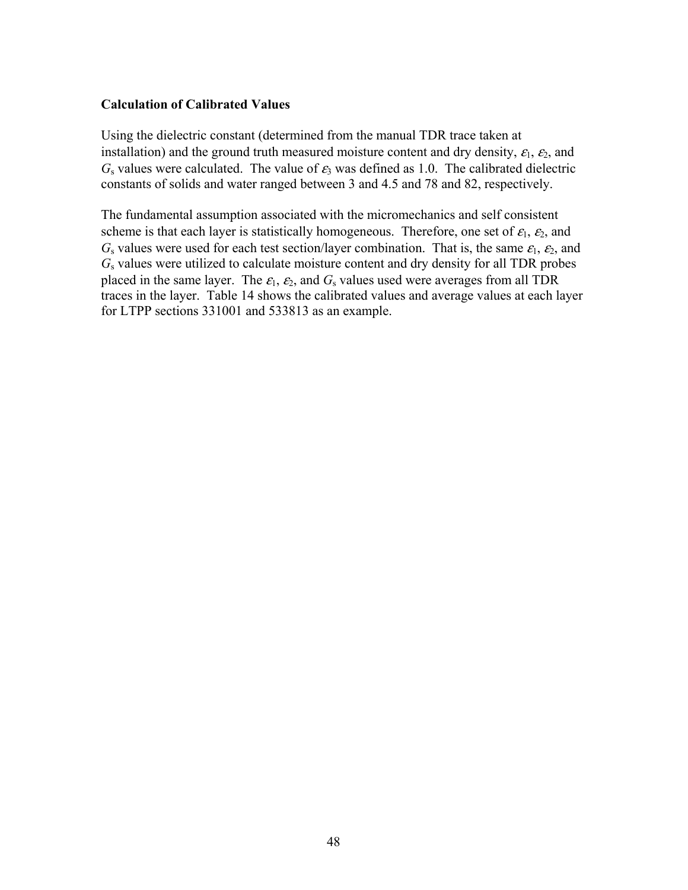#### **Calculation of Calibrated Values**

Using the dielectric constant (determined from the manual TDR trace taken at installation) and the ground truth measured moisture content and dry density,  $\varepsilon_1$ ,  $\varepsilon_2$ , and  $G<sub>s</sub>$  values were calculated. The value of  $\varepsilon_3$  was defined as 1.0. The calibrated dielectric constants of solids and water ranged between 3 and 4.5 and 78 and 82, respectively.

The fundamental assumption associated with the micromechanics and self consistent scheme is that each layer is statistically homogeneous. Therefore, one set of  $\varepsilon_1$ ,  $\varepsilon_2$ , and  $G_s$  values were used for each test section/layer combination. That is, the same  $\varepsilon_1$ ,  $\varepsilon_2$ , and *G*s values were utilized to calculate moisture content and dry density for all TDR probes placed in the same layer. The  $\varepsilon_1$ ,  $\varepsilon_2$ , and  $G_s$  values used were averages from all TDR traces in the layer. Table 14 shows the calibrated values and average values at each layer for LTPP sections 331001 and 533813 as an example.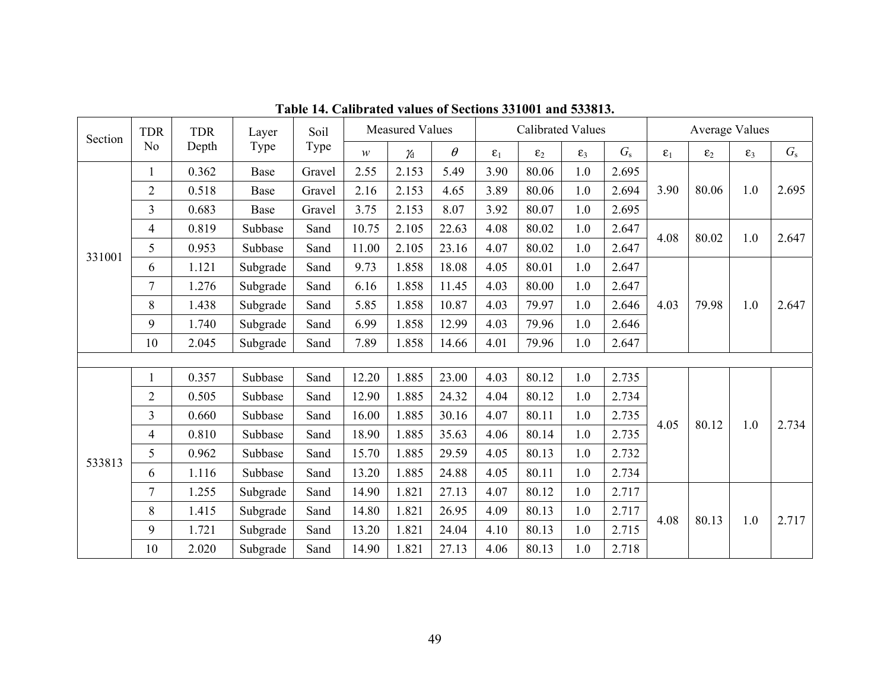| Section | <b>TDR</b>     | <b>TDR</b> | Layer    | Soil   |       | <b>Measured Values</b> |          |              | <b>Calibrated Values</b> |              |             |              | <b>Average Values</b> |              |             |
|---------|----------------|------------|----------|--------|-------|------------------------|----------|--------------|--------------------------|--------------|-------------|--------------|-----------------------|--------------|-------------|
|         | N <sub>o</sub> | Depth      | Type     | Type   | W     | $\gamma_d$             | $\theta$ | $\epsilon_1$ | $\varepsilon_2$          | $\epsilon_3$ | $G_{\rm s}$ | $\epsilon_1$ | $\varepsilon_2$       | $\epsilon_3$ | $G_{\rm s}$ |
|         |                | 0.362      | Base     | Gravel | 2.55  | 2.153                  | 5.49     | 3.90         | 80.06                    | 1.0          | 2.695       |              |                       |              |             |
|         | $\overline{2}$ | 0.518      | Base     | Gravel | 2.16  | 2.153                  | 4.65     | 3.89         | 80.06                    | 1.0          | 2.694       | 3.90         | 80.06                 | 1.0          | 2.695       |
|         | $\overline{3}$ | 0.683      | Base     | Gravel | 3.75  | 2.153                  | 8.07     | 3.92         | 80.07                    | 1.0          | 2.695       |              |                       |              |             |
|         | $\overline{4}$ | 0.819      | Subbase  | Sand   | 10.75 | 2.105                  | 22.63    | 4.08         | 80.02                    | 1.0          | 2.647       | 4.08         | 80.02                 | 1.0          | 2.647       |
| 331001  | 5              | 0.953      | Subbase  | Sand   | 11.00 | 2.105                  | 23.16    | 4.07         | 80.02                    | 1.0          | 2.647       |              |                       |              |             |
|         | 6              | 1.121      | Subgrade | Sand   | 9.73  | 1.858                  | 18.08    | 4.05         | 80.01                    | 1.0          | 2.647       |              |                       |              |             |
|         | $\overline{7}$ | 1.276      | Subgrade | Sand   | 6.16  | 1.858                  | 11.45    | 4.03         | 80.00                    | 1.0          | 2.647       |              |                       |              | 2.647       |
|         | 8              | 1.438      | Subgrade | Sand   | 5.85  | 1.858                  | 10.87    | 4.03         | 79.97                    | 1.0          | 2.646       | 4.03         | 79.98                 | 1.0          |             |
|         | 9              | 1.740      | Subgrade | Sand   | 6.99  | 1.858                  | 12.99    | 4.03         | 79.96                    | 1.0          | 2.646       |              |                       |              |             |
|         | 10             | 2.045      | Subgrade | Sand   | 7.89  | 1.858                  | 14.66    | 4.01         | 79.96                    | 1.0          | 2.647       |              |                       |              |             |
|         |                |            |          |        |       |                        |          |              |                          |              |             |              |                       |              |             |
|         |                | 0.357      | Subbase  | Sand   | 12.20 | 1.885                  | 23.00    | 4.03         | 80.12                    | 1.0          | 2.735       |              |                       |              |             |
|         | $\overline{2}$ | 0.505      | Subbase  | Sand   | 12.90 | 1.885                  | 24.32    | 4.04         | 80.12                    | 1.0          | 2.734       |              |                       |              | 2.734       |
|         | $\overline{3}$ | 0.660      | Subbase  | Sand   | 16.00 | 1.885                  | 30.16    | 4.07         | 80.11                    | 1.0          | 2.735       | 4.05         | 80.12                 | 1.0          |             |
|         | $\overline{4}$ | 0.810      | Subbase  | Sand   | 18.90 | 1.885                  | 35.63    | 4.06         | 80.14                    | 1.0          | 2.735       |              |                       |              |             |
| 533813  | 5              | 0.962      | Subbase  | Sand   | 15.70 | 1.885                  | 29.59    | 4.05         | 80.13                    | 1.0          | 2.732       |              |                       |              |             |
|         | 6              | 1.116      | Subbase  | Sand   | 13.20 | 1.885                  | 24.88    | 4.05         | 80.11                    | 1.0          | 2.734       |              |                       |              |             |
|         | 7              | 1.255      | Subgrade | Sand   | 14.90 | 1.821                  | 27.13    | 4.07         | 80.12                    | 1.0          | 2.717       |              |                       |              | 2.717       |
|         | 8              | 1.415      | Subgrade | Sand   | 14.80 | 1.821                  | 26.95    | 4.09         | 80.13                    | 1.0          | 2.717       | 4.08         | 80.13                 | 1.0          |             |
|         | 9              | 1.721      | Subgrade | Sand   | 13.20 | 1.821                  | 24.04    | 4.10         | 80.13                    | 1.0          | 2.715       |              |                       |              |             |
|         | 10             | 2.020      | Subgrade | Sand   | 14.90 | 1.821                  | 27.13    | 4.06         | 80.13                    | 1.0          | 2.718       |              |                       |              |             |

**Table 14. Calibrated values of Sections 331001 and 533813.**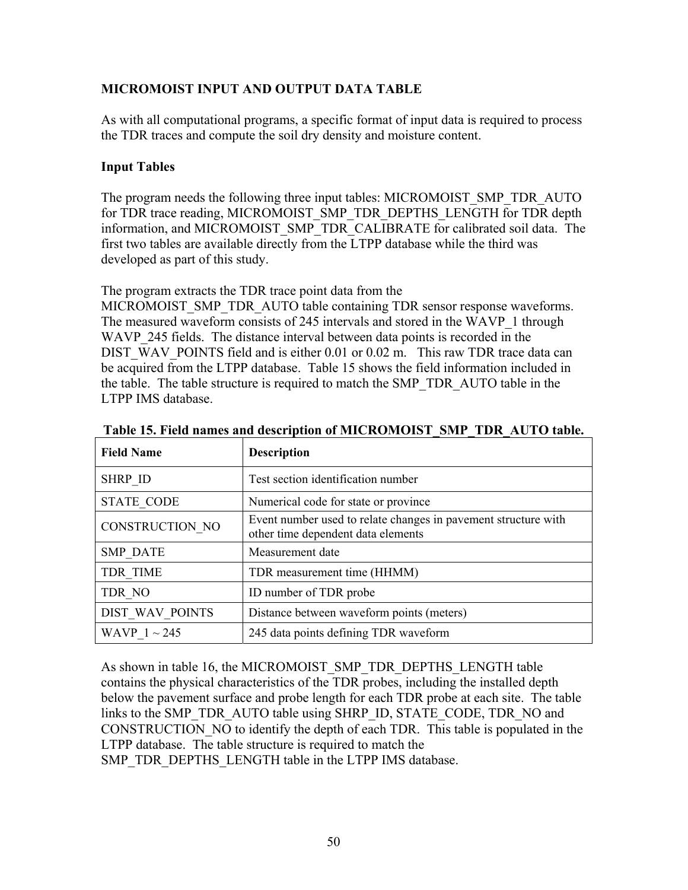### **MICROMOIST INPUT AND OUTPUT DATA TABLE**

As with all computational programs, a specific format of input data is required to process the TDR traces and compute the soil dry density and moisture content.

#### **Input Tables**

The program needs the following three input tables: MICROMOIST\_SMP\_TDR\_AUTO for TDR trace reading, MICROMOIST\_SMP\_TDR\_DEPTHS\_LENGTH for TDR depth information, and MICROMOIST\_SMP\_TDR\_CALIBRATE for calibrated soil data. The first two tables are available directly from the LTPP database while the third was developed as part of this study.

The program extracts the TDR trace point data from the

MICROMOIST\_SMP\_TDR\_AUTO table containing TDR sensor response waveforms. The measured waveform consists of 245 intervals and stored in the WAVP\_1 through WAVP 245 fields. The distance interval between data points is recorded in the DIST\_WAV\_POINTS field and is either 0.01 or 0.02 m. This raw TDR trace data can be acquired from the LTPP database. Table 15 shows the field information included in the table. The table structure is required to match the SMP\_TDR\_AUTO table in the LTPP IMS database.

| <b>Field Name</b> | <b>Description</b>                                                                                   |
|-------------------|------------------------------------------------------------------------------------------------------|
| <b>SHRP ID</b>    | Test section identification number                                                                   |
| <b>STATE CODE</b> | Numerical code for state or province                                                                 |
| CONSTRUCTION NO   | Event number used to relate changes in pavement structure with<br>other time dependent data elements |
| <b>SMP DATE</b>   | Measurement date                                                                                     |
| TDR TIME          | TDR measurement time (HHMM)                                                                          |
| TDR NO            | ID number of TDR probe                                                                               |
| DIST WAV POINTS   | Distance between waveform points (meters)                                                            |
| WAVP $1 \sim 245$ | 245 data points defining TDR waveform                                                                |

**Table 15. Field names and description of MICROMOIST\_SMP\_TDR\_AUTO table.** 

As shown in table 16, the MICROMOIST\_SMP\_TDR\_DEPTHS\_LENGTH table contains the physical characteristics of the TDR probes, including the installed depth below the pavement surface and probe length for each TDR probe at each site. The table links to the SMP\_TDR\_AUTO table using SHRP\_ID, STATE\_CODE, TDR\_NO and CONSTRUCTION\_NO to identify the depth of each TDR. This table is populated in the LTPP database. The table structure is required to match the SMP\_TDR\_DEPTHS\_LENGTH table in the LTPP IMS database.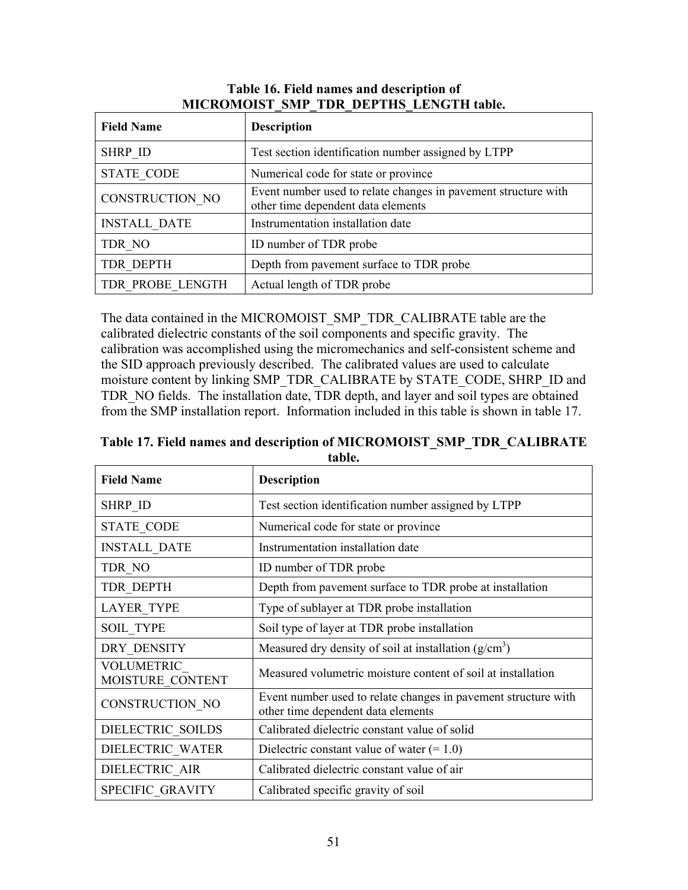| <b>Field Name</b>   | <b>Description</b>                                                                                   |
|---------------------|------------------------------------------------------------------------------------------------------|
| <b>SHRP ID</b>      | Test section identification number assigned by LTPP                                                  |
| <b>STATE CODE</b>   | Numerical code for state or province                                                                 |
| CONSTRUCTION NO     | Event number used to relate changes in pavement structure with<br>other time dependent data elements |
| <b>INSTALL DATE</b> | Instrumentation installation date                                                                    |
| TDR NO              | ID number of TDR probe                                                                               |
| <b>TDR DEPTH</b>    | Depth from pavement surface to TDR probe                                                             |
| TDR PROBE LENGTH    | Actual length of TDR probe                                                                           |

#### **Table 16. Field names and description of MICROMOIST\_SMP\_TDR\_DEPTHS\_LENGTH table.**

The data contained in the MICROMOIST\_SMP\_TDR\_CALIBRATE table are the calibrated dielectric constants of the soil components and specific gravity. The calibration was accomplished using the micromechanics and self-consistent scheme and the SID approach previously described. The calibrated values are used to calculate moisture content by linking SMP\_TDR\_CALIBRATE by STATE\_CODE, SHRP\_ID and TDR\_NO fields. The installation date, TDR depth, and layer and soil types are obtained from the SMP installation report. Information included in this table is shown in table 17.

**Table 17. Field names and description of MICROMOIST\_SMP\_TDR\_CALIBRATE table.** 

| <b>Field Name</b>                     | <b>Description</b>                                                                                   |
|---------------------------------------|------------------------------------------------------------------------------------------------------|
| SHRP ID                               | Test section identification number assigned by LTPP                                                  |
| <b>STATE CODE</b>                     | Numerical code for state or province                                                                 |
| <b>INSTALL DATE</b>                   | Instrumentation installation date                                                                    |
| TDR NO                                | ID number of TDR probe                                                                               |
| TDR DEPTH                             | Depth from pavement surface to TDR probe at installation                                             |
| <b>LAYER TYPE</b>                     | Type of sublayer at TDR probe installation                                                           |
| <b>SOIL TYPE</b>                      | Soil type of layer at TDR probe installation                                                         |
| DRY DENSITY                           | Measured dry density of soil at installation $(g/cm3)$                                               |
| <b>VOLUMETRIC</b><br>MOISTURE CONTENT | Measured volumetric moisture content of soil at installation                                         |
| CONSTRUCTION NO                       | Event number used to relate changes in pavement structure with<br>other time dependent data elements |
| DIELECTRIC_SOILDS                     | Calibrated dielectric constant value of solid                                                        |
| DIELECTRIC WATER                      | Dielectric constant value of water $(= 1.0)$                                                         |
| DIELECTRIC AIR                        | Calibrated dielectric constant value of air                                                          |
| SPECIFIC GRAVITY                      | Calibrated specific gravity of soil                                                                  |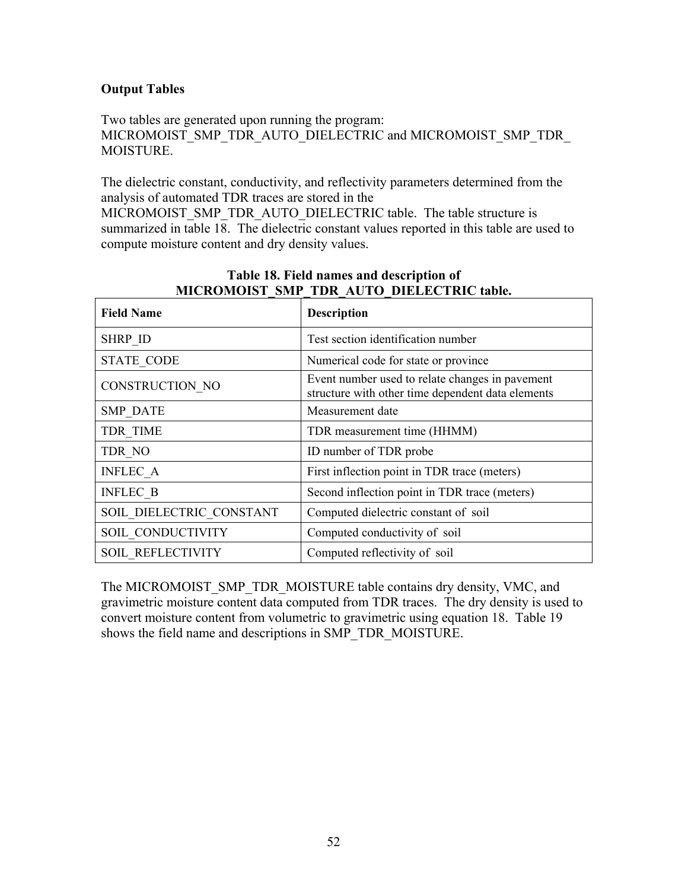## **Output Tables**

Two tables are generated upon running the program: MICROMOIST\_SMP\_TDR\_AUTO\_DIELECTRIC and MICROMOIST\_SMP\_TDR MOISTURE.

The dielectric constant, conductivity, and reflectivity parameters determined from the analysis of automated TDR traces are stored in the

MICROMOIST\_SMP\_TDR\_AUTO\_DIELECTRIC table. The table structure is summarized in table 18. The dielectric constant values reported in this table are used to compute moisture content and dry density values.

| <b>Field Name</b>        | <b>Description</b>                                                                                   |
|--------------------------|------------------------------------------------------------------------------------------------------|
| SHRP_ID                  | Test section identification number                                                                   |
| <b>STATE CODE</b>        | Numerical code for state or province                                                                 |
| CONSTRUCTION NO          | Event number used to relate changes in pavement<br>structure with other time dependent data elements |
| <b>SMP DATE</b>          | Measurement date                                                                                     |
| <b>TDR TIME</b>          | TDR measurement time (HHMM)                                                                          |
| TDR NO                   | ID number of TDR probe                                                                               |
| <b>INFLEC A</b>          | First inflection point in TDR trace (meters)                                                         |
| <b>INFLEC B</b>          | Second inflection point in TDR trace (meters)                                                        |
| SOIL DIELECTRIC CONSTANT | Computed dielectric constant of soil                                                                 |
| SOIL CONDUCTIVITY        | Computed conductivity of soil                                                                        |
| <b>SOIL REFLECTIVITY</b> | Computed reflectivity of soil                                                                        |

## **Table 18. Field names and description of MICROMOIST\_SMP\_TDR\_AUTO\_DIELECTRIC table.**

The MICROMOIST\_SMP\_TDR\_MOISTURE table contains dry density, VMC, and gravimetric moisture content data computed from TDR traces. The dry density is used to convert moisture content from volumetric to gravimetric using equation 18. Table 19 shows the field name and descriptions in SMP\_TDR\_MOISTURE.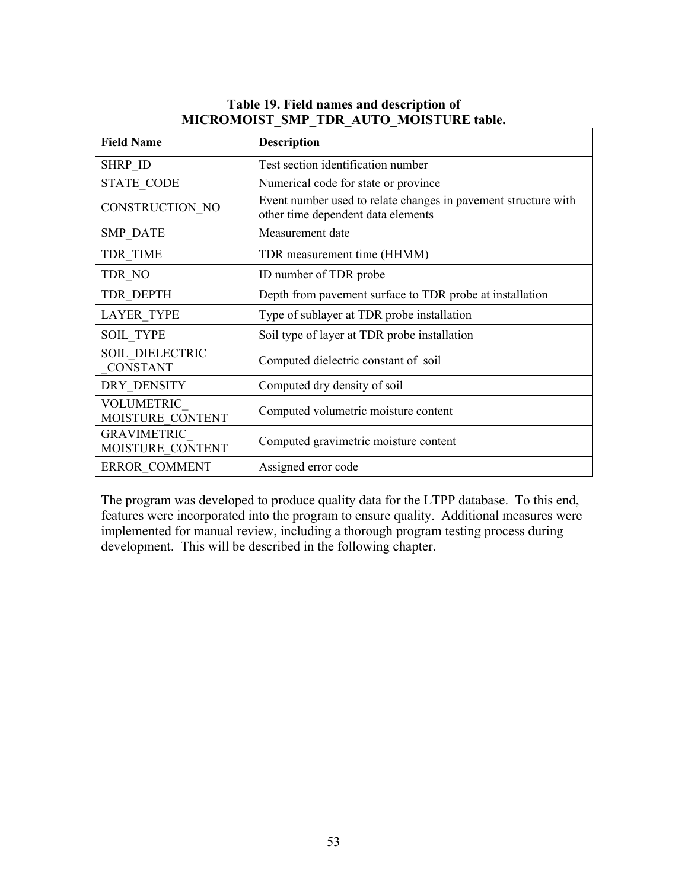| <b>Field Name</b>                     | <b>Description</b>                                                                                   |
|---------------------------------------|------------------------------------------------------------------------------------------------------|
| <b>SHRP ID</b>                        | Test section identification number                                                                   |
| <b>STATE CODE</b>                     | Numerical code for state or province                                                                 |
| CONSTRUCTION NO                       | Event number used to relate changes in pavement structure with<br>other time dependent data elements |
| <b>SMP DATE</b>                       | Measurement date                                                                                     |
| TDR TIME                              | TDR measurement time (HHMM)                                                                          |
| TDR NO                                | ID number of TDR probe                                                                               |
| TDR DEPTH                             | Depth from pavement surface to TDR probe at installation                                             |
| <b>LAYER TYPE</b>                     | Type of sublayer at TDR probe installation                                                           |
| <b>SOIL TYPE</b>                      | Soil type of layer at TDR probe installation                                                         |
| SOIL DIELECTRIC<br><b>CONSTANT</b>    | Computed dielectric constant of soil                                                                 |
| DRY DENSITY                           | Computed dry density of soil                                                                         |
| <b>VOLUMETRIC</b><br>MOISTURE CONTENT | Computed volumetric moisture content                                                                 |
| GRAVIMETRIC<br>MOISTURE CONTENT       | Computed gravimetric moisture content                                                                |
| <b>ERROR COMMENT</b>                  | Assigned error code                                                                                  |

## **Table 19. Field names and description of MICROMOIST\_SMP\_TDR\_AUTO\_MOISTURE table.**

The program was developed to produce quality data for the LTPP database. To this end, features were incorporated into the program to ensure quality. Additional measures were implemented for manual review, including a thorough program testing process during development. This will be described in the following chapter.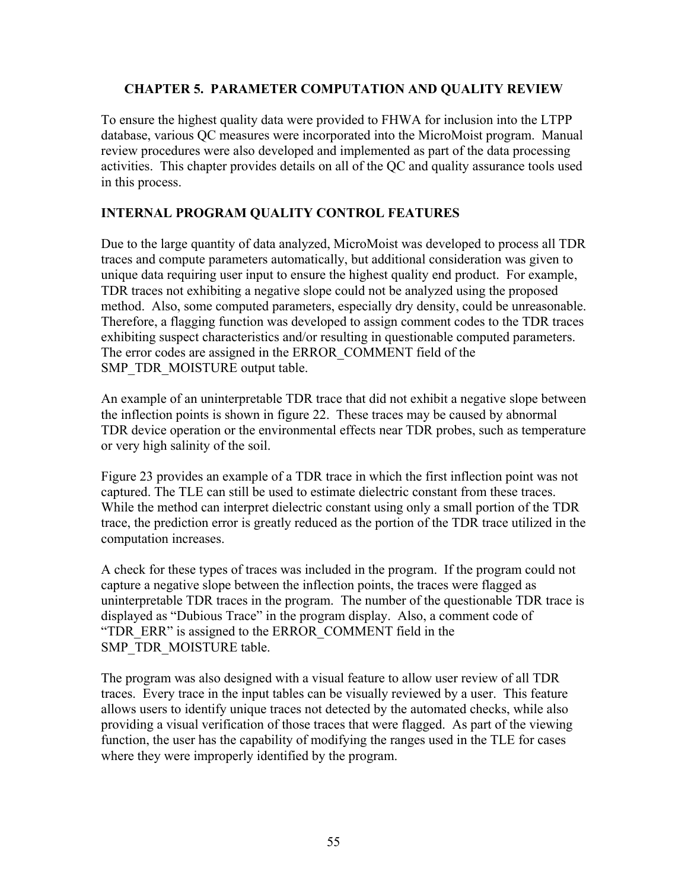#### **CHAPTER 5. PARAMETER COMPUTATION AND QUALITY REVIEW**

To ensure the highest quality data were provided to FHWA for inclusion into the LTPP database, various QC measures were incorporated into the MicroMoist program. Manual review procedures were also developed and implemented as part of the data processing activities. This chapter provides details on all of the QC and quality assurance tools used in this process.

## **INTERNAL PROGRAM QUALITY CONTROL FEATURES**

Due to the large quantity of data analyzed, MicroMoist was developed to process all TDR traces and compute parameters automatically, but additional consideration was given to unique data requiring user input to ensure the highest quality end product. For example, TDR traces not exhibiting a negative slope could not be analyzed using the proposed method. Also, some computed parameters, especially dry density, could be unreasonable. Therefore, a flagging function was developed to assign comment codes to the TDR traces exhibiting suspect characteristics and/or resulting in questionable computed parameters. The error codes are assigned in the ERROR\_COMMENT field of the SMP\_TDR\_MOISTURE output table.

An example of an uninterpretable TDR trace that did not exhibit a negative slope between the inflection points is shown in figure 22. These traces may be caused by abnormal TDR device operation or the environmental effects near TDR probes, such as temperature or very high salinity of the soil.

Figure 23 provides an example of a TDR trace in which the first inflection point was not captured. The TLE can still be used to estimate dielectric constant from these traces. While the method can interpret dielectric constant using only a small portion of the TDR trace, the prediction error is greatly reduced as the portion of the TDR trace utilized in the computation increases.

A check for these types of traces was included in the program. If the program could not capture a negative slope between the inflection points, the traces were flagged as uninterpretable TDR traces in the program. The number of the questionable TDR trace is displayed as "Dubious Trace" in the program display. Also, a comment code of "TDR\_ERR" is assigned to the ERROR\_COMMENT field in the SMP\_TDR\_MOISTURE table.

The program was also designed with a visual feature to allow user review of all TDR traces. Every trace in the input tables can be visually reviewed by a user. This feature allows users to identify unique traces not detected by the automated checks, while also providing a visual verification of those traces that were flagged. As part of the viewing function, the user has the capability of modifying the ranges used in the TLE for cases where they were improperly identified by the program.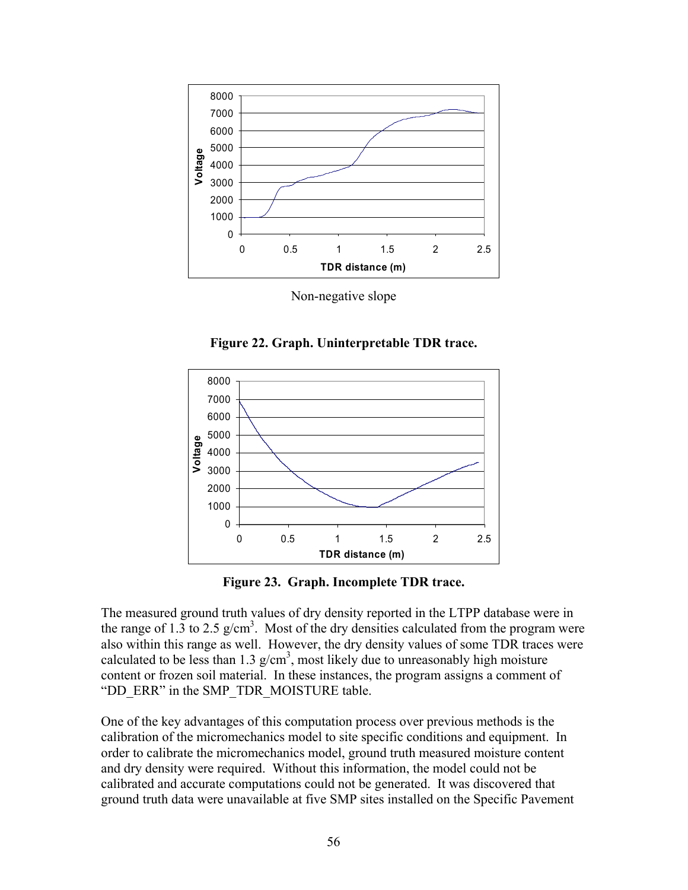

Non-negative slope

**Figure 22. Graph. Uninterpretable TDR trace.** 



**Figure 23. Graph. Incomplete TDR trace.** 

The measured ground truth values of dry density reported in the LTPP database were in the range of 1.3 to 2.5  $g/cm<sup>3</sup>$ . Most of the dry densities calculated from the program were also within this range as well. However, the dry density values of some TDR traces were calculated to be less than 1.3  $g/cm<sup>3</sup>$ , most likely due to unreasonably high moisture content or frozen soil material. In these instances, the program assigns a comment of "DD\_ERR" in the SMP\_TDR\_MOISTURE table.

One of the key advantages of this computation process over previous methods is the calibration of the micromechanics model to site specific conditions and equipment. In order to calibrate the micromechanics model, ground truth measured moisture content and dry density were required. Without this information, the model could not be calibrated and accurate computations could not be generated. It was discovered that ground truth data were unavailable at five SMP sites installed on the Specific Pavement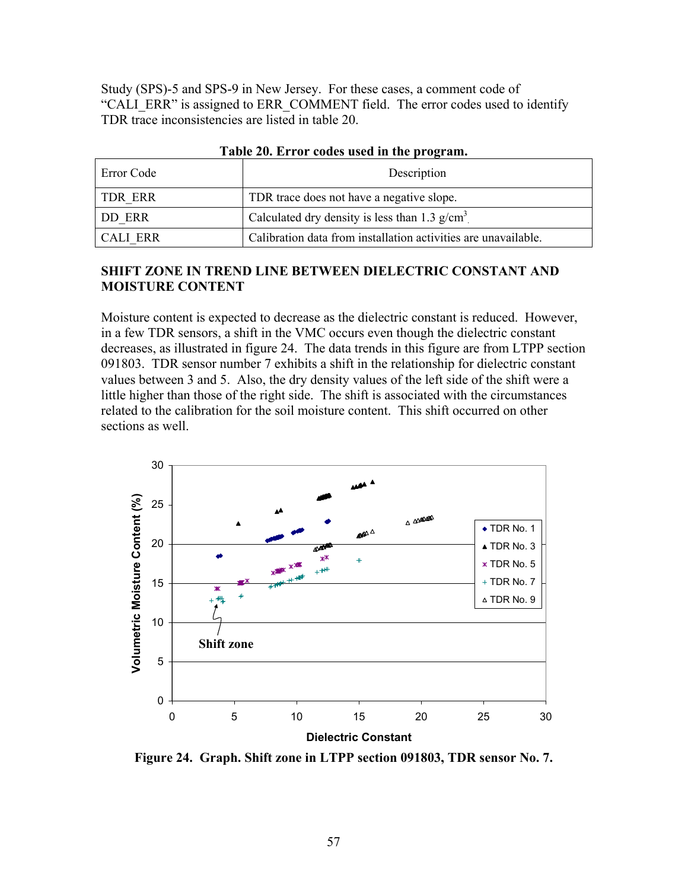Study (SPS)-5 and SPS-9 in New Jersey. For these cases, a comment code of "CALI\_ERR" is assigned to ERR\_COMMENT field. The error codes used to identify TDR trace inconsistencies are listed in table 20.

| Error Code | Description                                                    |
|------------|----------------------------------------------------------------|
| ' TDR ERR  | TDR trace does not have a negative slope.                      |
| DD ERR     | Calculated dry density is less than 1.3 $g/cm3$ .              |
| CALI ERR   | Calibration data from installation activities are unavailable. |

**Table 20. Error codes used in the program.** 

#### **SHIFT ZONE IN TREND LINE BETWEEN DIELECTRIC CONSTANT AND MOISTURE CONTENT**

Moisture content is expected to decrease as the dielectric constant is reduced. However, in a few TDR sensors, a shift in the VMC occurs even though the dielectric constant decreases, as illustrated in figure 24. The data trends in this figure are from LTPP section 091803. TDR sensor number 7 exhibits a shift in the relationship for dielectric constant values between 3 and 5. Also, the dry density values of the left side of the shift were a little higher than those of the right side. The shift is associated with the circumstances related to the calibration for the soil moisture content. This shift occurred on other sections as well.



**Figure 24. Graph. Shift zone in LTPP section 091803, TDR sensor No. 7.**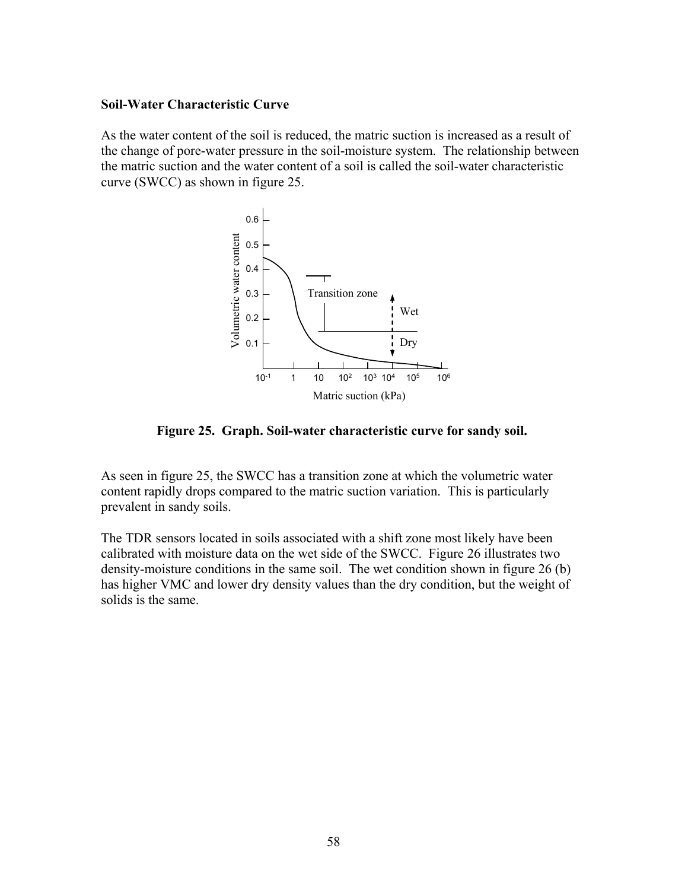#### **Soil-Water Characteristic Curve**

As the water content of the soil is reduced, the matric suction is increased as a result of the change of pore-water pressure in the soil-moisture system. The relationship between the matric suction and the water content of a soil is called the soil-water characteristic curve (SWCC) as shown in figure 25.



**Figure 25. Graph. Soil-water characteristic curve for sandy soil.** 

As seen in figure 25, the SWCC has a transition zone at which the volumetric water content rapidly drops compared to the matric suction variation. This is particularly prevalent in sandy soils.

The TDR sensors located in soils associated with a shift zone most likely have been calibrated with moisture data on the wet side of the SWCC. Figure 26 illustrates two density-moisture conditions in the same soil. The wet condition shown in figure 26 (b) has higher VMC and lower dry density values than the dry condition, but the weight of solids is the same.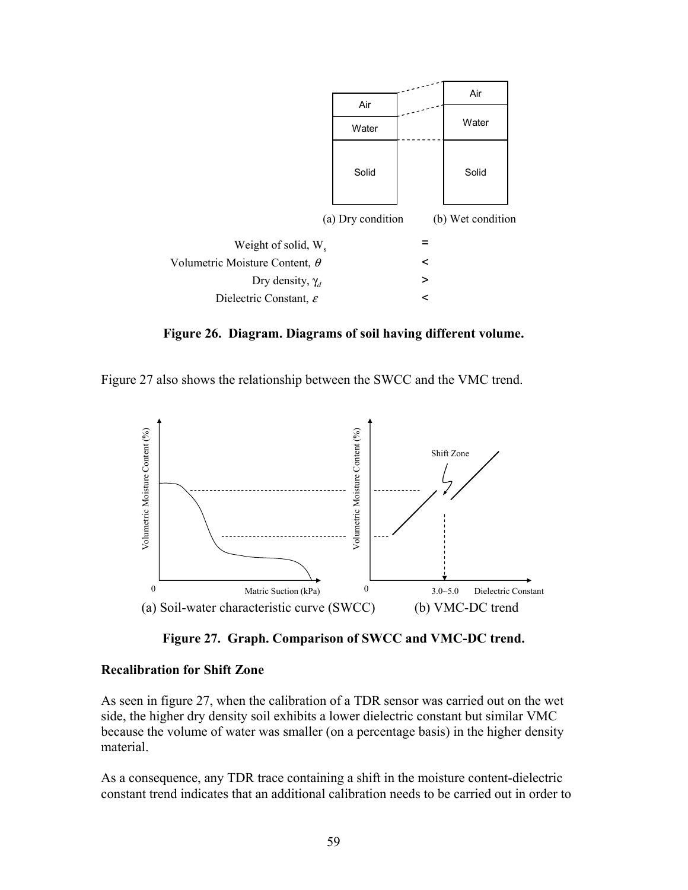

**Figure 26. Diagram. Diagrams of soil having different volume.** 

Figure 27 also shows the relationship between the SWCC and the VMC trend.



**Figure 27. Graph. Comparison of SWCC and VMC-DC trend.** 

#### **Recalibration for Shift Zone**

As seen in figure 27, when the calibration of a TDR sensor was carried out on the wet side, the higher dry density soil exhibits a lower dielectric constant but similar VMC because the volume of water was smaller (on a percentage basis) in the higher density material.

As a consequence, any TDR trace containing a shift in the moisture content-dielectric constant trend indicates that an additional calibration needs to be carried out in order to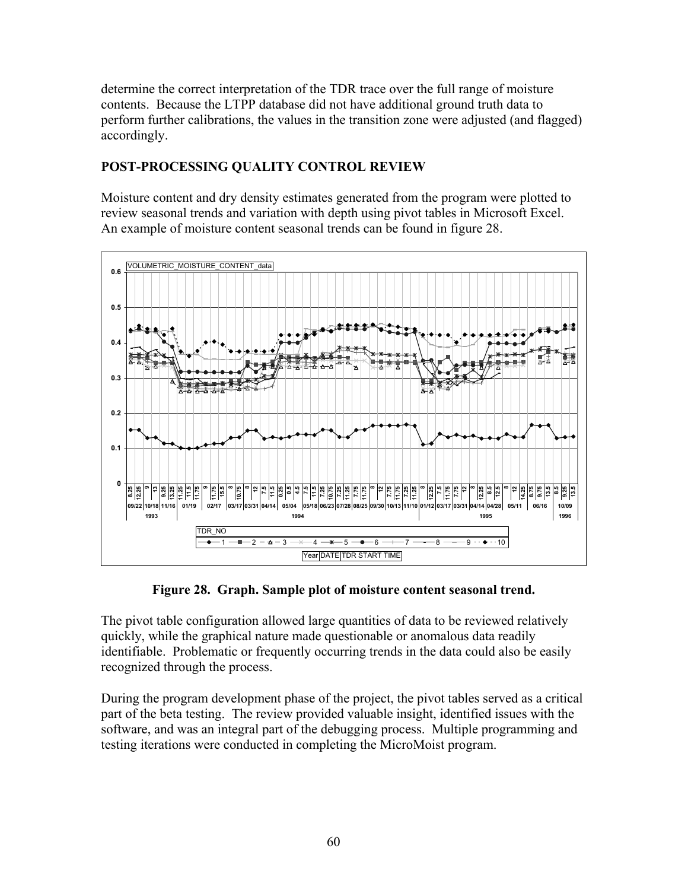determine the correct interpretation of the TDR trace over the full range of moisture contents. Because the LTPP database did not have additional ground truth data to perform further calibrations, the values in the transition zone were adjusted (and flagged) accordingly.

# **POST-PROCESSING QUALITY CONTROL REVIEW**

Moisture content and dry density estimates generated from the program were plotted to review seasonal trends and variation with depth using pivot tables in Microsoft Excel. An example of moisture content seasonal trends can be found in figure 28.



**Figure 28. Graph. Sample plot of moisture content seasonal trend.** 

The pivot table configuration allowed large quantities of data to be reviewed relatively quickly, while the graphical nature made questionable or anomalous data readily identifiable. Problematic or frequently occurring trends in the data could also be easily recognized through the process.

During the program development phase of the project, the pivot tables served as a critical part of the beta testing. The review provided valuable insight, identified issues with the software, and was an integral part of the debugging process. Multiple programming and testing iterations were conducted in completing the MicroMoist program.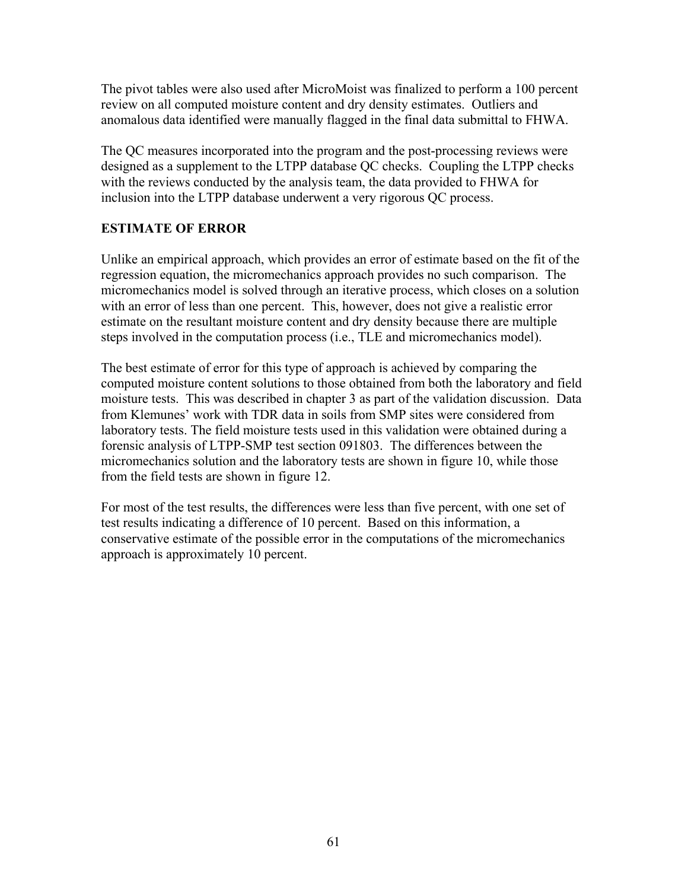The pivot tables were also used after MicroMoist was finalized to perform a 100 percent review on all computed moisture content and dry density estimates. Outliers and anomalous data identified were manually flagged in the final data submittal to FHWA.

The QC measures incorporated into the program and the post-processing reviews were designed as a supplement to the LTPP database QC checks. Coupling the LTPP checks with the reviews conducted by the analysis team, the data provided to FHWA for inclusion into the LTPP database underwent a very rigorous QC process.

## **ESTIMATE OF ERROR**

Unlike an empirical approach, which provides an error of estimate based on the fit of the regression equation, the micromechanics approach provides no such comparison. The micromechanics model is solved through an iterative process, which closes on a solution with an error of less than one percent. This, however, does not give a realistic error estimate on the resultant moisture content and dry density because there are multiple steps involved in the computation process (i.e., TLE and micromechanics model).

The best estimate of error for this type of approach is achieved by comparing the computed moisture content solutions to those obtained from both the laboratory and field moisture tests. This was described in chapter 3 as part of the validation discussion. Data from Klemunes' work with TDR data in soils from SMP sites were considered from laboratory tests. The field moisture tests used in this validation were obtained during a forensic analysis of LTPP-SMP test section 091803. The differences between the micromechanics solution and the laboratory tests are shown in figure 10, while those from the field tests are shown in figure 12.

For most of the test results, the differences were less than five percent, with one set of test results indicating a difference of 10 percent. Based on this information, a conservative estimate of the possible error in the computations of the micromechanics approach is approximately 10 percent.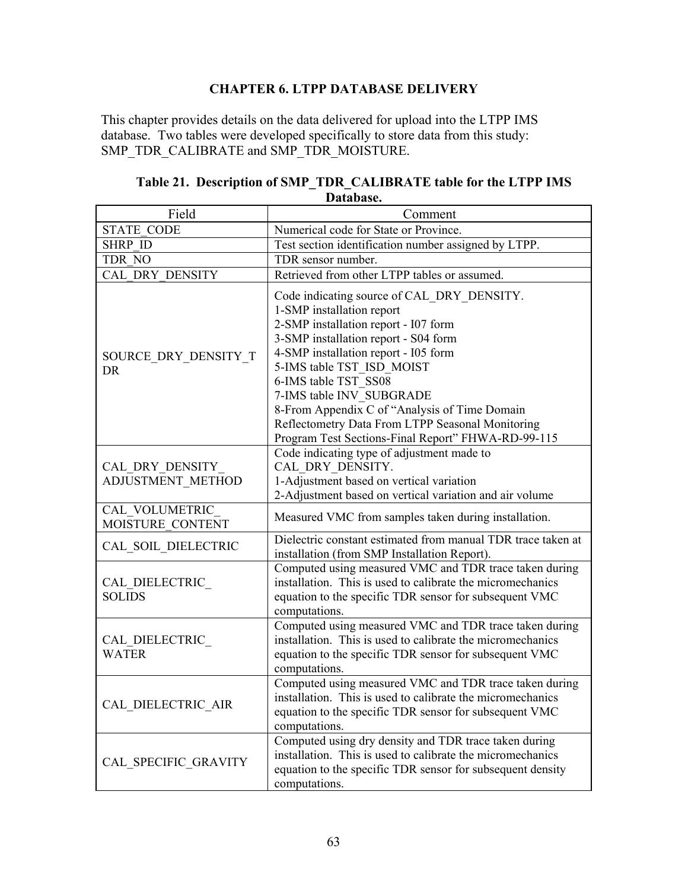# **CHAPTER 6. LTPP DATABASE DELIVERY**

This chapter provides details on the data delivered for upload into the LTPP IMS database. Two tables were developed specifically to store data from this study: SMP\_TDR\_CALIBRATE and SMP\_TDR\_MOISTURE.

| Field                                | Comment                                                                                                                                                                                                                                                                                                                                                                                                                                     |
|--------------------------------------|---------------------------------------------------------------------------------------------------------------------------------------------------------------------------------------------------------------------------------------------------------------------------------------------------------------------------------------------------------------------------------------------------------------------------------------------|
| <b>STATE CODE</b>                    | Numerical code for State or Province.                                                                                                                                                                                                                                                                                                                                                                                                       |
| <b>SHRP ID</b>                       | Test section identification number assigned by LTPP.                                                                                                                                                                                                                                                                                                                                                                                        |
| TDR NO                               | TDR sensor number.                                                                                                                                                                                                                                                                                                                                                                                                                          |
| <b>CAL DRY DENSITY</b>               | Retrieved from other LTPP tables or assumed.                                                                                                                                                                                                                                                                                                                                                                                                |
| SOURCE DRY DENSITY T<br><b>DR</b>    | Code indicating source of CAL DRY DENSITY.<br>1-SMP installation report<br>2-SMP installation report - I07 form<br>3-SMP installation report - S04 form<br>4-SMP installation report - I05 form<br>5-IMS table TST ISD MOIST<br>6-IMS table TST SS08<br>7-IMS table INV SUBGRADE<br>8-From Appendix C of "Analysis of Time Domain<br>Reflectometry Data From LTPP Seasonal Monitoring<br>Program Test Sections-Final Report" FHWA-RD-99-115 |
| CAL DRY DENSITY<br>ADJUSTMENT METHOD | Code indicating type of adjustment made to<br>CAL DRY DENSITY.<br>1-Adjustment based on vertical variation<br>2-Adjustment based on vertical variation and air volume                                                                                                                                                                                                                                                                       |
| CAL VOLUMETRIC<br>MOISTURE CONTENT   | Measured VMC from samples taken during installation.                                                                                                                                                                                                                                                                                                                                                                                        |
| CAL SOIL DIELECTRIC                  | Dielectric constant estimated from manual TDR trace taken at<br>installation (from SMP Installation Report).                                                                                                                                                                                                                                                                                                                                |
| CAL DIELECTRIC<br><b>SOLIDS</b>      | Computed using measured VMC and TDR trace taken during<br>installation. This is used to calibrate the micromechanics<br>equation to the specific TDR sensor for subsequent VMC<br>computations.                                                                                                                                                                                                                                             |
| CAL DIELECTRIC<br><b>WATER</b>       | Computed using measured VMC and TDR trace taken during<br>installation. This is used to calibrate the micromechanics<br>equation to the specific TDR sensor for subsequent VMC<br>computations.                                                                                                                                                                                                                                             |
| CAL DIELECTRIC AIR                   | Computed using measured VMC and TDR trace taken during<br>installation. This is used to calibrate the micromechanics<br>equation to the specific TDR sensor for subsequent VMC<br>computations.                                                                                                                                                                                                                                             |
| CAL SPECIFIC GRAVITY                 | Computed using dry density and TDR trace taken during<br>installation. This is used to calibrate the micromechanics<br>equation to the specific TDR sensor for subsequent density<br>computations.                                                                                                                                                                                                                                          |

# **Table 21. Description of SMP\_TDR\_CALIBRATE table for the LTPP IMS Database.**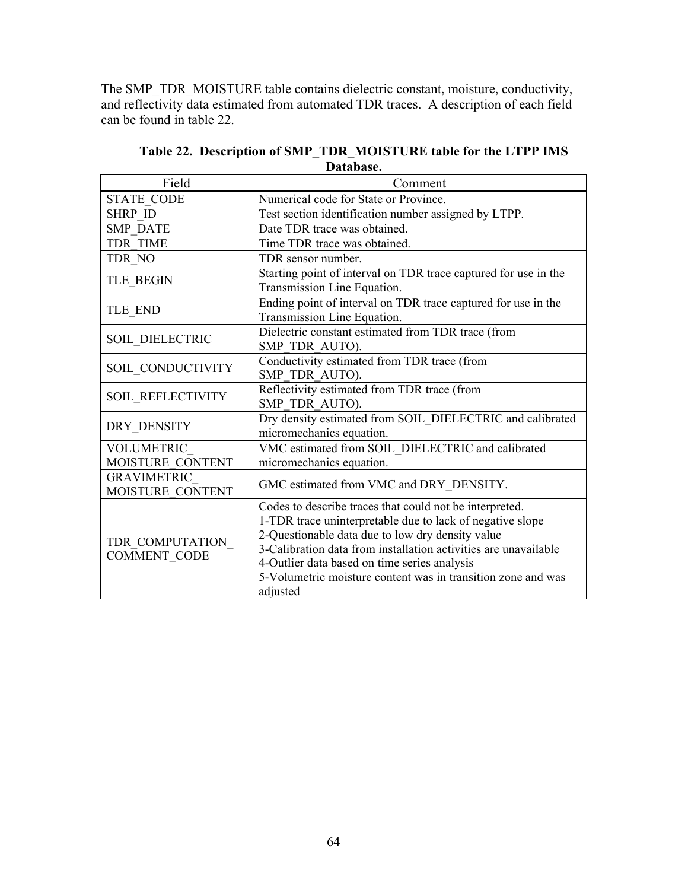The SMP\_TDR\_MOISTURE table contains dielectric constant, moisture, conductivity, and reflectivity data estimated from automated TDR traces. A description of each field can be found in table 22.

| Field                                  | Comment                                                                                                                                                                                                                                                                                                                                                                 |
|----------------------------------------|-------------------------------------------------------------------------------------------------------------------------------------------------------------------------------------------------------------------------------------------------------------------------------------------------------------------------------------------------------------------------|
| <b>STATE CODE</b>                      | Numerical code for State or Province.                                                                                                                                                                                                                                                                                                                                   |
| <b>SHRP ID</b>                         | Test section identification number assigned by LTPP.                                                                                                                                                                                                                                                                                                                    |
| <b>SMP DATE</b>                        | Date TDR trace was obtained.                                                                                                                                                                                                                                                                                                                                            |
| <b>TDR TIME</b>                        | Time TDR trace was obtained.                                                                                                                                                                                                                                                                                                                                            |
| TDR NO                                 | TDR sensor number.                                                                                                                                                                                                                                                                                                                                                      |
| TLE_BEGIN                              | Starting point of interval on TDR trace captured for use in the<br>Transmission Line Equation.                                                                                                                                                                                                                                                                          |
| TLE END                                | Ending point of interval on TDR trace captured for use in the<br>Transmission Line Equation.                                                                                                                                                                                                                                                                            |
| SOIL DIELECTRIC                        | Dielectric constant estimated from TDR trace (from<br>SMP TDR AUTO).                                                                                                                                                                                                                                                                                                    |
| SOIL CONDUCTIVITY                      | Conductivity estimated from TDR trace (from<br>SMP TDR AUTO).                                                                                                                                                                                                                                                                                                           |
| <b>SOIL REFLECTIVITY</b>               | Reflectivity estimated from TDR trace (from<br>SMP TDR AUTO).                                                                                                                                                                                                                                                                                                           |
| DRY DENSITY                            | Dry density estimated from SOIL DIELECTRIC and calibrated<br>micromechanics equation.                                                                                                                                                                                                                                                                                   |
| VOLUMETRIC<br>MOISTURE CONTENT         | VMC estimated from SOIL DIELECTRIC and calibrated<br>micromechanics equation.                                                                                                                                                                                                                                                                                           |
| <b>GRAVIMETRIC</b><br>MOISTURE CONTENT | GMC estimated from VMC and DRY DENSITY.                                                                                                                                                                                                                                                                                                                                 |
| TDR COMPUTATION<br><b>COMMENT CODE</b> | Codes to describe traces that could not be interpreted.<br>1-TDR trace uninterpretable due to lack of negative slope<br>2-Questionable data due to low dry density value<br>3-Calibration data from installation activities are unavailable<br>4-Outlier data based on time series analysis<br>5-Volumetric moisture content was in transition zone and was<br>adjusted |

**Table 22. Description of SMP\_TDR\_MOISTURE table for the LTPP IMS Database.**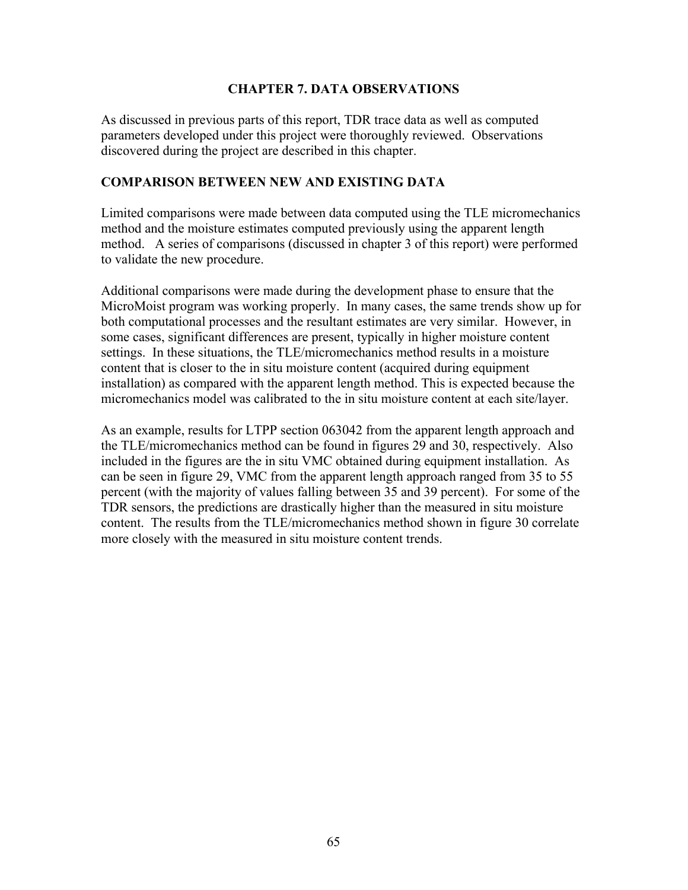## **CHAPTER 7. DATA OBSERVATIONS**

As discussed in previous parts of this report, TDR trace data as well as computed parameters developed under this project were thoroughly reviewed. Observations discovered during the project are described in this chapter.

## **COMPARISON BETWEEN NEW AND EXISTING DATA**

Limited comparisons were made between data computed using the TLE micromechanics method and the moisture estimates computed previously using the apparent length method. A series of comparisons (discussed in chapter 3 of this report) were performed to validate the new procedure.

Additional comparisons were made during the development phase to ensure that the MicroMoist program was working properly. In many cases, the same trends show up for both computational processes and the resultant estimates are very similar. However, in some cases, significant differences are present, typically in higher moisture content settings. In these situations, the TLE/micromechanics method results in a moisture content that is closer to the in situ moisture content (acquired during equipment installation) as compared with the apparent length method. This is expected because the micromechanics model was calibrated to the in situ moisture content at each site/layer.

As an example, results for LTPP section 063042 from the apparent length approach and the TLE/micromechanics method can be found in figures 29 and 30, respectively. Also included in the figures are the in situ VMC obtained during equipment installation. As can be seen in figure 29, VMC from the apparent length approach ranged from 35 to 55 percent (with the majority of values falling between 35 and 39 percent). For some of the TDR sensors, the predictions are drastically higher than the measured in situ moisture content. The results from the TLE/micromechanics method shown in figure 30 correlate more closely with the measured in situ moisture content trends.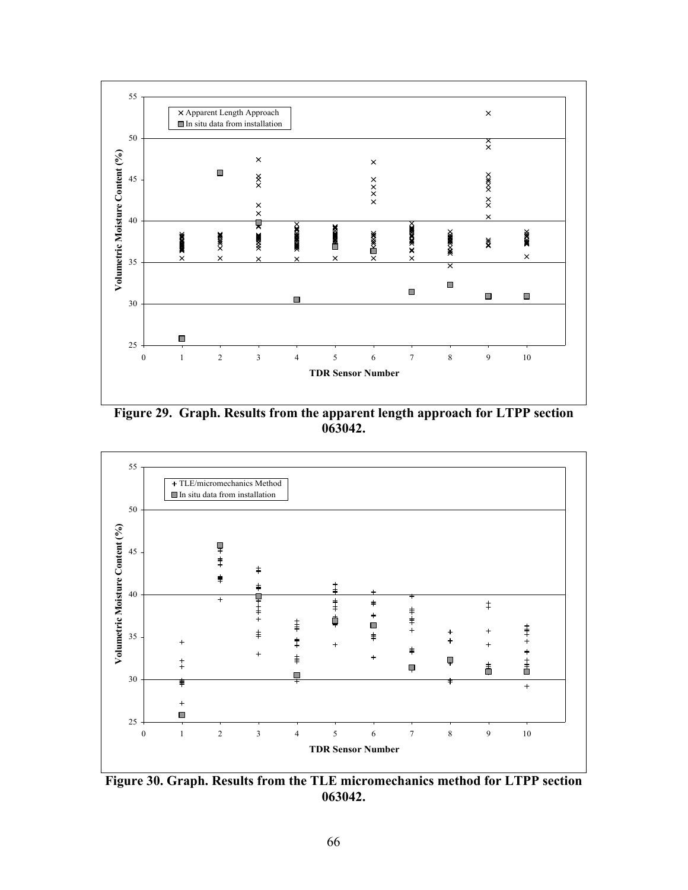

**Figure 29. Graph. Results from the apparent length approach for LTPP section 063042.**



**Figure 30. Graph. Results from the TLE micromechanics method for LTPP section 063042.**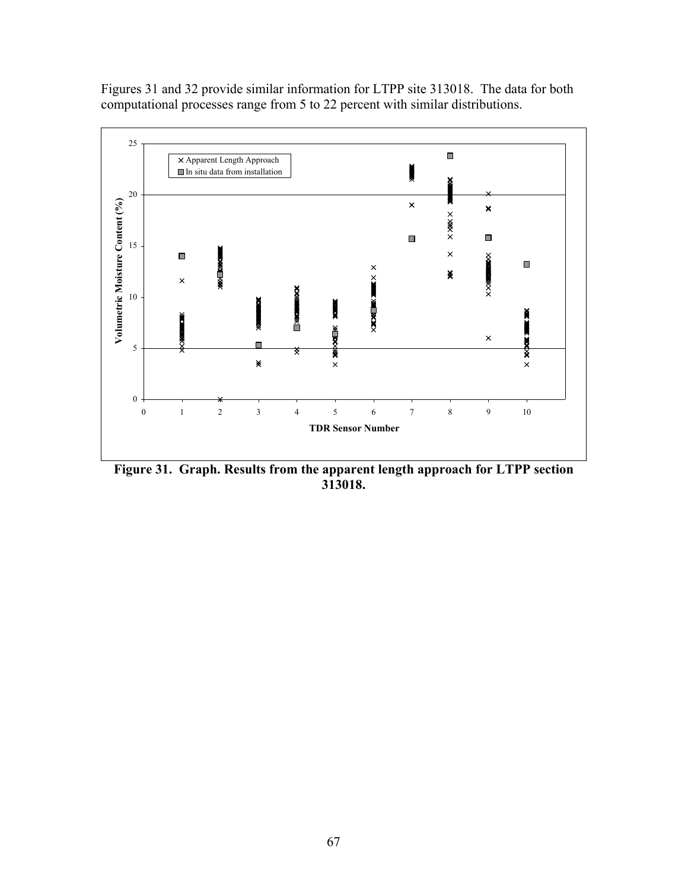Figures 31 and 32 provide similar information for LTPP site 313018. The data for both computational processes range from 5 to 22 percent with similar distributions.



**Figure 31. Graph. Results from the apparent length approach for LTPP section 313018.**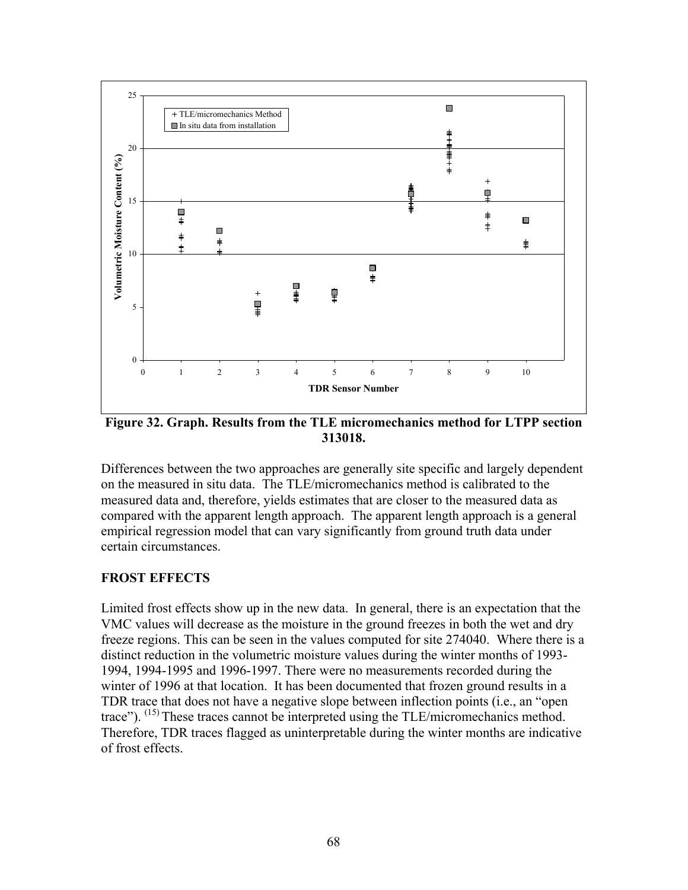

**Figure 32. Graph. Results from the TLE micromechanics method for LTPP section 313018.** 

Differences between the two approaches are generally site specific and largely dependent on the measured in situ data. The TLE/micromechanics method is calibrated to the measured data and, therefore, yields estimates that are closer to the measured data as compared with the apparent length approach. The apparent length approach is a general empirical regression model that can vary significantly from ground truth data under certain circumstances.

# **FROST EFFECTS**

Limited frost effects show up in the new data. In general, there is an expectation that the VMC values will decrease as the moisture in the ground freezes in both the wet and dry freeze regions. This can be seen in the values computed for site 274040. Where there is a distinct reduction in the volumetric moisture values during the winter months of 1993- 1994, 1994-1995 and 1996-1997. There were no measurements recorded during the winter of 1996 at that location. It has been documented that frozen ground results in a TDR trace that does not have a negative slope between inflection points (i.e., an "open trace").  $^{(15)}$  These traces cannot be interpreted using the TLE/micromechanics method. Therefore, TDR traces flagged as uninterpretable during the winter months are indicative of frost effects.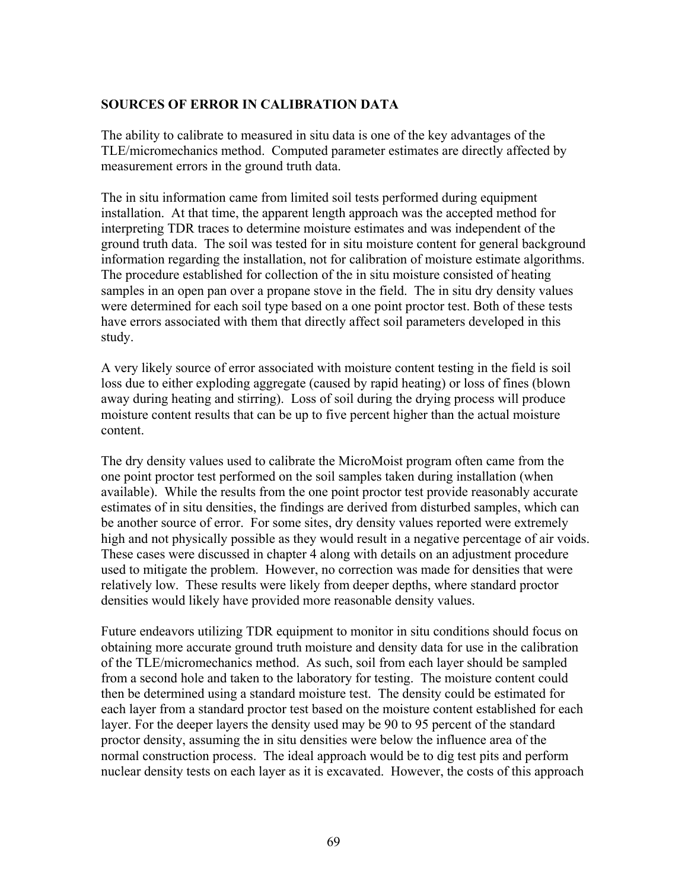# **SOURCES OF ERROR IN CALIBRATION DATA**

The ability to calibrate to measured in situ data is one of the key advantages of the TLE/micromechanics method. Computed parameter estimates are directly affected by measurement errors in the ground truth data.

The in situ information came from limited soil tests performed during equipment installation. At that time, the apparent length approach was the accepted method for interpreting TDR traces to determine moisture estimates and was independent of the ground truth data. The soil was tested for in situ moisture content for general background information regarding the installation, not for calibration of moisture estimate algorithms. The procedure established for collection of the in situ moisture consisted of heating samples in an open pan over a propane stove in the field. The in situ dry density values were determined for each soil type based on a one point proctor test. Both of these tests have errors associated with them that directly affect soil parameters developed in this study.

A very likely source of error associated with moisture content testing in the field is soil loss due to either exploding aggregate (caused by rapid heating) or loss of fines (blown away during heating and stirring). Loss of soil during the drying process will produce moisture content results that can be up to five percent higher than the actual moisture content.

The dry density values used to calibrate the MicroMoist program often came from the one point proctor test performed on the soil samples taken during installation (when available). While the results from the one point proctor test provide reasonably accurate estimates of in situ densities, the findings are derived from disturbed samples, which can be another source of error. For some sites, dry density values reported were extremely high and not physically possible as they would result in a negative percentage of air voids. These cases were discussed in chapter 4 along with details on an adjustment procedure used to mitigate the problem. However, no correction was made for densities that were relatively low. These results were likely from deeper depths, where standard proctor densities would likely have provided more reasonable density values.

Future endeavors utilizing TDR equipment to monitor in situ conditions should focus on obtaining more accurate ground truth moisture and density data for use in the calibration of the TLE/micromechanics method. As such, soil from each layer should be sampled from a second hole and taken to the laboratory for testing. The moisture content could then be determined using a standard moisture test. The density could be estimated for each layer from a standard proctor test based on the moisture content established for each layer. For the deeper layers the density used may be 90 to 95 percent of the standard proctor density, assuming the in situ densities were below the influence area of the normal construction process. The ideal approach would be to dig test pits and perform nuclear density tests on each layer as it is excavated. However, the costs of this approach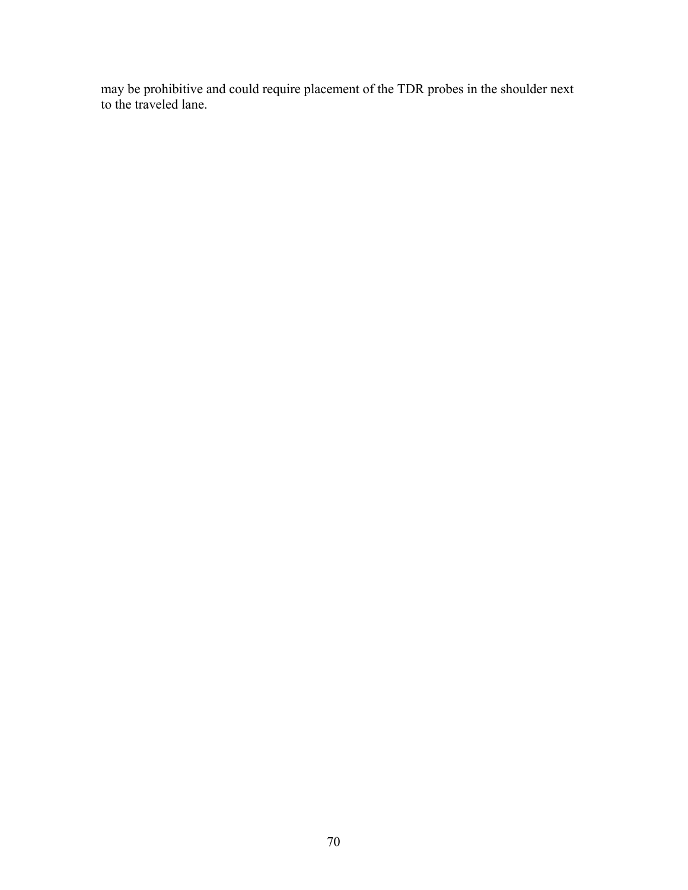may be prohibitive and could require placement of the TDR probes in the shoulder next to the traveled lane.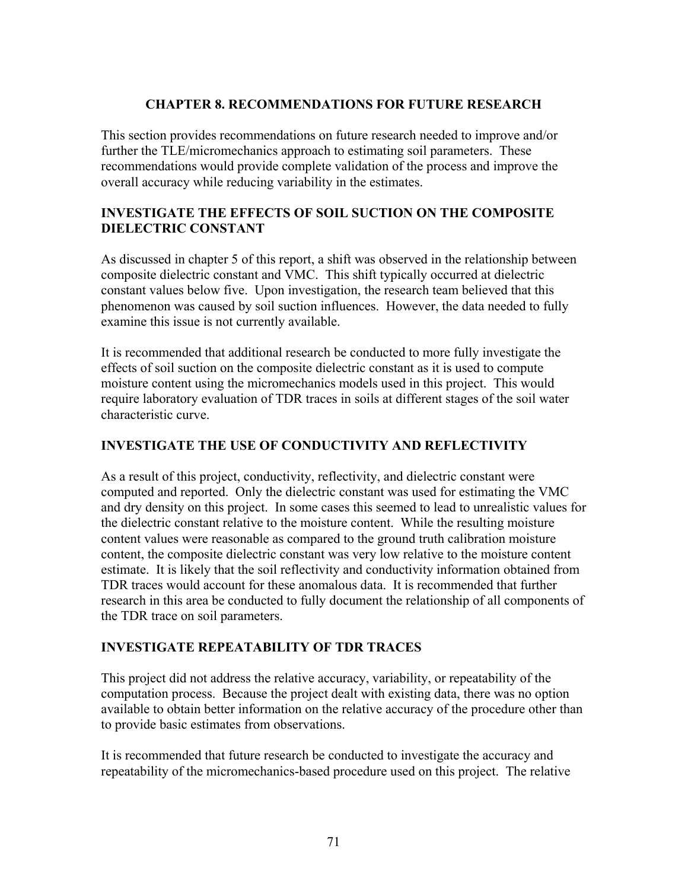## **CHAPTER 8. RECOMMENDATIONS FOR FUTURE RESEARCH**

This section provides recommendations on future research needed to improve and/or further the TLE/micromechanics approach to estimating soil parameters. These recommendations would provide complete validation of the process and improve the overall accuracy while reducing variability in the estimates.

# **INVESTIGATE THE EFFECTS OF SOIL SUCTION ON THE COMPOSITE DIELECTRIC CONSTANT**

As discussed in chapter 5 of this report, a shift was observed in the relationship between composite dielectric constant and VMC. This shift typically occurred at dielectric constant values below five. Upon investigation, the research team believed that this phenomenon was caused by soil suction influences. However, the data needed to fully examine this issue is not currently available.

It is recommended that additional research be conducted to more fully investigate the effects of soil suction on the composite dielectric constant as it is used to compute moisture content using the micromechanics models used in this project. This would require laboratory evaluation of TDR traces in soils at different stages of the soil water characteristic curve.

# **INVESTIGATE THE USE OF CONDUCTIVITY AND REFLECTIVITY**

As a result of this project, conductivity, reflectivity, and dielectric constant were computed and reported. Only the dielectric constant was used for estimating the VMC and dry density on this project. In some cases this seemed to lead to unrealistic values for the dielectric constant relative to the moisture content. While the resulting moisture content values were reasonable as compared to the ground truth calibration moisture content, the composite dielectric constant was very low relative to the moisture content estimate. It is likely that the soil reflectivity and conductivity information obtained from TDR traces would account for these anomalous data. It is recommended that further research in this area be conducted to fully document the relationship of all components of the TDR trace on soil parameters.

# **INVESTIGATE REPEATABILITY OF TDR TRACES**

This project did not address the relative accuracy, variability, or repeatability of the computation process. Because the project dealt with existing data, there was no option available to obtain better information on the relative accuracy of the procedure other than to provide basic estimates from observations.

It is recommended that future research be conducted to investigate the accuracy and repeatability of the micromechanics-based procedure used on this project. The relative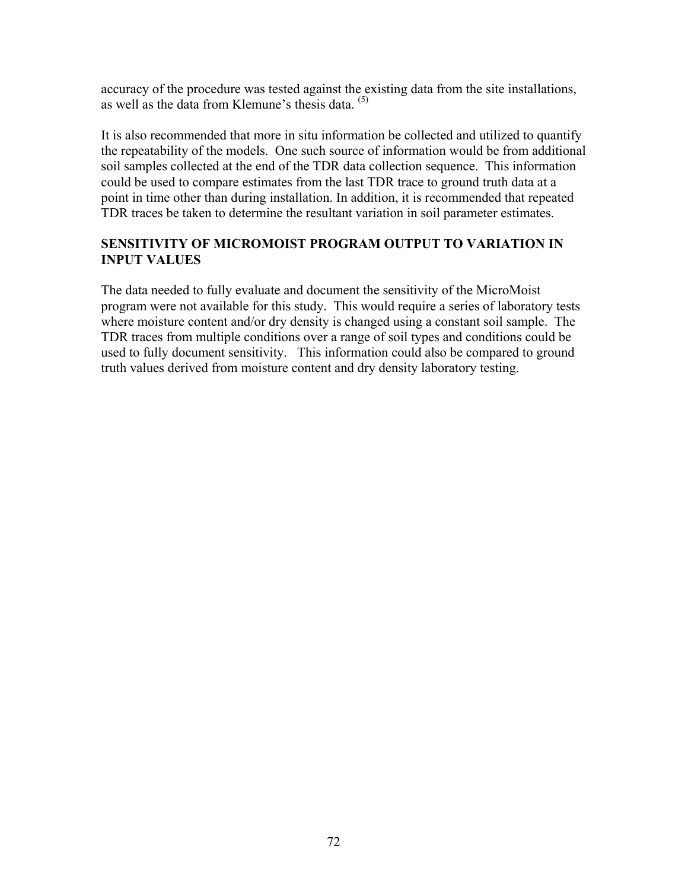accuracy of the procedure was tested against the existing data from the site installations, as well as the data from Klemune's thesis data.  $(5)$ 

It is also recommended that more in situ information be collected and utilized to quantify the repeatability of the models. One such source of information would be from additional soil samples collected at the end of the TDR data collection sequence. This information could be used to compare estimates from the last TDR trace to ground truth data at a point in time other than during installation. In addition, it is recommended that repeated TDR traces be taken to determine the resultant variation in soil parameter estimates.

# **SENSITIVITY OF MICROMOIST PROGRAM OUTPUT TO VARIATION IN INPUT VALUES**

The data needed to fully evaluate and document the sensitivity of the MicroMoist program were not available for this study. This would require a series of laboratory tests where moisture content and/or dry density is changed using a constant soil sample. The TDR traces from multiple conditions over a range of soil types and conditions could be used to fully document sensitivity. This information could also be compared to ground truth values derived from moisture content and dry density laboratory testing.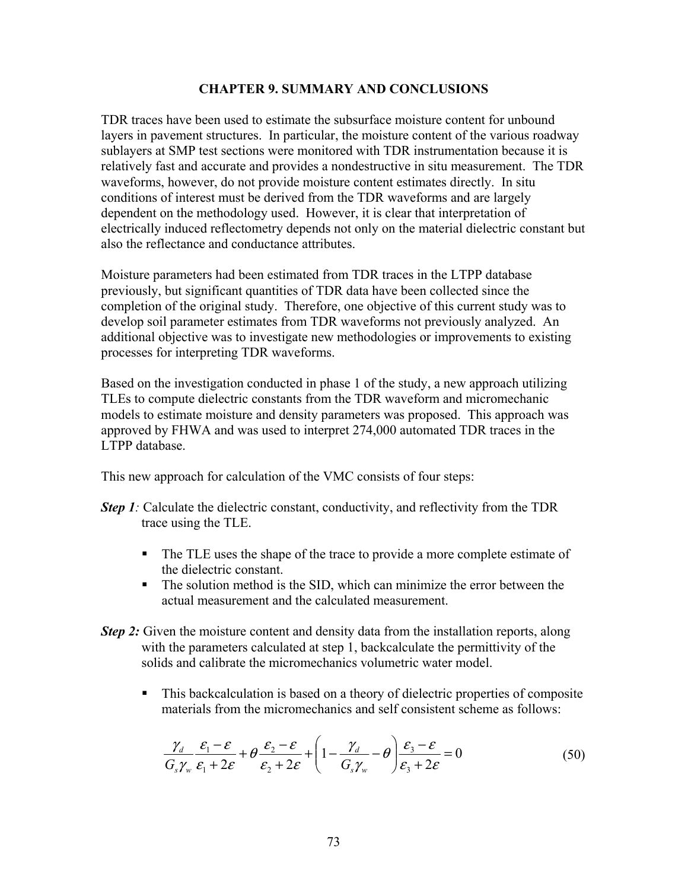#### **CHAPTER 9. SUMMARY AND CONCLUSIONS**

TDR traces have been used to estimate the subsurface moisture content for unbound layers in pavement structures. In particular, the moisture content of the various roadway sublayers at SMP test sections were monitored with TDR instrumentation because it is relatively fast and accurate and provides a nondestructive in situ measurement. The TDR waveforms, however, do not provide moisture content estimates directly. In situ conditions of interest must be derived from the TDR waveforms and are largely dependent on the methodology used. However, it is clear that interpretation of electrically induced reflectometry depends not only on the material dielectric constant but also the reflectance and conductance attributes.

Moisture parameters had been estimated from TDR traces in the LTPP database previously, but significant quantities of TDR data have been collected since the completion of the original study. Therefore, one objective of this current study was to develop soil parameter estimates from TDR waveforms not previously analyzed. An additional objective was to investigate new methodologies or improvements to existing processes for interpreting TDR waveforms.

Based on the investigation conducted in phase 1 of the study, a new approach utilizing TLEs to compute dielectric constants from the TDR waveform and micromechanic models to estimate moisture and density parameters was proposed. This approach was approved by FHWA and was used to interpret 274,000 automated TDR traces in the LTPP database.

This new approach for calculation of the VMC consists of four steps:

- *Step 1*: Calculate the dielectric constant, conductivity, and reflectivity from the TDR trace using the TLE.
	- The TLE uses the shape of the trace to provide a more complete estimate of the dielectric constant.
	- The solution method is the SID, which can minimize the error between the actual measurement and the calculated measurement.
- *Step 2:* Given the moisture content and density data from the installation reports, along with the parameters calculated at step 1, backcalculate the permittivity of the solids and calibrate the micromechanics volumetric water model
	- This backcalculation is based on a theory of dielectric properties of composite materials from the micromechanics and self consistent scheme as follows:

$$
\frac{\gamma_d}{G_s\gamma_w} \frac{\varepsilon_1 - \varepsilon}{\varepsilon_1 + 2\varepsilon} + \theta \frac{\varepsilon_2 - \varepsilon}{\varepsilon_2 + 2\varepsilon} + \left(1 - \frac{\gamma_d}{G_s\gamma_w} - \theta\right) \frac{\varepsilon_3 - \varepsilon}{\varepsilon_3 + 2\varepsilon} = 0
$$
\n(50)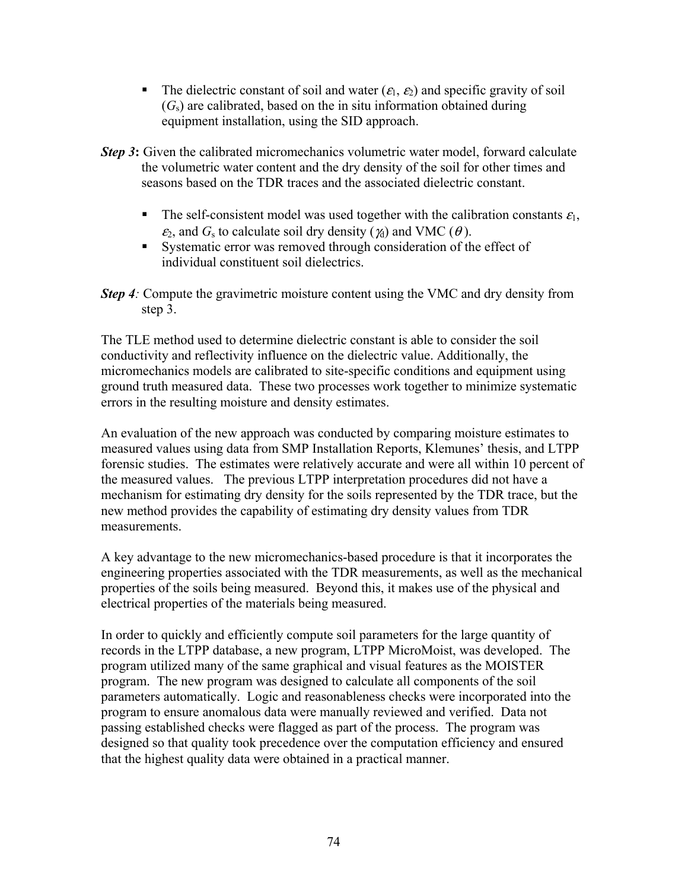- The dielectric constant of soil and water  $(\varepsilon_1, \varepsilon_2)$  and specific gravity of soil  $(G<sub>s</sub>)$  are calibrated, based on the in situ information obtained during equipment installation, using the SID approach.
- *Step 3*: Given the calibrated micromechanics volumetric water model, forward calculate the volumetric water content and the dry density of the soil for other times and seasons based on the TDR traces and the associated dielectric constant.
	- The self-consistent model was used together with the calibration constants  $\varepsilon_1$ ,  $\varepsilon_2$ , and  $G_s$  to calculate soil dry density ( $\chi_0$ ) and VMC ( $\theta$ ).
	- Systematic error was removed through consideration of the effect of individual constituent soil dielectrics.
- *Step 4:* Compute the gravimetric moisture content using the VMC and dry density from step 3.

The TLE method used to determine dielectric constant is able to consider the soil conductivity and reflectivity influence on the dielectric value. Additionally, the micromechanics models are calibrated to site-specific conditions and equipment using ground truth measured data. These two processes work together to minimize systematic errors in the resulting moisture and density estimates.

An evaluation of the new approach was conducted by comparing moisture estimates to measured values using data from SMP Installation Reports, Klemunes' thesis, and LTPP forensic studies. The estimates were relatively accurate and were all within 10 percent of the measured values. The previous LTPP interpretation procedures did not have a mechanism for estimating dry density for the soils represented by the TDR trace, but the new method provides the capability of estimating dry density values from TDR measurements.

A key advantage to the new micromechanics-based procedure is that it incorporates the engineering properties associated with the TDR measurements, as well as the mechanical properties of the soils being measured. Beyond this, it makes use of the physical and electrical properties of the materials being measured.

In order to quickly and efficiently compute soil parameters for the large quantity of records in the LTPP database, a new program, LTPP MicroMoist, was developed. The program utilized many of the same graphical and visual features as the MOISTER program. The new program was designed to calculate all components of the soil parameters automatically. Logic and reasonableness checks were incorporated into the program to ensure anomalous data were manually reviewed and verified. Data not passing established checks were flagged as part of the process. The program was designed so that quality took precedence over the computation efficiency and ensured that the highest quality data were obtained in a practical manner.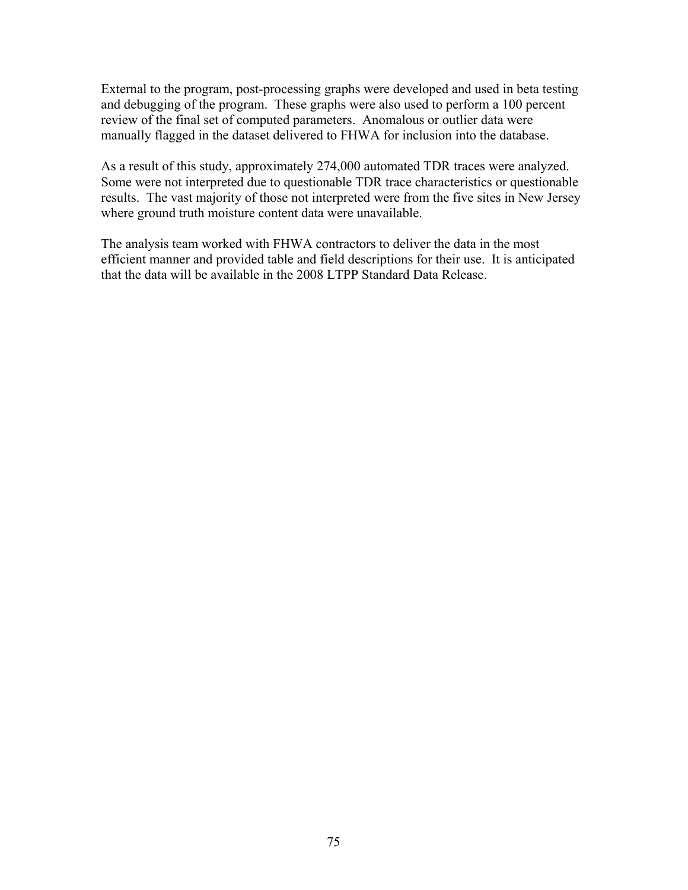External to the program, post-processing graphs were developed and used in beta testing and debugging of the program. These graphs were also used to perform a 100 percent review of the final set of computed parameters. Anomalous or outlier data were manually flagged in the dataset delivered to FHWA for inclusion into the database.

As a result of this study, approximately 274,000 automated TDR traces were analyzed. Some were not interpreted due to questionable TDR trace characteristics or questionable results. The vast majority of those not interpreted were from the five sites in New Jersey where ground truth moisture content data were unavailable.

The analysis team worked with FHWA contractors to deliver the data in the most efficient manner and provided table and field descriptions for their use. It is anticipated that the data will be available in the 2008 LTPP Standard Data Release.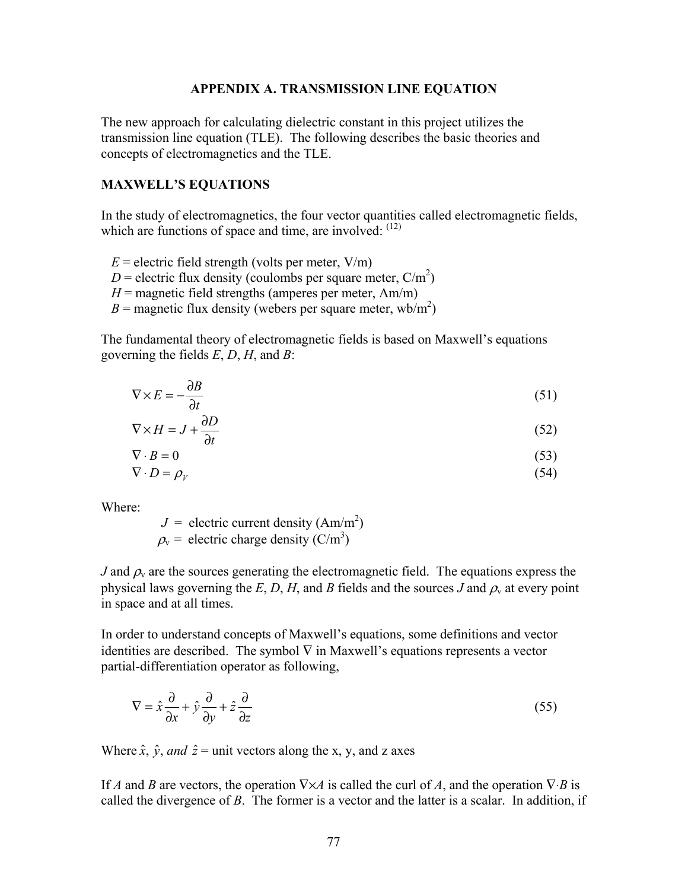#### **APPENDIX A. TRANSMISSION LINE EQUATION**

The new approach for calculating dielectric constant in this project utilizes the transmission line equation (TLE). The following describes the basic theories and concepts of electromagnetics and the TLE.

#### **MAXWELL'S EQUATIONS**

In the study of electromagnetics, the four vector quantities called electromagnetic fields, which are functions of space and time, are involved:  $(12)$ 

- $E =$  electric field strength (volts per meter,  $V/m$ )
- $D =$  electric flux density (coulombs per square meter,  $C/m^2$ )
- $H$  = magnetic field strengths (amperes per meter, Am/m)
- $B =$  magnetic flux density (webers per square meter, wb/m<sup>2</sup>)

The fundamental theory of electromagnetic fields is based on Maxwell's equations governing the fields *E*, *D*, *H*, and *B*:

$$
\nabla \times E = -\frac{\partial B}{\partial t} \tag{51}
$$

$$
\nabla \times H = J + \frac{\partial D}{\partial t} \tag{52}
$$

$$
\nabla \cdot B = 0 \tag{53}
$$

$$
\nabla \cdot D = \rho_V \tag{54}
$$

Where:

 $J =$  electric current density (Am/m<sup>2</sup>)  $\rho_{v}$  = electric charge density (C/m<sup>3</sup>)

*J* and  $\rho$ <sub>v</sub> are the sources generating the electromagnetic field. The equations express the physical laws governing the  $E$ ,  $D$ ,  $H$ , and  $B$  fields and the sources  $J$  and  $\rho$ <sub>v</sub> at every point in space and at all times.

In order to understand concepts of Maxwell's equations, some definitions and vector identities are described. The symbol  $\nabla$  in Maxwell's equations represents a vector partial-differentiation operator as following,

$$
\nabla = \hat{x}\frac{\partial}{\partial x} + \hat{y}\frac{\partial}{\partial y} + \hat{z}\frac{\partial}{\partial z}
$$
 (55)

Where  $\hat{x}$ ,  $\hat{y}$ , *and*  $\hat{z}$  = unit vectors along the x, y, and z axes

If *A* and *B* are vectors, the operation  $\nabla \times A$  is called the curl of *A*, and the operation  $\nabla \cdot B$  is called the divergence of *B*. The former is a vector and the latter is a scalar. In addition, if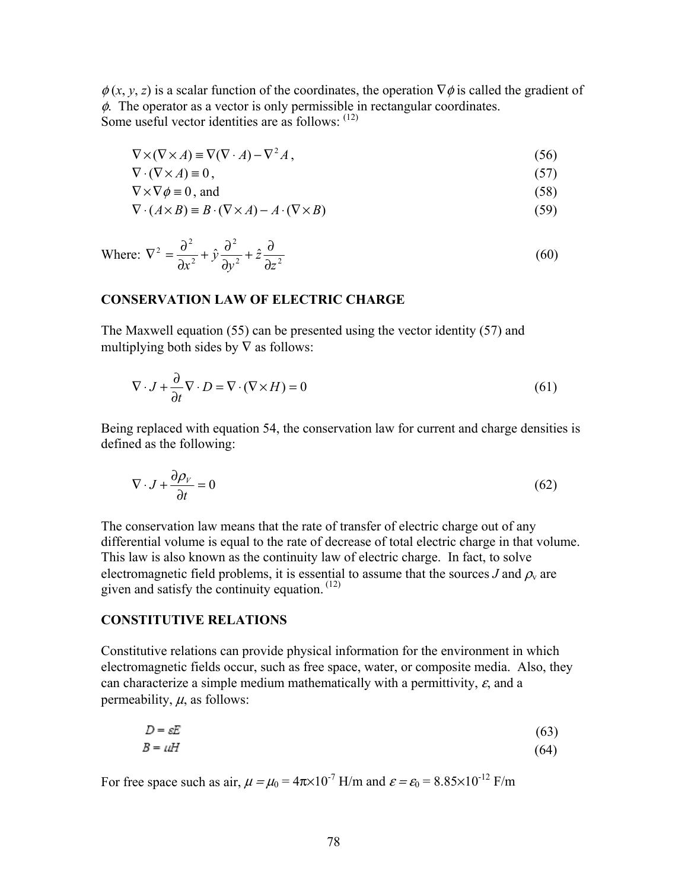$\phi(x, y, z)$  is a scalar function of the coordinates, the operation  $\nabla \phi$  is called the gradient of  $\phi$ . The operator as a vector is only permissible in rectangular coordinates. Some useful vector identities are as follows: (12)

$$
\nabla \times (\nabla \times A) \equiv \nabla (\nabla \cdot A) - \nabla^2 A,
$$
\n(56)

$$
\nabla \cdot (\nabla \times A) \equiv 0, \tag{57}
$$

$$
\nabla \times \nabla \phi \equiv 0, \text{ and } (58)
$$

$$
\nabla \cdot (A \times B) \equiv B \cdot (\nabla \times A) - A \cdot (\nabla \times B) \tag{59}
$$

Where: 
$$
\nabla^2 = \frac{\partial^2}{\partial x^2} + \hat{y} \frac{\partial^2}{\partial y^2} + \hat{z} \frac{\partial}{\partial z^2}
$$
 (60)

#### **CONSERVATION LAW OF ELECTRIC CHARGE**

The Maxwell equation (55) can be presented using the vector identity (57) and multiplying both sides by  $\nabla$  as follows:

$$
\nabla \cdot J + \frac{\partial}{\partial t} \nabla \cdot D = \nabla \cdot (\nabla \times H) = 0 \tag{61}
$$

Being replaced with equation 54, the conservation law for current and charge densities is defined as the following:

$$
\nabla \cdot J + \frac{\partial \rho_{\nu}}{\partial t} = 0 \tag{62}
$$

The conservation law means that the rate of transfer of electric charge out of any differential volume is equal to the rate of decrease of total electric charge in that volume. This law is also known as the continuity law of electric charge. In fact, to solve electromagnetic field problems, it is essential to assume that the sources *J* and  $\rho$ <sub>v</sub> are given and satisfy the continuity equation.  $(12)$ 

#### **CONSTITUTIVE RELATIONS**

Constitutive relations can provide physical information for the environment in which electromagnetic fields occur, such as free space, water, or composite media. Also, they can characterize a simple medium mathematically with a permittivity,  $\varepsilon$ , and a permeability,  $\mu$ , as follows:

$$
D = \varepsilon E \tag{63}
$$
  

$$
B = uH \tag{64}
$$

For free space such as air,  $\mu = \mu_0 = 4\pi \times 10^{-7}$  H/m and  $\varepsilon = \varepsilon_0 = 8.85 \times 10^{-12}$  F/m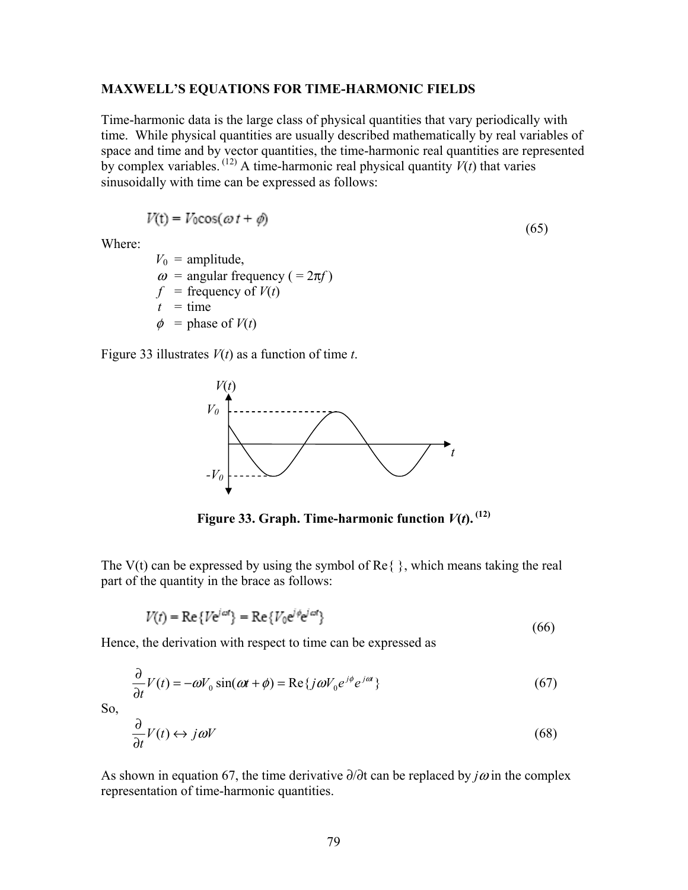#### **MAXWELL'S EQUATIONS FOR TIME-HARMONIC FIELDS**

Time-harmonic data is the large class of physical quantities that vary periodically with time. While physical quantities are usually described mathematically by real variables of space and time and by vector quantities, the time-harmonic real quantities are represented by complex variables.  $(12)$  A time-harmonic real physical quantity  $V(t)$  that varies sinusoidally with time can be expressed as follows:

$$
V(t) = V_0 \cos(\omega t + \phi) \tag{65}
$$

Where:

 $V_0$  = amplitude,  $\omega$  = angular frequency ( =  $2\pi f$ )  $f$  = frequency of  $V(t)$  $t =$  time  $\phi$  = phase of  $V(t)$ 

Figure 33 illustrates *V*(*t*) as a function of time *t*.

**Contract Contract** 

 $\sim$ 



**Figure 33. Graph. Time-harmonic function**  $V(t)$ **.**  $^{(12)}$ 

The V(t) can be expressed by using the symbol of  $\text{Re}\{\}$ , which means taking the real part of the quantity in the brace as follows:

$$
V(t) = \text{Re}\{V e^{j\omega t}\} = \text{Re}\{V_0 e^{j\phi} e^{j\omega t}\}\tag{66}
$$

Hence, the derivation with respect to time can be expressed as

$$
\frac{\partial}{\partial t}V(t) = -\omega V_0 \sin(\omega t + \phi) = \text{Re}\{j\omega V_0 e^{j\phi} e^{j\omega t}\}\tag{67}
$$

So,

$$
\frac{\partial}{\partial t}V(t) \leftrightarrow j\omega V \tag{68}
$$

As shown in equation 67, the time derivative ∂/∂t can be replaced by *j*<sup>ω</sup> in the complex representation of time-harmonic quantities.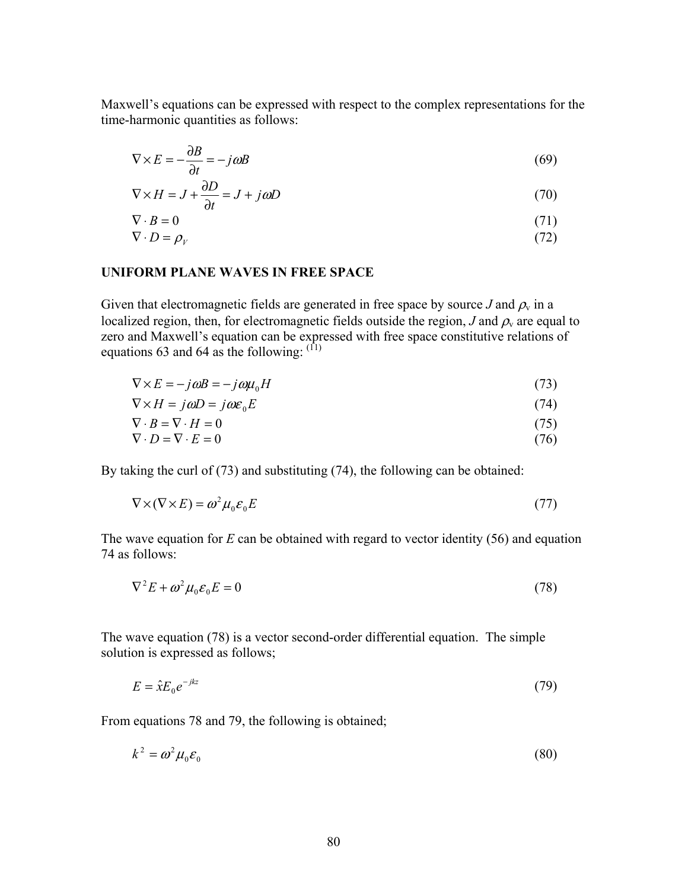Maxwell's equations can be expressed with respect to the complex representations for the time-harmonic quantities as follows:

$$
\nabla \times E = -\frac{\partial B}{\partial t} = -j\omega B\tag{69}
$$

$$
\nabla \times H = J + \frac{\partial D}{\partial t} = J + j\omega D \tag{70}
$$

$$
\nabla \cdot B = 0 \tag{71}
$$
\n
$$
\nabla \cdot D = 0 \tag{72}
$$

$$
\nabla \cdot D = \rho_V \tag{72}
$$

## **UNIFORM PLANE WAVES IN FREE SPACE**

Given that electromagnetic fields are generated in free space by source *J* and  $\rho$ <sub>v</sub> in a localized region, then, for electromagnetic fields outside the region, *J* and  $\rho<sub>v</sub>$  are equal to zero and Maxwell's equation can be expressed with free space constitutive relations of equations 63 and 64 as the following:  $(1)$ 

$$
\nabla \times E = -j\omega B = -j\omega \mu_0 H \tag{73}
$$

$$
\nabla \times H = j\omega D = j\omega \varepsilon_0 E \tag{74}
$$

$$
\nabla \cdot B = \nabla \cdot H = 0 \tag{75}
$$

$$
\nabla \cdot D = \nabla \cdot E = 0 \tag{76}
$$

By taking the curl of (73) and substituting (74), the following can be obtained:

$$
\nabla \times (\nabla \times E) = \omega^2 \mu_0 \varepsilon_0 E \tag{77}
$$

The wave equation for *E* can be obtained with regard to vector identity (56) and equation 74 as follows:

$$
\nabla^2 E + \omega^2 \mu_0 \varepsilon_0 E = 0 \tag{78}
$$

The wave equation (78) is a vector second-order differential equation. The simple solution is expressed as follows;

$$
E = \hat{x} E_0 e^{-jkz} \tag{79}
$$

From equations 78 and 79, the following is obtained;

$$
k^2 = \omega^2 \mu_0 \varepsilon_0 \tag{80}
$$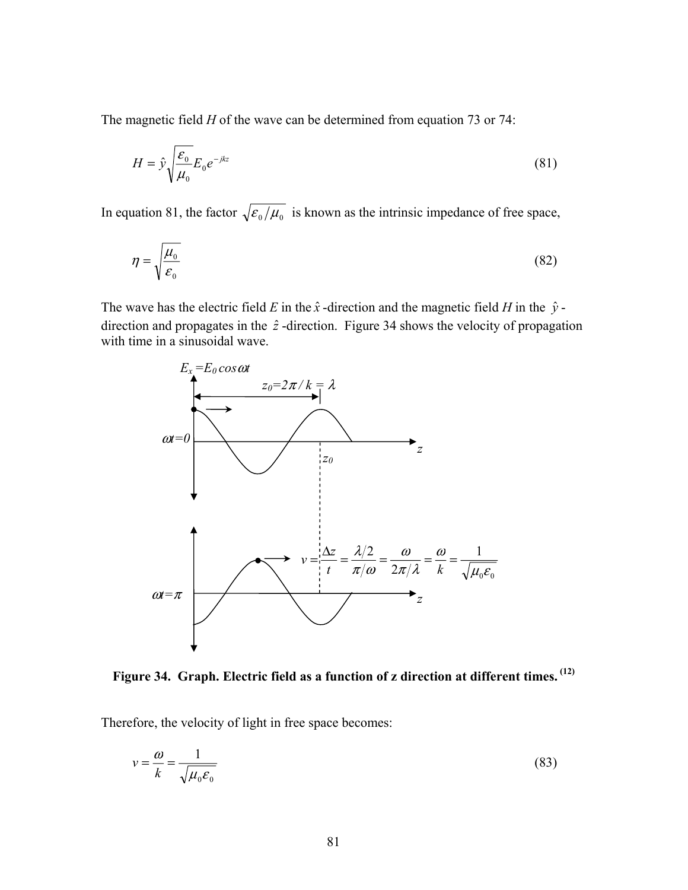The magnetic field *H* of the wave can be determined from equation 73 or 74:

$$
H = \hat{y} \sqrt{\frac{\varepsilon_0}{\mu_0}} E_0 e^{-jkz}
$$
\n(81)

In equation 81, the factor  $\sqrt{\frac{\varepsilon_0}{\mu_0}}$  is known as the intrinsic impedance of free space,

$$
\eta = \sqrt{\frac{\mu_0}{\varepsilon_0}}\tag{82}
$$

The wave has the electric field *E* in the  $\hat{x}$  -direction and the magnetic field *H* in the  $\hat{y}$  direction and propagates in the  $\hat{z}$ -direction. Figure 34 shows the velocity of propagation with time in a sinusoidal wave.



**Figure 34. Graph. Electric field as a function of z direction at different times. (12)**

Therefore, the velocity of light in free space becomes:

$$
v = \frac{\omega}{k} = \frac{1}{\sqrt{\mu_0 \varepsilon_0}}
$$
(83)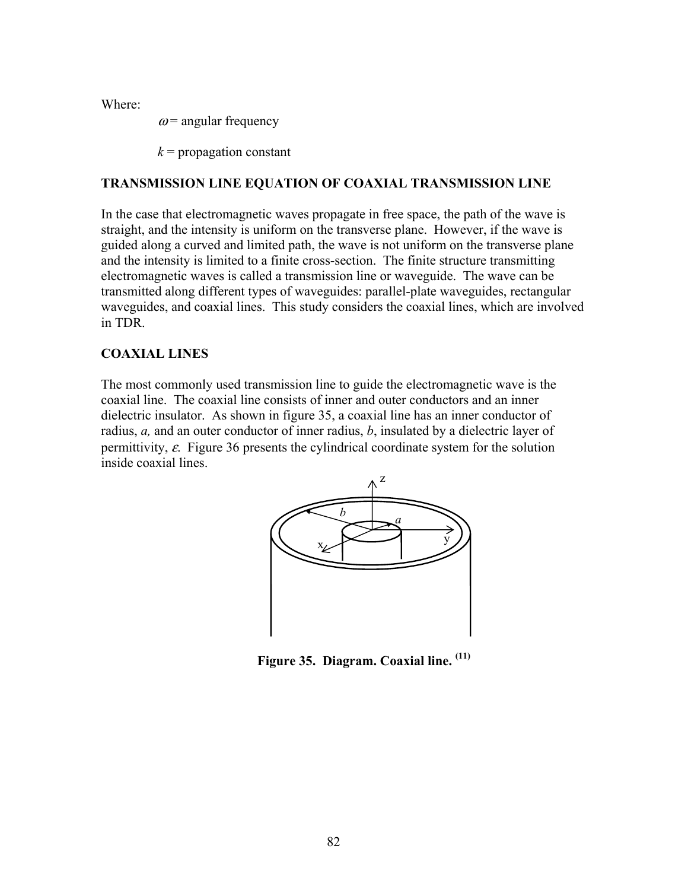Where:

 $\omega$  = angular frequency

 $k$  = propagation constant

# **TRANSMISSION LINE EQUATION OF COAXIAL TRANSMISSION LINE**

In the case that electromagnetic waves propagate in free space, the path of the wave is straight, and the intensity is uniform on the transverse plane. However, if the wave is guided along a curved and limited path, the wave is not uniform on the transverse plane and the intensity is limited to a finite cross-section. The finite structure transmitting electromagnetic waves is called a transmission line or waveguide. The wave can be transmitted along different types of waveguides: parallel-plate waveguides, rectangular waveguides, and coaxial lines. This study considers the coaxial lines, which are involved in TDR.

# **COAXIAL LINES**

The most commonly used transmission line to guide the electromagnetic wave is the coaxial line. The coaxial line consists of inner and outer conductors and an inner dielectric insulator. As shown in figure 35, a coaxial line has an inner conductor of radius, *a,* and an outer conductor of inner radius, *b*, insulated by a dielectric layer of permittivity,  $\varepsilon$ . Figure 36 presents the cylindrical coordinate system for the solution inside coaxial lines.



**Figure 35. Diagram. Coaxial line. (11)**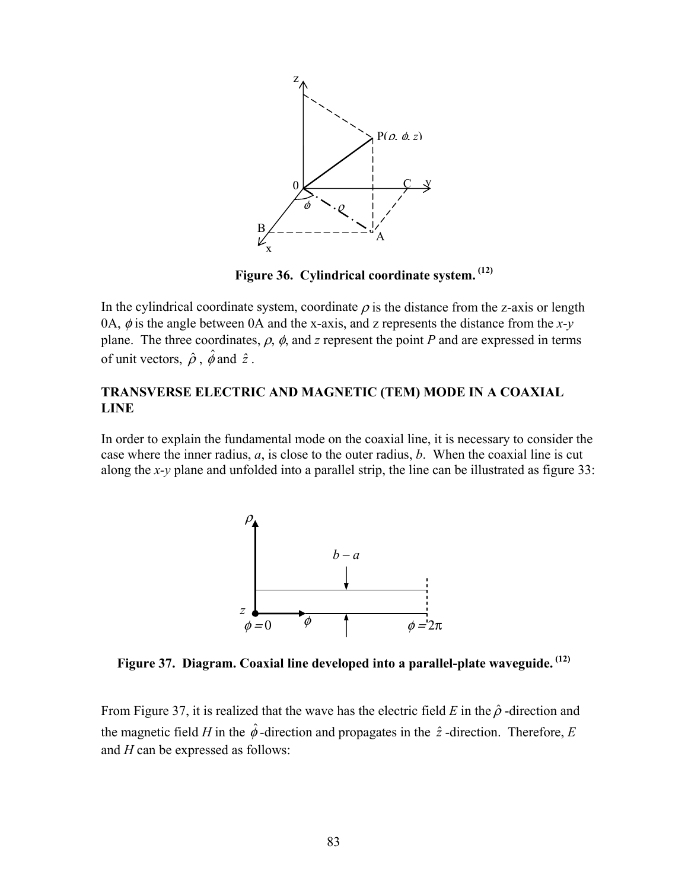

**Figure 36. Cylindrical coordinate system. (12)**

In the cylindrical coordinate system, coordinate  $\rho$  is the distance from the z-axis or length 0A,  $\phi$  is the angle between 0A and the x-axis, and z represents the distance from the *x*-*y* plane. The three coordinates,  $\rho$ ,  $\phi$ , and *z* represent the point *P* and are expressed in terms of unit vectors,  $\hat{\rho}$ ,  $\hat{\phi}$  and  $\hat{z}$ .

### **TRANSVERSE ELECTRIC AND MAGNETIC (TEM) MODE IN A COAXIAL LINE**

In order to explain the fundamental mode on the coaxial line, it is necessary to consider the case where the inner radius, *a*, is close to the outer radius, *b*. When the coaxial line is cut along the *x-y* plane and unfolded into a parallel strip, the line can be illustrated as figure 33:



**Figure 37. Diagram. Coaxial line developed into a parallel-plate waveguide. (12)**

From Figure 37, it is realized that the wave has the electric field *E* in the  $\hat{\rho}$ -direction and the magnetic field *H* in the  $\hat{\phi}$ -direction and propagates in the  $\hat{z}$ -direction. Therefore, *E* and *H* can be expressed as follows: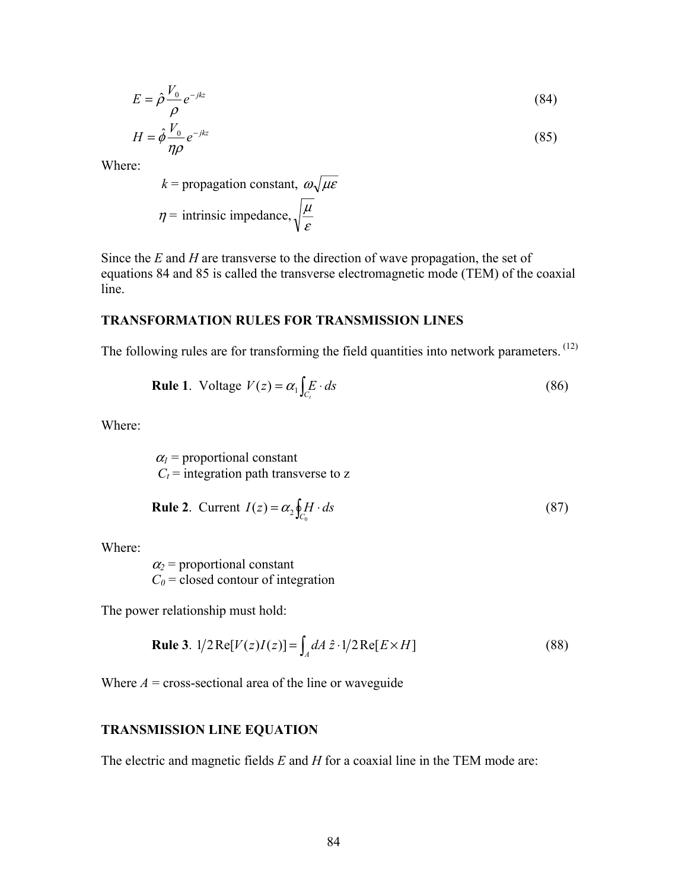$$
E = \hat{\rho} \frac{V_0}{\rho} e^{-jkz} \tag{84}
$$

$$
H = \hat{\phi} \frac{V_0}{\eta \rho} e^{-jkz} \tag{85}
$$

Where:

$$
k = \text{propagation constant}, \ \omega \sqrt{\mu \varepsilon}
$$

$$
\eta = \text{intrinsic impedance}, \sqrt{\frac{\mu}{\varepsilon}}
$$

Since the *E* and *H* are transverse to the direction of wave propagation, the set of equations 84 and 85 is called the transverse electromagnetic mode (TEM) of the coaxial line.

#### **TRANSFORMATION RULES FOR TRANSMISSION LINES**

The following rules are for transforming the field quantities into network parameters. <sup>(12)</sup>

**Rule 1**. Voltage 
$$
V(z) = \alpha_1 \int_{C_t} E \cdot ds
$$
 (86)

Where:

 $\alpha_1$  = proportional constant  $C_t$  = integration path transverse to z

**Rule 2**. Current 
$$
I(z) = \alpha_2 \oint_{C_0} H \cdot ds
$$
 (87)

Where:

 $\alpha_2$  = proportional constant  $C_0$  = closed contour of integration

The power relationship must hold:

**Rule 3.** 
$$
1/2 \operatorname{Re}[V(z)I(z)] = \int_A dA \hat{z} \cdot 1/2 \operatorname{Re}[E \times H]
$$
 (88)

Where  $A = \text{cross-sectional area of the line or waveguide}$ 

## **TRANSMISSION LINE EQUATION**

The electric and magnetic fields *E* and *H* for a coaxial line in the TEM mode are: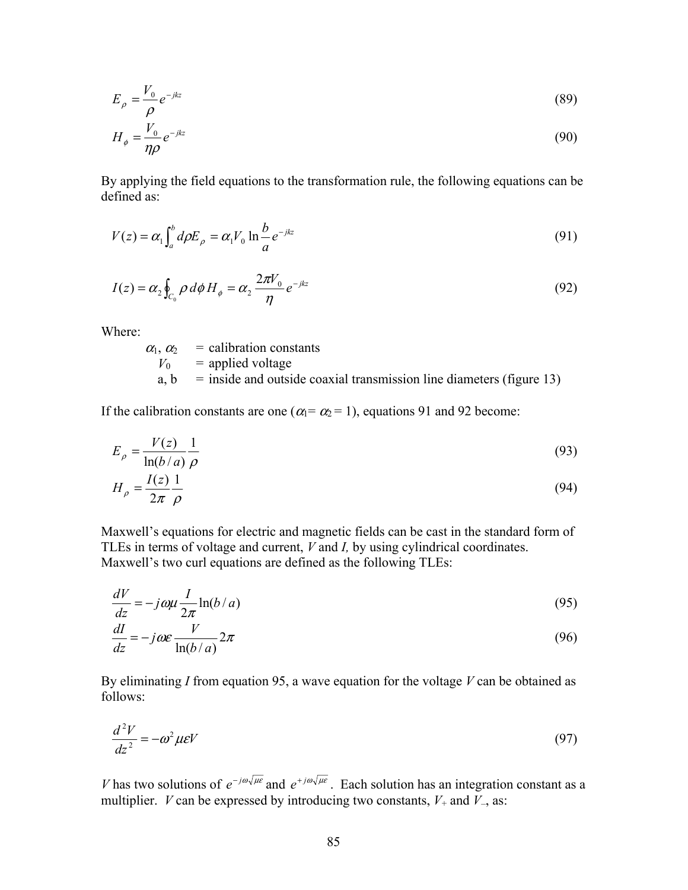$$
E_{\rho} = \frac{V_0}{\rho} e^{-jkz} \tag{89}
$$

$$
H_{\phi} = \frac{V_0}{\eta \rho} e^{-jkz} \tag{90}
$$

By applying the field equations to the transformation rule, the following equations can be defined as:

$$
V(z) = \alpha_1 \int_a^b d\rho E_\rho = \alpha_1 V_0 \ln \frac{b}{a} e^{-jkz}
$$
\n(91)

$$
I(z) = \alpha_2 \oint_{C_0} \rho \, d\phi \, H_{\phi} = \alpha_2 \, \frac{2\pi V_0}{\eta} \, e^{-jkz} \tag{92}
$$

Where:

 $\ddot{\phantom{2}}$ 

$$
\alpha_1, \alpha_2 = \text{calibration constants}
$$
\n
$$
V_0 = \text{applied voltage}
$$
\n
$$
a, b = \text{inside and outside coaxial transmission line diameters (figure 13)}
$$

If the calibration constants are one ( $\alpha_1 = \alpha_2 = 1$ ), equations 91 and 92 become:

$$
E_{\rho} = \frac{V(z)}{\ln(b/a)} \frac{1}{\rho}
$$
\n(93)

$$
H_{\rho} = \frac{I(z)}{2\pi} \frac{1}{\rho} \tag{94}
$$

Maxwell's equations for electric and magnetic fields can be cast in the standard form of TLEs in terms of voltage and current, *V* and *I,* by using cylindrical coordinates. Maxwell's two curl equations are defined as the following TLEs:

$$
\frac{dV}{dz} = -j\omega\mu \frac{I}{2\pi} \ln(b/a) \tag{95}
$$

$$
\frac{dI}{dz} = -j\omega\varepsilon \frac{V}{\ln(b/a)} 2\pi
$$
\n(96)

By eliminating *I* from equation 95, a wave equation for the voltage *V* can be obtained as follows:

$$
\frac{d^2V}{dz^2} = -\omega^2 \mu \varepsilon V \tag{97}
$$

*V* has two solutions of  $e^{-j\omega \sqrt{\mu \epsilon}}$  and  $e^{+j\omega \sqrt{\mu \epsilon}}$ . Each solution has an integration constant as a multiplier. *V* can be expressed by introducing two constants,  $V_+$  and  $\bar{V}_-$ , as: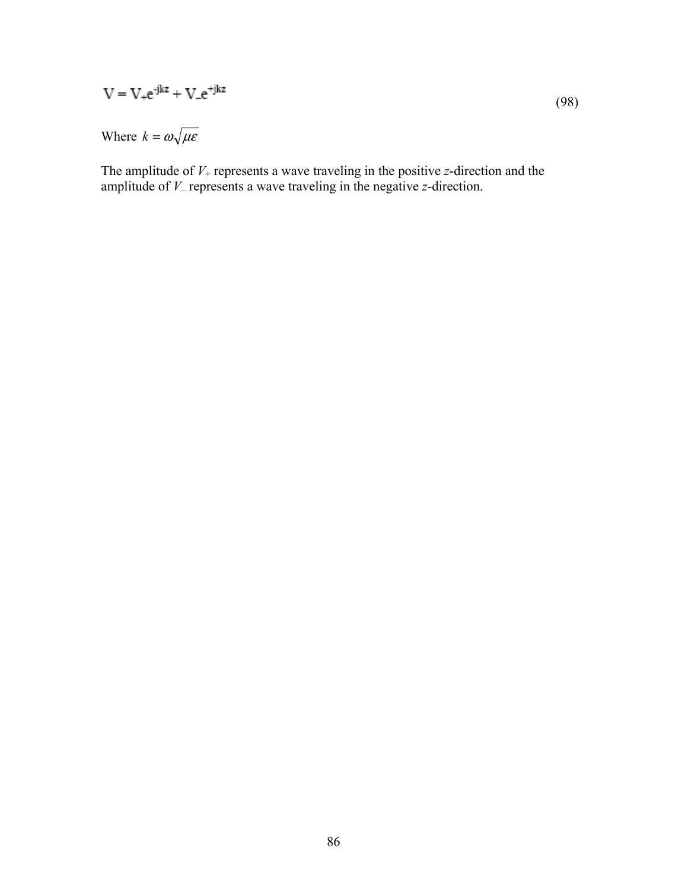$$
V = V_{+}e^{-jkz} + V_{-}e^{+jkz}
$$
\n
$$
(98)
$$

Where  $k = \omega \sqrt{\mu \varepsilon}$ 

The amplitude of *V*+ represents a wave traveling in the positive *z*-direction and the amplitude of *V*– represents a wave traveling in the negative *z*-direction.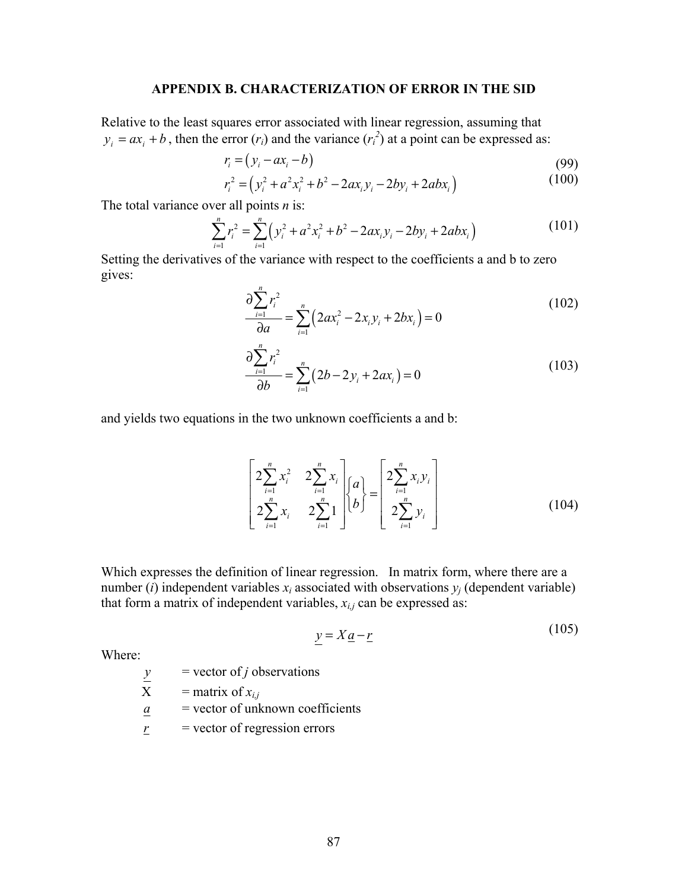#### **APPENDIX B. CHARACTERIZATION OF ERROR IN THE SID**

Relative to the least squares error associated with linear regression, assuming that  $y_i = ax_i + b$ , then the error  $(r_i)$  and the variance  $(r_i^2)$  at a point can be expressed as:

$$
r_i = (y_i - ax_i - b) \tag{99}
$$

$$
r_i^2 = (y_i^2 + a^2 x_i^2 + b^2 - 2ax_i y_i - 2by_i + 2abx_i)
$$
 (100)

The total variance over all points *n* is:

$$
\sum_{i=1}^{n} r_i^2 = \sum_{i=1}^{n} \left( y_i^2 + a^2 x_i^2 + b^2 - 2ax_i y_i - 2by_i + 2abx_i \right)
$$
 (101)

Setting the derivatives of the variance with respect to the coefficients a and b to zero gives:

$$
\frac{\partial \sum_{i=1}^{n} r_i^2}{\partial a} = \sum_{i=1}^{n} \left( 2ax_i^2 - 2x_i y_i + 2bx_i \right) = 0
$$
\n(102)

$$
\frac{\partial \sum_{i=1}^{n} r_i^2}{\partial b} = \sum_{i=1}^{n} (2b - 2y_i + 2ax_i) = 0
$$
\n(103)

and yields two equations in the two unknown coefficients a and b:

$$
\begin{bmatrix} 2\sum_{i=1}^{n} x_i^2 & 2\sum_{i=1}^{n} x_i \\ 2\sum_{i=1}^{n} x_i & 2\sum_{i=1}^{n} 1 \end{bmatrix} \begin{bmatrix} a \\ b \end{bmatrix} = \begin{bmatrix} 2\sum_{i=1}^{n} x_i y_i \\ 2\sum_{i=1}^{n} y_i \end{bmatrix}
$$
 (104)

Which expresses the definition of linear regression. In matrix form, where there are a number (*i*) independent variables  $x_i$  associated with observations  $y_i$  (dependent variable) that form a matrix of independent variables,  $x_{i,j}$  can be expressed as:

$$
y = Xa - r \tag{105}
$$

 $(105)$ 

Where:

 $=$  vector of *j* observations

 $\frac{y}{X}$  = vector of *j* ot<br>  $\frac{y}{X}$  = matrix of  $x_{i,j}$ 

*a* = vector of unknown coefficients

$$
\underline{r} = \text{vector of regression errors}
$$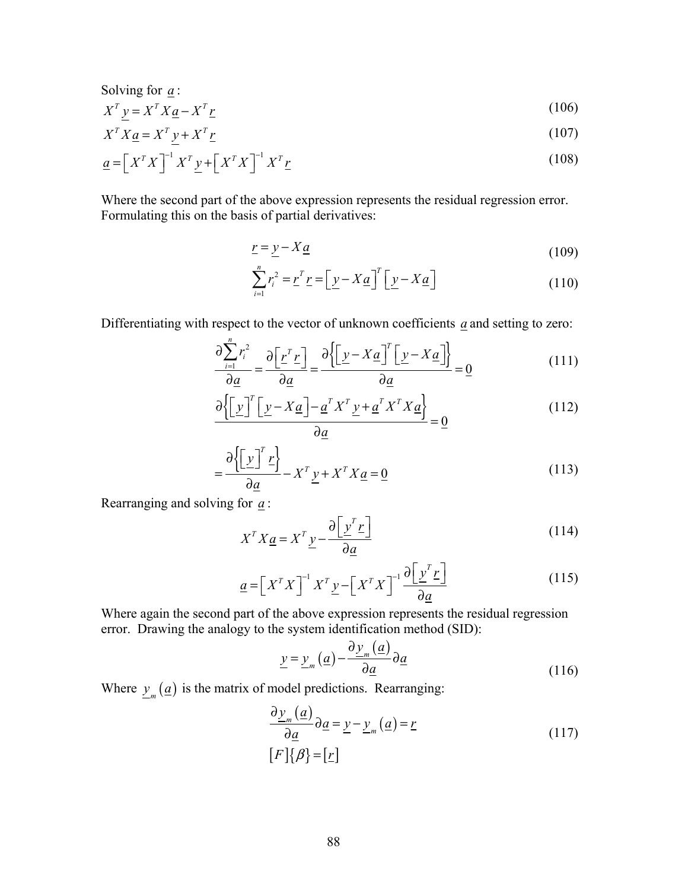Solving for  $\underline{a}$  :

$$
X^T \underline{y} = X^T X \underline{a} - X^T \underline{r} \tag{106}
$$

$$
X^T X \underline{a} = X^T \underline{y} + X^T \underline{r} \tag{107}
$$

$$
\underline{a} = \left[ X^T X \right]^{-1} X^T \underline{y} + \left[ X^T X \right]^{-1} X^T \underline{r}
$$
\n(108)

Where the second part of the above expression represents the residual regression error. Formulating this on the basis of partial derivatives:

$$
\underline{r} = \underline{y} - X\underline{a} \tag{109}
$$

$$
\sum_{i=1}^{n} r_i^2 = \underline{r}^T \underline{r} = \left[ \underline{y} - X \underline{a} \right]^T \left[ \underline{y} - X \underline{a} \right] \tag{110}
$$

Differentiating with respect to the vector of unknown coefficients *a* and setting to zero:

$$
\frac{\partial \sum_{i=1}^{n} r_i^2}{\partial a} = \frac{\partial \left[ \underline{r}^T \underline{r} \right]}{\partial a} = \frac{\partial \left\{ \left[ \underline{y} - X \underline{a} \right]^T \left[ \underline{y} - X \underline{a} \right] \right\}}{\partial a} = 0 \tag{111}
$$

$$
\frac{\partial \left\{ \left[ \underline{y} \right]^T \left[ \underline{y} - X \underline{a} \right] - \underline{a}^T X^T \underline{y} + \underline{a}^T X^T X \underline{a} \right\}}{\partial \underline{a}} = \underline{0}
$$
\n(112)

$$
= \frac{\partial \left\{ \left[ \underline{y} \right]^T \underline{r} \right\}}{\partial \underline{a}} - X^T \underline{y} + X^T X \underline{a} = \underline{0}
$$
\n(113)

Rearranging and solving for *a* :

$$
X^T X \underline{a} = X^T \underline{y} - \frac{\partial \left[ \underline{y}^T \underline{r} \right]}{\partial \underline{a}} \tag{114}
$$

$$
\underline{a} = \left[ X^T X \right]^{-1} X^T \underline{y} - \left[ X^T X \right]^{-1} \frac{\partial \left[ \underline{y}^T \underline{r} \right]}{\partial \underline{a}} \tag{115}
$$

Where again the second part of the above expression represents the residual regression error. Drawing the analogy to the system identification method (SID):

$$
\underline{y} = \underline{y}_m(\underline{a}) - \frac{\partial \underline{y}_m(\underline{a})}{\partial \underline{a}} \partial \underline{a}
$$
\n(116)

Where  $y_m(\underline{a})$  is the matrix of model predictions. Rearranging:

$$
\frac{\partial \underline{y}_m(\underline{a})}{\partial \underline{a}} \partial \underline{a} = \underline{y} - \underline{y}_m(\underline{a}) = \underline{r}
$$
\n
$$
[F]\{\beta\} = [\underline{r}]
$$
\n(117)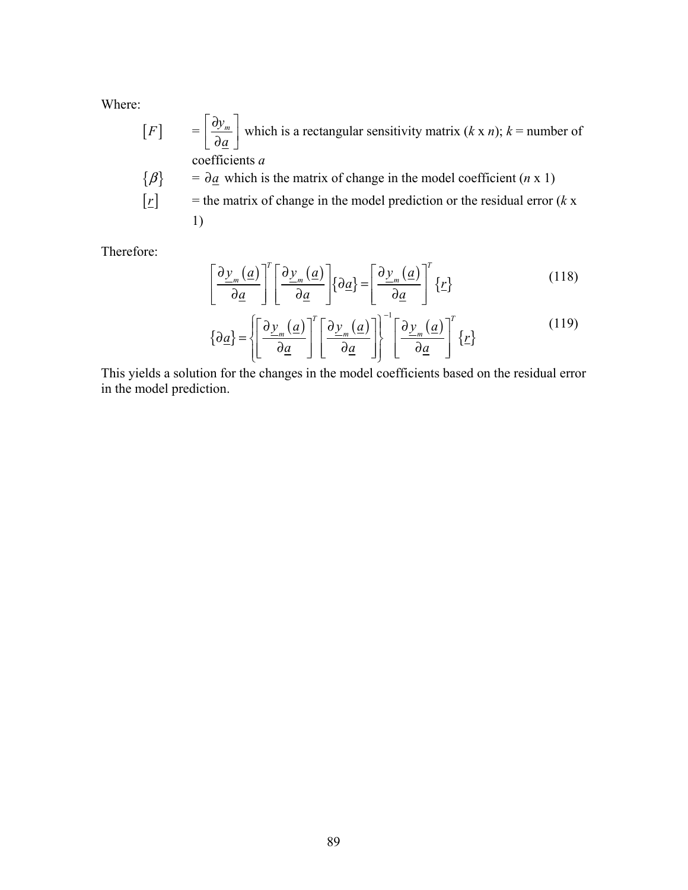Where:

$$
[F] = \left[\frac{\partial y_m}{\partial \underline{a}}\right]
$$
 which is a rectangular sensitivity matrix  $(k \times n)$ ;  $k$  = number of coefficients  $a$   
\n $\{\beta\} = \partial \underline{a}$  which is the matrix of change in the model coefficient  $(n \times 1)$   
\n $\begin{bmatrix} r \end{bmatrix}$  = the matrix of change in the model prediction or the residual error  $(k \times 1)$   
\n1)

Therefore:

$$
\left[\frac{\partial \underline{y}_m(\underline{a})}{\partial \underline{a}}\right]^T \left[\frac{\partial \underline{y}_m(\underline{a})}{\partial \underline{a}}\right] \{\partial \underline{a}\} = \left[\frac{\partial \underline{y}_m(\underline{a})}{\partial \underline{a}}\right]^T \{\underline{r}\}
$$
(118)

$$
\left\{\partial \underline{a}\right\} = \left\{\left[\frac{\partial \underline{y}_m(\underline{a})}{\partial \underline{a}}\right]^T \left[\frac{\partial \underline{y}_m(\underline{a})}{\partial \underline{a}}\right]\right\}^{-1} \left[\frac{\partial \underline{y}_m(\underline{a})}{\partial \underline{a}}\right]^T \left\{\underline{r}\right\}
$$
(119)

This yields a solution for the changes in the model coefficients based on the residual error in the model prediction.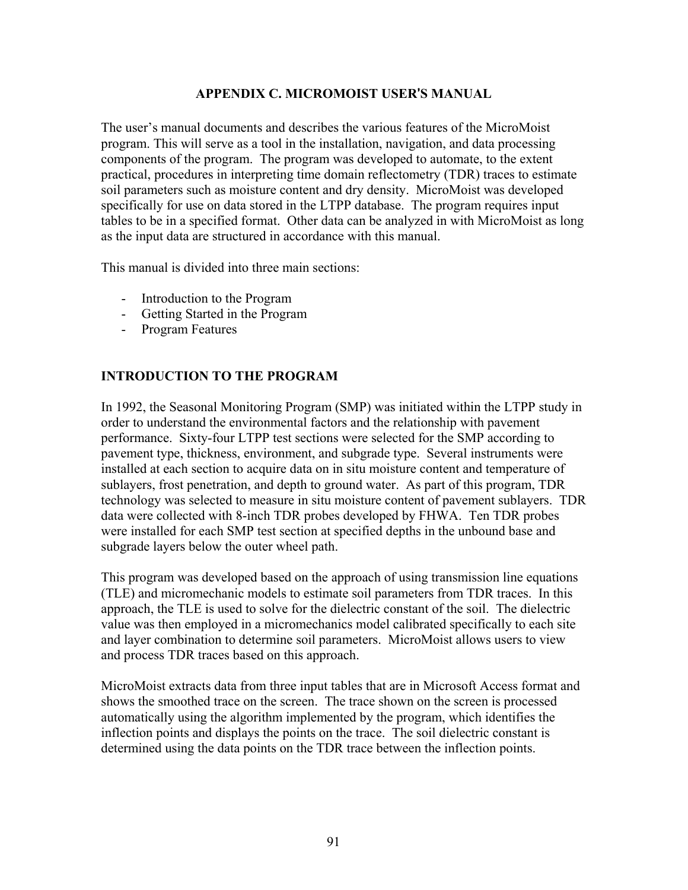# **APPENDIX C. MICROMOIST USER**'**S MANUAL**

The user's manual documents and describes the various features of the MicroMoist program. This will serve as a tool in the installation, navigation, and data processing components of the program. The program was developed to automate, to the extent practical, procedures in interpreting time domain reflectometry (TDR) traces to estimate soil parameters such as moisture content and dry density. MicroMoist was developed specifically for use on data stored in the LTPP database. The program requires input tables to be in a specified format. Other data can be analyzed in with MicroMoist as long as the input data are structured in accordance with this manual.

This manual is divided into three main sections:

- Introduction to the Program
- Getting Started in the Program
- Program Features

## **INTRODUCTION TO THE PROGRAM**

In 1992, the Seasonal Monitoring Program (SMP) was initiated within the LTPP study in order to understand the environmental factors and the relationship with pavement performance. Sixty-four LTPP test sections were selected for the SMP according to pavement type, thickness, environment, and subgrade type. Several instruments were installed at each section to acquire data on in situ moisture content and temperature of sublayers, frost penetration, and depth to ground water. As part of this program, TDR technology was selected to measure in situ moisture content of pavement sublayers. TDR data were collected with 8-inch TDR probes developed by FHWA. Ten TDR probes were installed for each SMP test section at specified depths in the unbound base and subgrade layers below the outer wheel path.

This program was developed based on the approach of using transmission line equations (TLE) and micromechanic models to estimate soil parameters from TDR traces. In this approach, the TLE is used to solve for the dielectric constant of the soil. The dielectric value was then employed in a micromechanics model calibrated specifically to each site and layer combination to determine soil parameters. MicroMoist allows users to view and process TDR traces based on this approach.

MicroMoist extracts data from three input tables that are in Microsoft Access format and shows the smoothed trace on the screen. The trace shown on the screen is processed automatically using the algorithm implemented by the program, which identifies the inflection points and displays the points on the trace. The soil dielectric constant is determined using the data points on the TDR trace between the inflection points.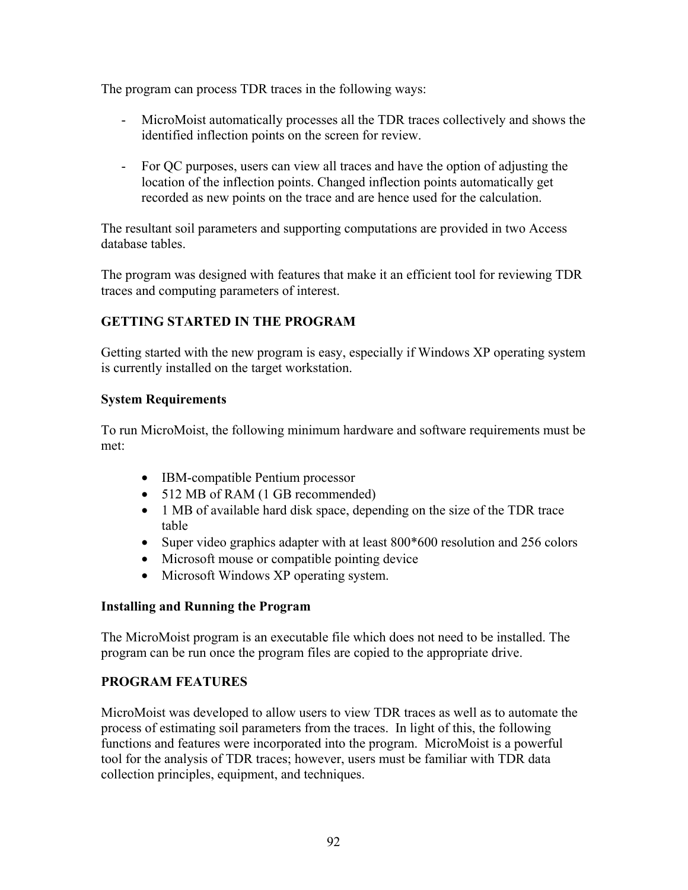The program can process TDR traces in the following ways:

- MicroMoist automatically processes all the TDR traces collectively and shows the identified inflection points on the screen for review.
- For QC purposes, users can view all traces and have the option of adjusting the location of the inflection points. Changed inflection points automatically get recorded as new points on the trace and are hence used for the calculation.

The resultant soil parameters and supporting computations are provided in two Access database tables.

The program was designed with features that make it an efficient tool for reviewing TDR traces and computing parameters of interest.

# **GETTING STARTED IN THE PROGRAM**

Getting started with the new program is easy, especially if Windows XP operating system is currently installed on the target workstation.

# **System Requirements**

To run MicroMoist, the following minimum hardware and software requirements must be met:

- IBM-compatible Pentium processor
- 512 MB of RAM (1 GB recommended)
- 1 MB of available hard disk space, depending on the size of the TDR trace table
- Super video graphics adapter with at least 800\*600 resolution and 256 colors
- Microsoft mouse or compatible pointing device
- Microsoft Windows XP operating system.

# **Installing and Running the Program**

The MicroMoist program is an executable file which does not need to be installed. The program can be run once the program files are copied to the appropriate drive.

# **PROGRAM FEATURES**

MicroMoist was developed to allow users to view TDR traces as well as to automate the process of estimating soil parameters from the traces. In light of this, the following functions and features were incorporated into the program. MicroMoist is a powerful tool for the analysis of TDR traces; however, users must be familiar with TDR data collection principles, equipment, and techniques.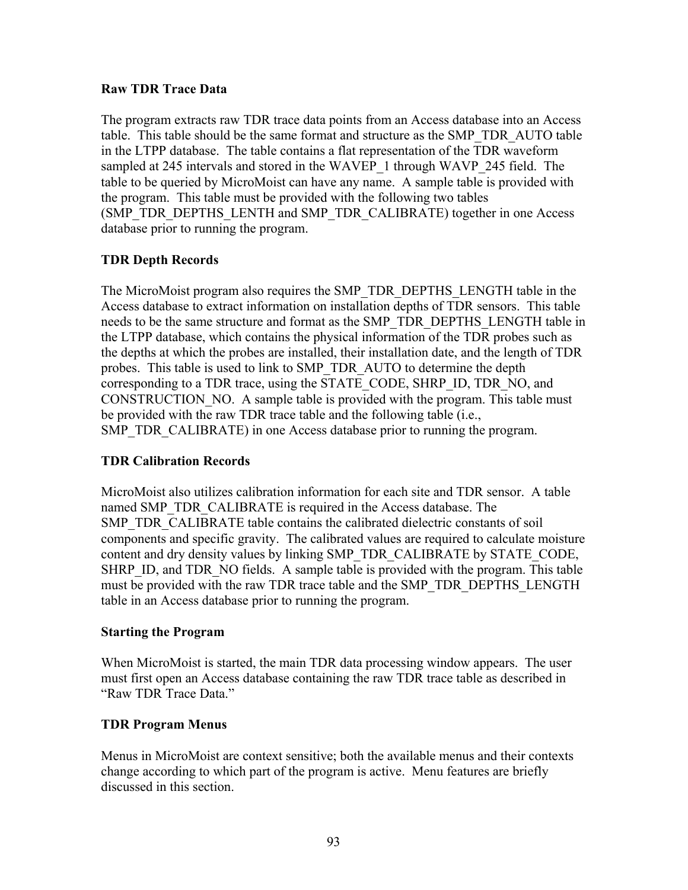# **Raw TDR Trace Data**

The program extracts raw TDR trace data points from an Access database into an Access table. This table should be the same format and structure as the SMP\_TDR\_AUTO table in the LTPP database. The table contains a flat representation of the TDR waveform sampled at 245 intervals and stored in the WAVEP 1 through WAVP 245 field. The table to be queried by MicroMoist can have any name. A sample table is provided with the program. This table must be provided with the following two tables (SMP\_TDR\_DEPTHS\_LENTH and SMP\_TDR\_CALIBRATE) together in one Access database prior to running the program.

# **TDR Depth Records**

The MicroMoist program also requires the SMP\_TDR\_DEPTHS\_LENGTH table in the Access database to extract information on installation depths of TDR sensors. This table needs to be the same structure and format as the SMP\_TDR\_DEPTHS\_LENGTH table in the LTPP database, which contains the physical information of the TDR probes such as the depths at which the probes are installed, their installation date, and the length of TDR probes. This table is used to link to SMP\_TDR\_AUTO to determine the depth corresponding to a TDR trace, using the STATE\_CODE, SHRP\_ID, TDR\_NO, and CONSTRUCTION NO. A sample table is provided with the program. This table must be provided with the raw TDR trace table and the following table (i.e., SMP\_TDR\_CALIBRATE) in one Access database prior to running the program.

# **TDR Calibration Records**

MicroMoist also utilizes calibration information for each site and TDR sensor. A table named SMP\_TDR\_CALIBRATE is required in the Access database. The SMP\_TDR\_CALIBRATE table contains the calibrated dielectric constants of soil components and specific gravity. The calibrated values are required to calculate moisture content and dry density values by linking SMP\_TDR\_CALIBRATE by STATE\_CODE, SHRP ID, and TDR NO fields. A sample table is provided with the program. This table must be provided with the raw TDR trace table and the SMP\_TDR\_DEPTHS\_LENGTH table in an Access database prior to running the program.

# **Starting the Program**

When MicroMoist is started, the main TDR data processing window appears. The user must first open an Access database containing the raw TDR trace table as described in "Raw TDR Trace Data."

# **TDR Program Menus**

Menus in MicroMoist are context sensitive; both the available menus and their contexts change according to which part of the program is active. Menu features are briefly discussed in this section.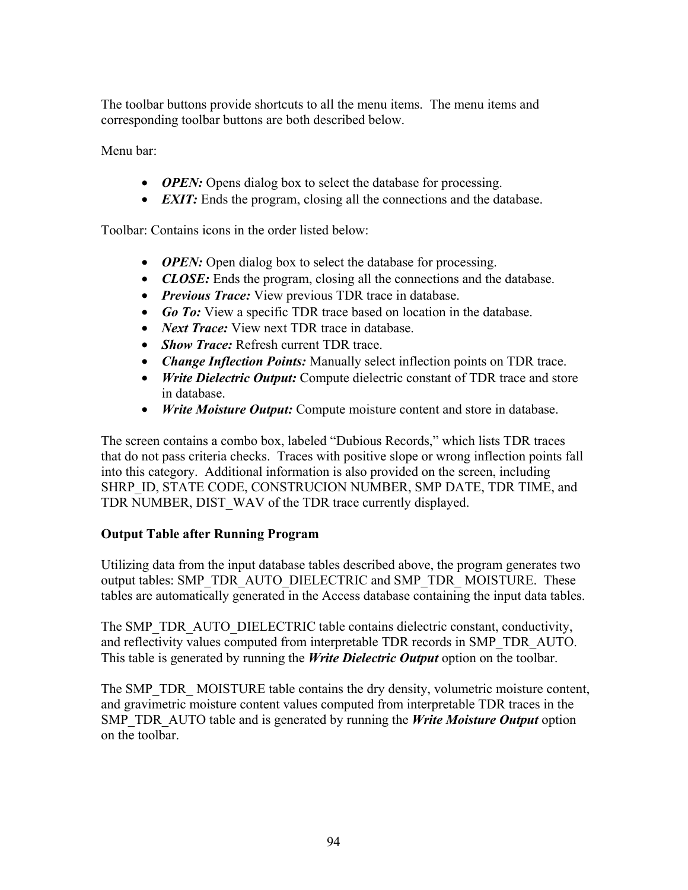The toolbar buttons provide shortcuts to all the menu items. The menu items and corresponding toolbar buttons are both described below.

Menu bar:

- *OPEN:* Opens dialog box to select the database for processing.
- *EXIT:* Ends the program, closing all the connections and the database.

Toolbar: Contains icons in the order listed below:

- *OPEN:* Open dialog box to select the database for processing.
- *CLOSE*: Ends the program, closing all the connections and the database.
- *Previous Trace:* View previous TDR trace in database.
- *Go To:* View a specific TDR trace based on location in the database.
- *Next Trace:* View next TDR trace in database.
- *Show Trace:* Refresh current TDR trace.
- *Change Inflection Points:* Manually select inflection points on TDR trace.
- *Write Dielectric Output:* Compute dielectric constant of TDR trace and store in database.
- *Write Moisture Output:* Compute moisture content and store in database.

The screen contains a combo box, labeled "Dubious Records," which lists TDR traces that do not pass criteria checks. Traces with positive slope or wrong inflection points fall into this category. Additional information is also provided on the screen, including SHRP\_ID, STATE CODE, CONSTRUCION NUMBER, SMP DATE, TDR TIME, and TDR NUMBER, DIST\_WAV of the TDR trace currently displayed.

# **Output Table after Running Program**

Utilizing data from the input database tables described above, the program generates two output tables: SMP\_TDR\_AUTO\_DIELECTRIC and SMP\_TDR\_ MOISTURE. These tables are automatically generated in the Access database containing the input data tables.

The SMP\_TDR\_AUTO\_DIELECTRIC table contains dielectric constant, conductivity, and reflectivity values computed from interpretable TDR records in SMP\_TDR\_AUTO. This table is generated by running the *Write Dielectric Output* option on the toolbar.

The SMP\_TDR\_ MOISTURE table contains the dry density, volumetric moisture content, and gravimetric moisture content values computed from interpretable TDR traces in the SMP\_TDR\_AUTO table and is generated by running the *Write Moisture Output* option on the toolbar.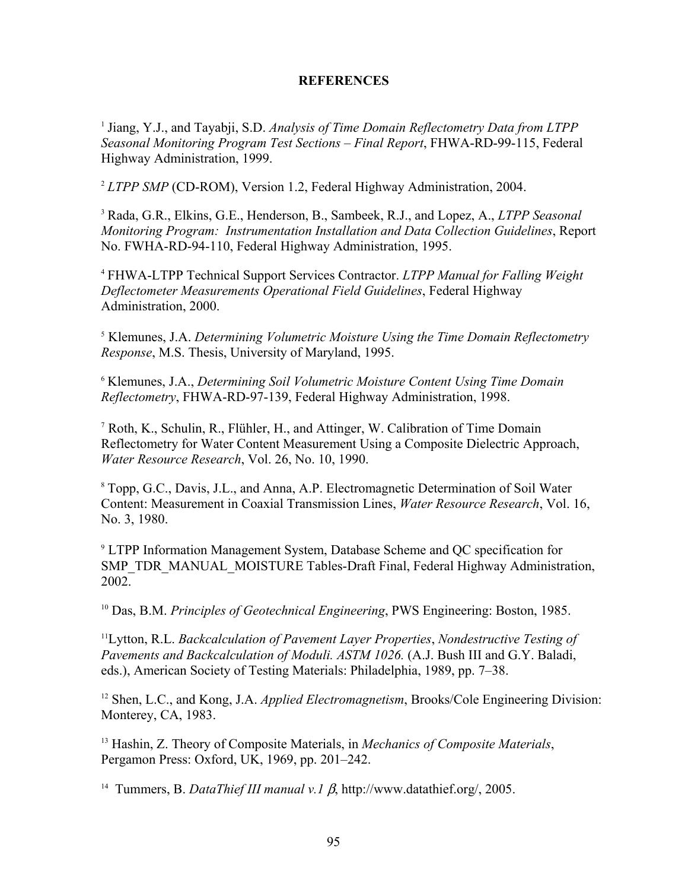### **REFERENCES**

<sup>1</sup> Jiang, Y.J., and Tayabji, S.D. *Analysis of Time Domain Reflectometry Data from LTPP Seasonal Monitoring Program Test Sections – Final Report*, FHWA-RD-99-115, Federal Highway Administration, 1999.

<sup>2</sup> *LTPP SMP* (CD-ROM), Version 1.2, Federal Highway Administration, 2004.

<sup>3</sup> Rada, G.R., Elkins, G.E., Henderson, B., Sambeek, R.J., and Lopez, A., *LTPP Seasonal Monitoring Program: Instrumentation Installation and Data Collection Guidelines*, Report No. FWHA-RD-94-110, Federal Highway Administration, 1995.

<sup>4</sup> FHWA-LTPP Technical Support Services Contractor. *LTPP Manual for Falling Weight Deflectometer Measurements Operational Field Guidelines*, Federal Highway Administration, 2000.

5 Klemunes, J.A. *Determining Volumetric Moisture Using the Time Domain Reflectometry Response*, M.S. Thesis, University of Maryland, 1995.

<sup>6</sup> Klemunes, J.A., *Determining Soil Volumetric Moisture Content Using Time Domain Reflectometry*, FHWA-RD-97-139, Federal Highway Administration, 1998.

7 Roth, K., Schulin, R., Flühler, H., and Attinger, W. Calibration of Time Domain Reflectometry for Water Content Measurement Using a Composite Dielectric Approach, *Water Resource Research*, Vol. 26, No. 10, 1990.

<sup>8</sup> Topp, G.C., Davis, J.L., and Anna, A.P. Electromagnetic Determination of Soil Water Content: Measurement in Coaxial Transmission Lines, *Water Resource Research*, Vol. 16, No. 3, 1980.

9 LTPP Information Management System, Database Scheme and QC specification for SMP\_TDR\_MANUAL\_MOISTURE Tables-Draft Final, Federal Highway Administration, 2002.

10 Das, B.M. *Principles of Geotechnical Engineering*, PWS Engineering: Boston, 1985.

11Lytton, R.L. *Backcalculation of Pavement Layer Properties*, *Nondestructive Testing of Pavements and Backcalculation of Moduli. ASTM 1026.* (A.J. Bush III and G.Y. Baladi, eds.), American Society of Testing Materials: Philadelphia, 1989, pp. 7–38.

12 Shen, L.C., and Kong, J.A. *Applied Electromagnetism*, Brooks/Cole Engineering Division: Monterey, CA, 1983.

13 Hashin, Z. Theory of Composite Materials, in *Mechanics of Composite Materials*, Pergamon Press: Oxford, UK, 1969, pp. 201–242.

14 Tummers, B. *DataThief III manual v.1* β, http://www.datathief.org/, 2005.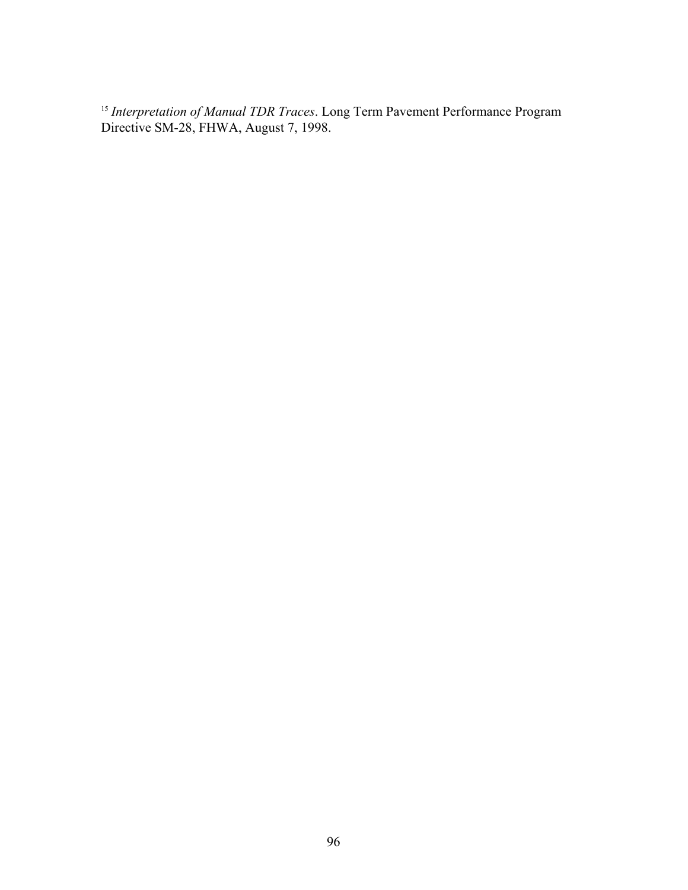*Interpretation of Manual TDR Traces*. Long Term Pavement Performance Program Directive SM-28, FHWA, August 7, 1998.